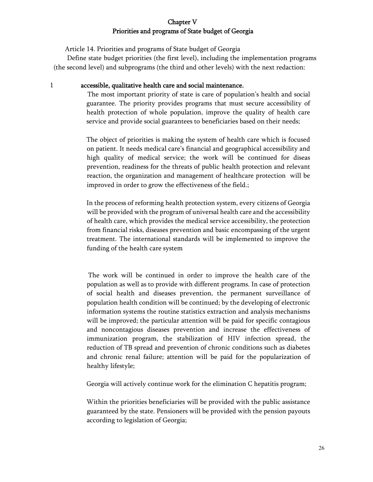## Chapter V Priorities and programs of State budget of Georgia

Article 14. Priorities and programs of State budget of Georgia

 Define state budget priorities (the first level), including the implementation programs (the second level) and subprograms (the third and other levels) with the next redaction:

## 1 accessible, qualitative health care and social maintenance.

 The most important priority of state is care of population's health and social guarantee. The priority provides programs that must secure accessibility of health protection of whole population, improve the quality of health care service and provide social guarantees to beneficiaries based on their needs;

The object of priorities is making the system of health care which is focused on patient. It needs medical care's financial and geographical accessibility and high quality of medical service; the work will be continued for diseas prevention, readiness for the threats of public health protection and relevant reaction, the organization and management of healthcare protection will be improved in order to grow the effectiveness of the field.;

In the process of reforming health protection system, every citizens of Georgia will be provided with the program of universal health care and the accessibility of health care, which provides the medical service accessibility, the protection from financial risks, diseases prevention and basic encompassing of the urgent treatment. The international standards will be implemented to improve the funding of the health care system

 The work will be continued in order to improve the health care of the population as well as to provide with different programs. In case of protection of social health and diseases prevention, the permanent surveillance of population health condition will be continued; by the developing of electronic information systems the routine statistics extraction and analysis mechanisms will be improved; the particular attention will be paid for specific contagious and noncontagious diseases prevention and increase the effectiveness of immunization program, the stabilization of HIV infection spread, the reduction of TB spread and prevention of chronic conditions such as diabetes and chronic renal failure; attention will be paid for the popularization of healthy lifestyle;

Georgia will actively continue work for the elimination C hepatitis program;

Within the priorities beneficiaries will be provided with the public assistance guaranteed by the state. Pensioners will be provided with the pension payouts according to legislation of Georgia;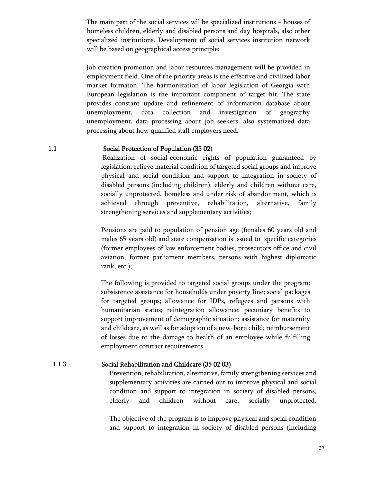The main part of the social services wll be specialized institutions – houses of homeless children, elderly and disabled persons and day hospitals, also other specialized institutions. Development of social services institution network will be based on geographical access principle;

Job creation promotion and labor resources management will be provided in employment field. One of the priority areas is the effective and civilized labor market formaton. The harmonization of labor legislation of Georgia with European legislation is the important component of target hit. The state provides constant update and refinement of information database about unemployment, data collection and investigation of geography unemployment, data processing about job seekers, also systematized data processing about how qualified staff employers need.

### 1.1 Social Protection of Population (35 02)

Realization of social-economic rights of population guaranteed by legislation, relieve material condition of targeted social groups and improve physical and social condition and support to integration in society of disabled persons (including children), elderly and children without care, socially unprotected, homeless and under risk of abandonment, which is achieved through preventive, rehabilitation, alternative, family strengthening services and supplementary activities;

Pensions are paid to population of pension age (females 60 years old and males 65 years old) and state compensation is issued to specific categories (former employees of law enforcement bodies, prosecutors office and civil aviation, former parliament members, persons with highest diplomatic rank, etc.);

 The following is provided to targeted social groups under the program: subsistence assistance for households under poverty line; social packages for targeted groups; allowance for IDPs, refugees and persons with humanitarian status; reintegration allowance; pecuniary benefits to support improvement of demographic situation; assistance for maternity and childcare, as well as for adoption of a new-born child; reimbursement of losses due to the damage to health of an employee while fulfilling employment contract requirements.

### 1.1.3 Social Rehabilitation and Childcare (35 02 03)

Prevention, rehabilitation, alternative, family strengthening services and supplementary activities are carried out to improve physical and social condition and support to integration in society of disabled persons, elderly and children without care, socially unprotected.

The objective of the program is to improve physical and social condition and support to integration in society of disabled persons (including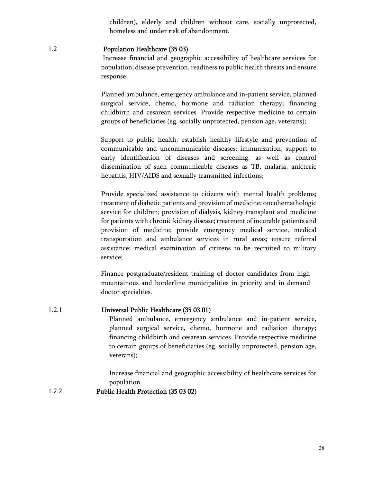children), elderly and children without care, socially unprotected, homeless and under risk of abandonment.

#### 1.2 Population Healthcare (35 03)

Increase financial and geographic accessibility of healthcare services for population; disease prevention, readiness to public health threats and ensure response;

Planned ambulance, emergency ambulance and in-patient service, planned surgical service, chemo, hormone and radiation therapy; financing childbirth and cesarean services. Provide respective medicine to certain groups of beneficiaries (eg. socially unprotected, pension age, veterans);

Support to public health, establish healthy lifestyle and prevention of communicable and uncommunicable diseases; immunization, support to early identification of diseases and screening, as well as control dissemination of such communicable diseases as TB, malaria, anicteric hepatitis, HIV/AIDS and sexually transmitted infections;

Provide specialized assistance to citizens with mental health problems; treatment of diabetic patients and provision of medicine; oncohemathologic service for children; provision of dialysis, kidney transplant and medicine for patients with chronic kidney disease; treatment of incurable patients and provision of medicine; provide emergency medical service, medical transportation and ambulance services in rural areas; ensure referral assistance; medical examination of citizens to be recruited to military service;

 Finance postgraduate/resident training of doctor candidates from high mountainous and borderline municipalities in priority and in demand doctor specialties.

### 1.2.1 Universal Public Healthcare (35 03 01)

Planned ambulance, emergency ambulance and in-patient service, planned surgical service, chemo, hormone and radiation therapy; financing childbirth and cesarean services. Provide respective medicine to certain groups of beneficiaries (eg. socially unprotected, pension age, veterans);

Increase financial and geographic accessibility of healthcare services for population.

1.2.2 Public Health Protection (35 03 02)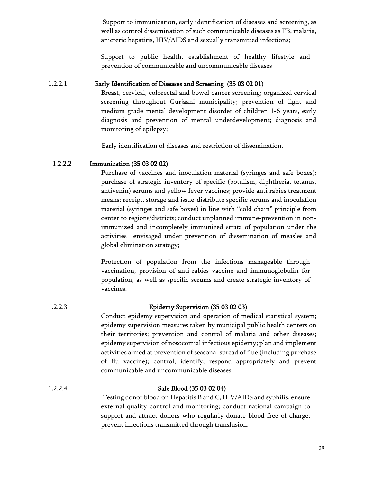Support to immunization, early identification of diseases and screening, as well as control dissemination of such communicable diseases as TB, malaria, anicteric hepatitis, HIV/AIDS and sexually transmitted infections;

Support to public health, establishment of healthy lifestyle and prevention of communicable and uncommunicable diseases

## 1.2.2.1 Early Identification of Diseases and Screening (35 03 02 01)

Breast, cervical, colorectal and bowel cancer screening; organized cervical screening throughout Gurjaani municipality; prevention of light and medium grade mental development disorder of children 1-6 years, early diagnosis and prevention of mental underdevelopment; diagnosis and monitoring of epilepsy;

Early identification of diseases and restriction of dissemination.

## 1.2.2.2 Immunization (35 03 02 02)

Purchase of vaccines and inoculation material (syringes and safe boxes); purchase of strategic inventory of specific (botulism, diphtheria, tetanus, antivenin) serums and yellow fever vaccines; provide anti rabies treatment means; receipt, storage and issue-distribute specific serums and inoculation material (syringes and safe boxes) in line with "cold chain" principle from center to regions/districts; conduct unplanned immune-prevention in nonimmunized and incompletely immunized strata of population under the activities envisaged under prevention of dissemination of measles and global elimination strategy;

Protection of population from the infections manageable through vaccination, provision of anti-rabies vaccine and immunoglobulin for population, as well as specific serums and create strategic inventory of vaccines.

## 1.2.2.3 Epidemy Supervision (35 03 02 03)

Conduct epidemy supervision and operation of medical statistical system; epidemy supervision measures taken by municipal public health centers on their territories; prevention and control of malaria and other diseases; epidemy supervision of nosocomial infectious epidemy; plan and implement activities aimed at prevention of seasonal spread of flue (including purchase of flu vaccine); control, identify, respond appropriately and prevent communicable and uncommunicable diseases.

## 1.2.2.4 Safe Blood (35 03 02 04)

Testing donor blood on Hepatitis B and C, HIV/AIDS and syphilis; ensure external quality control and monitoring; conduct national campaign to support and attract donors who regularly donate blood free of charge; prevent infections transmitted through transfusion.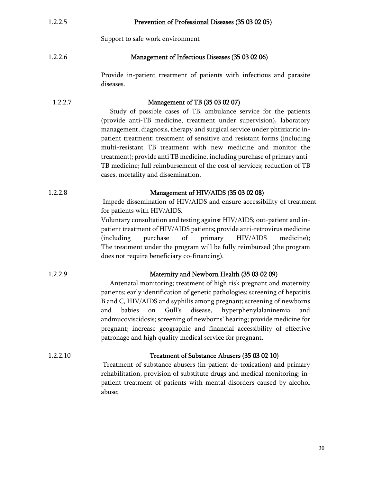| 1.2.2.5  | Prevention of Professional Diseases (35 03 02 05)                                                                                                                                                                                                                                                                                                                                                                                                                                                                                                                                                     |  |  |
|----------|-------------------------------------------------------------------------------------------------------------------------------------------------------------------------------------------------------------------------------------------------------------------------------------------------------------------------------------------------------------------------------------------------------------------------------------------------------------------------------------------------------------------------------------------------------------------------------------------------------|--|--|
|          | Support to safe work environment                                                                                                                                                                                                                                                                                                                                                                                                                                                                                                                                                                      |  |  |
| 1.2.2.6  | Management of Infectious Diseases (35 03 02 06)                                                                                                                                                                                                                                                                                                                                                                                                                                                                                                                                                       |  |  |
|          | Provide in-patient treatment of patients with infectious and parasite<br>diseases.                                                                                                                                                                                                                                                                                                                                                                                                                                                                                                                    |  |  |
| 1.2.2.7  | Management of TB (35 03 02 07)<br>Study of possible cases of TB, ambulance service for the patients<br>(provide anti-TB medicine, treatment under supervision), laboratory<br>management, diagnosis, therapy and surgical service under phtiziatric in-<br>patient treatment; treatment of sensitive and resistant forms (including<br>multi-resistant TB treatment with new medicine and monitor the<br>treatment); provide anti TB medicine, including purchase of primary anti-<br>TB medicine; full reimbursement of the cost of services; reduction of TB<br>cases, mortality and dissemination. |  |  |
| 1.2.2.8  | Management of HIV/AIDS (35 03 02 08)<br>Impede dissemination of HIV/AIDS and ensure accessibility of treatment<br>for patients with HIV/AIDS.<br>Voluntary consultation and testing against HIV/AIDS; out-patient and in-<br>patient treatment of HIV/AIDS patients; provide anti-retrovirus medicine<br>primary<br>HIV/AIDS<br>purchase<br>of<br>(including)<br>medicine);<br>The treatment under the program will be fully reimbursed (the program<br>does not require beneficiary co-financing).                                                                                                   |  |  |
| 1.2.2.9  | Maternity and Newborn Health (35 03 02 09)<br>Antenatal monitoring; treatment of high risk pregnant and maternity<br>patients; early identification of genetic pathologies; screening of hepatitis<br>B and C, HIV/AIDS and syphilis among pregnant; screening of newborns<br>babies<br>Gull's<br>disease,<br>hyperphenylalaninemia<br>and<br>and<br>on<br>andmucoviscidosis; screening of newborns' hearing; provide medicine for<br>pregnant; increase geographic and financial accessibility of effective<br>patronage and high quality medical service for pregnant.                              |  |  |
| 1.2.2.10 | Treatment of Substance Abusers (35 03 02 10)<br>Treatment of substance abusers (in-patient de-toxication) and primary<br>rehabilitation, provision of substitute drugs and medical monitoring; in-<br>patient treatment of patients with mental disorders caused by alcohol<br>abuse;                                                                                                                                                                                                                                                                                                                 |  |  |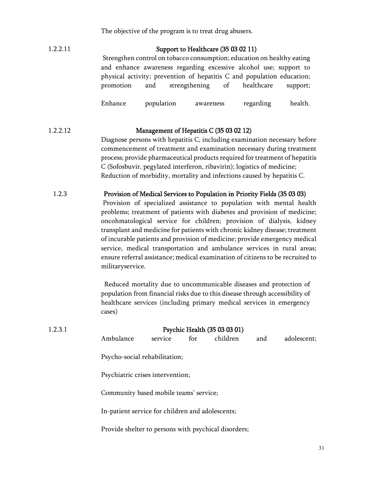The objective of the program is to treat drug abusers.

# 1.2.2.11 Support to Healthcare (35 03 02 11)

Strengthen control on tobacco consumption; education on healthy eating and enhance awareness regarding excessive alcohol use; support to physical activity; prevention of hepatitis C and population education; promotion and strengthening of healthcare support;

Enhance population awareness regarding health.

## 1.2.2.12 Management of Hepatitis C (35 03 02 12)

Diagnose persons with hepatitis C, including examination necessary before commencement of treatment and examination necessary during treatment process; provide pharmaceutical products required for treatment of hepatitis C (Sofosbuvir, pegylated interferon, ribavirin); logistics of medicine; Reduction of morbidity, mortality and infections caused by hepatitis C.

### 1.2.3 Provision of Medical Services to Population in Priority Fields (35 03 03)

Provision of specialized assistance to population with mental health problems; treatment of patients with diabetes and provision of medicine; oncohmatological service for children; provision of dialysis, kidney transplant and medicine for patients with chronic kidney disease; treatment of incurable patients and provision of medicine; provide emergency medical service, medical transportation and ambulance services in rural areas; ensure referral assistance; medical examination of citizens to be recruited to militaryservice.

 Reduced mortality due to uncommunicable diseases and protection of population from financial risks due to this disease through accessibility of healthcare services (including primary medical services in emergency cases)

| 1.2.3.1 |                                                      |                | Psychic Health (35 03 03 01) |     |             |
|---------|------------------------------------------------------|----------------|------------------------------|-----|-------------|
|         | Ambulance                                            | service<br>for | children                     | and | adolescent; |
|         | Psycho-social rehabilitation;                        |                |                              |     |             |
|         | Psychiatric crises intervention;                     |                |                              |     |             |
|         | Community based mobile teams' service;               |                |                              |     |             |
|         | In-patient service for children and adolescents;     |                |                              |     |             |
|         | Provide shelter to persons with psychical disorders; |                |                              |     |             |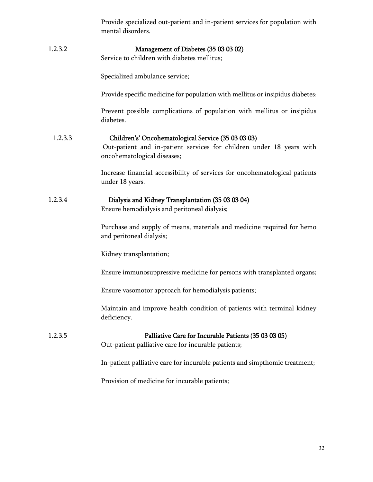|         | Provide specialized out-patient and in-patient services for population with<br>mental disorders.                                                           |
|---------|------------------------------------------------------------------------------------------------------------------------------------------------------------|
| 1.2.3.2 | Management of Diabetes (35 03 03 02)<br>Service to children with diabetes mellitus;                                                                        |
|         | Specialized ambulance service;                                                                                                                             |
|         | Provide specific medicine for population with mellitus or insipidus diabetes;                                                                              |
|         | Prevent possible complications of population with mellitus or insipidus<br>diabetes.                                                                       |
| 1.2.3.3 | Children's' Oncohematological Service (35 03 03 03)<br>Out-patient and in-patient services for children under 18 years with<br>oncohematological diseases; |
|         | Increase financial accessibility of services for oncohematological patients<br>under 18 years.                                                             |
| 1.2.3.4 | Dialysis and Kidney Transplantation (35 03 03 04)<br>Ensure hemodialysis and peritoneal dialysis;                                                          |
|         | Purchase and supply of means, materials and medicine required for hemo<br>and peritoneal dialysis;                                                         |
|         | Kidney transplantation;                                                                                                                                    |
|         | Ensure immunosuppressive medicine for persons with transplanted organs;                                                                                    |
|         | Ensure vasomotor approach for hemodialysis patients;                                                                                                       |
|         | Maintain and improve health condition of patients with terminal kidney<br>deficiency.                                                                      |
| 1.2.3.5 | Palliative Care for Incurable Patients (35 03 03 05)<br>Out-patient palliative care for incurable patients;                                                |
|         | In-patient palliative care for incurable patients and simpthomic treatment;                                                                                |
|         | Provision of medicine for incurable patients;                                                                                                              |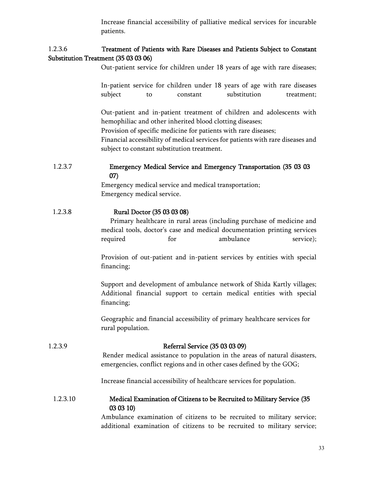Increase financial accessibility of palliative medical services for incurable patients.

## 1.2.3.6 Treatment of Patients with Rare Diseases and Patients Subject to Constant Substitution Treatment (35 03 03 06)

Out-patient service for children under 18 years of age with rare diseases;

In-patient service for children under 18 years of age with rare diseases subject to constant substitution treatment;

Out-patient and in-patient treatment of children and adolescents with hemophiliac and other inherited blood clotting diseases;

Provision of specific medicine for patients with rare diseases;

Financial accessibility of medical services for patients with rare diseases and subject to constant substitution treatment.

## 1.2.3.7 Emergency Medical Service and Emergency Transportation (35 03 03 07)

Emergency medical service and medical transportation; Emergency medical service.

## 1.2.3.8 Rural Doctor (35 03 03 08)

 Primary healthcare in rural areas (including purchase of medicine and medical tools, doctor's case and medical documentation printing services required for ambulance service);

Provision of out-patient and in-patient services by entities with special financing;

Support and development of ambulance network of Shida Kartly villages; Additional financial support to certain medical entities with special financing;

Geographic and financial accessibility of primary healthcare services for rural population.

### 1.2.3.9 Referral Service (35 03 03 09)

Render medical assistance to population in the areas of natural disasters, emergencies, conflict regions and in other cases defined by the GOG;

Increase financial accessibility of healthcare services for population.

## 1.2.3.10 Medical Examination of Citizens to be Recruited to Military Service (35 03 03 10)

Ambulance examination of citizens to be recruited to military service; additional examination of citizens to be recruited to military service;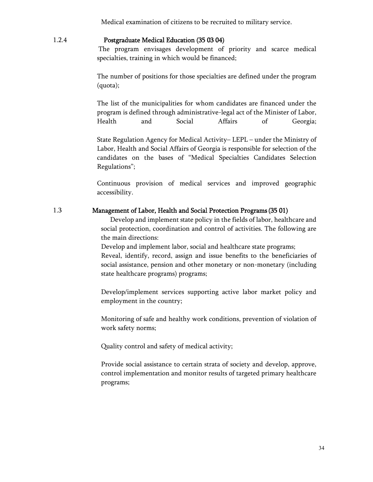Medical examination of citizens to be recruited to military service.

### 1.2.4 Postgraduate Medical Education (35 03 04)

The program envisages development of priority and scarce medical specialties, training in which would be financed;

The number of positions for those specialties are defined under the program (quota);

The list of the municipalities for whom candidates are financed under the program is defined through administrative-legal act of the Minister of Labor, Health and Social Affairs of Georgia;

State Regulation Agency for Medical Activity– LEPL – under the Ministry of Labor, Health and Social Affairs of Georgia is responsible for selection of the candidates on the bases of "Medical Specialties Candidates Selection Regulations";

Continuous provision of medical services and improved geographic accessibility.

#### 1.3 Management of Labor, Health and Social Protection Programs(35 01)

 Develop and implement state policy in the fields of labor, healthcare and social protection, coordination and control of activities. The following are the main directions:

Develop and implement labor, social and healthcare state programs; Reveal, identify, record, assign and issue benefits to the beneficiaries of social assistance, pension and other monetary or non-monetary (including state healthcare programs) programs;

Develop/implement services supporting active labor market policy and employment in the country;

Monitoring of safe and healthy work conditions, prevention of violation of work safety norms;

Quality control and safety of medical activity;

Provide social assistance to certain strata of society and develop, approve, control implementation and monitor results of targeted primary healthcare programs;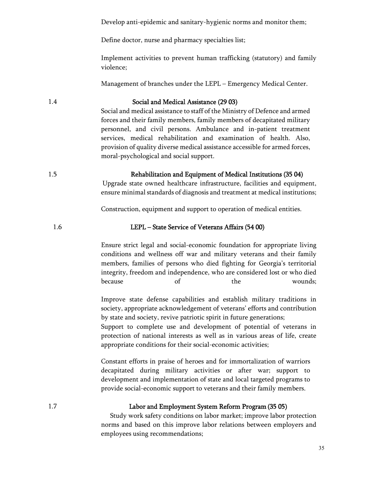Develop anti-epidemic and sanitary-hygienic norms and monitor them;

Define doctor, nurse and pharmacy specialties list;

Implement activities to prevent human trafficking (statutory) and family violence;

Management of branches under the LEPL – Emergency Medical Center.

#### 1.4 Social and Medical Assistance (29 03)

Social and medical assistance to staff of the Ministry of Defence and armed forces and their family members, family members of decapitated military personnel, and civil persons. Ambulance and in-patient treatment services, medical rehabilitation and examination of health. Also, provision of quality diverse medical assistance accessible for armed forces, moral-psychological and social support.

1.5 Rehabilitation and Equipment of Medical Institutions (35 04)

Upgrade state owned healthcare infrastructure, facilities and equipment, ensure minimal standards of diagnosis and treatment at medical institutions;

Construction, equipment and support to operation of medical entities.

#### 1.6 LEPL – State Service of Veterans Affairs (54 00)

Ensure strict legal and social-economic foundation for appropriate living conditions and wellness off war and military veterans and their family members, families of persons who died fighting for Georgia's territorial integrity, freedom and independence, who are considered lost or who died because of the wounds;

Improve state defense capabilities and establish military traditions in society, appropriate acknowledgement of veterans' efforts and contribution by state and society, revive patriotic spirit in future generations;

Support to complete use and development of potential of veterans in protection of national interests as well as in various areas of life, create appropriate conditions for their social-economic activities;

Constant efforts in praise of heroes and for immortalization of warriors decapitated during military activities or after war; support to development and implementation of state and local targeted programs to provide social-economic support to veterans and their family members.

#### 1.7 Labor and Employment System Reform Program (35 05)

 Study work safety conditions on labor market; improve labor protection norms and based on this improve labor relations between employers and employees using recommendations;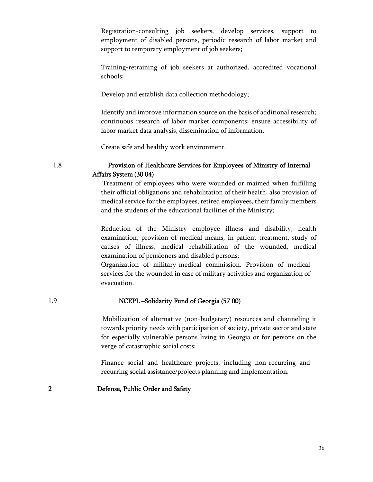Registration-consulting job seekers, develop services, support to employment of disabled persons, periodic research of labor market and support to temporary employment of job seekers;

Training-retraining of job seekers at authorized, accredited vocational schools;

Develop and establish data collection methodology;

Identify and improve information source on the basis of additional research; continuous research of labor market components; ensure accessibility of labor market data analysis, dissemination of information.

Create safe and healthy work environment.

## 1.8 Provision of Healthcare Services for Employees of Ministry of Internal Affairs System (30 04)

Treatment of employees who were wounded or maimed when fulfilling their official obligations and rehabilitation of their health, also provision of medical service for the employees, retired employees, their family members and the students of the educational facilities of the Ministry;

Reduction of the Ministry employee illness and disability, health examination, provision of medical means, in-patient treatment, study of causes of illness, medical rehabilitation of the wounded, medical examination of pensioners and disabled persons;

Organization of military-medical commission. Provision of medical services for the wounded in case of military activities and organization of evacuation.

## 1.9 NCEPL –Solidarity Fund of Georgia (57 00)

Mobilization of alternative (non-budgetary) resources and channeling it towards priority needs with participation of society, private sector and state for especially vulnerable persons living in Georgia or for persons on the verge of catastrophic social costs;

Finance social and healthcare projects, including non-recurring and recurring social assistance/projects planning and implementation.

### 2 Defense, Public Order and Safety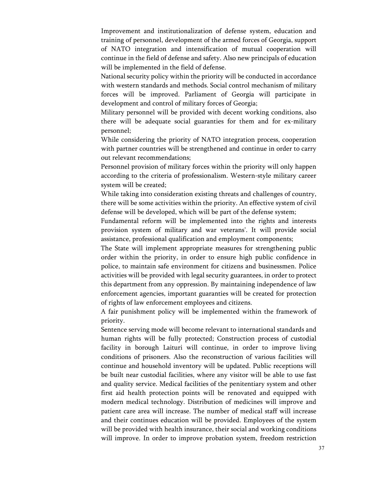Improvement and institutionalization of defense system, education and training of personnel, development of the armed forces of Georgia, support of NATO integration and intensification of mutual cooperation will continue in the field of defense and safety. Also new principals of education will be implemented in the field of defense.

National security policy within the priority will be conducted in accordance with western standards and methods. Social control mechanism of military forces will be improved. Parliament of Georgia will participate in development and control of military forces of Georgia;

Military personnel will be provided with decent working conditions, also there will be adequate social guaranties for them and for ex-military personnel;

While considering the priority of NATO integration process, cooperation with partner countries will be strengthened and continue in order to carry out relevant recommendations;

Personnel provision of military forces within the priority will only happen according to the criteria of professionalism. Western-style military career system will be created;

While taking into consideration existing threats and challenges of country, there will be some activities within the priority. An effective system of civil defense will be developed, which will be part of the defense system;

Fundamental reform will be implemented into the rights and interests provision system of military and war veterans'. It will provide social assistance, professional qualification and employment components;

The State will implement appropriate measures for strengthening public order within the priority, in order to ensure high public confidence in police, to maintain safe environment for citizens and businessmen. Police activities will be provided with legal security guarantees, in order to protect this department from any oppression. By maintaining independence of law enforcement agencies, important guaranties will be created for protection of rights of law enforcement employees and citizens.

A fair punishment policy will be implemented within the framework of priority.

Sentence serving mode will become relevant to international standards and human rights will be fully protected; Construction process of custodial facility in borough Laituri will continue, in order to improve living conditions of prisoners. Also the reconstruction of various facilities will continue and household inventory will be updated. Public receptions will be built near custodial facilities, where any visitor will be able to use fast and quality service. Medical facilities of the penitentiary system and other first aid health protection points will be renovated and equipped with modern medical technology. Distribution of medicines will improve and patient care area will increase. The number of medical staff will increase and their continues education will be provided. Employees of the system will be provided with health insurance, their social and working conditions will improve. In order to improve probation system, freedom restriction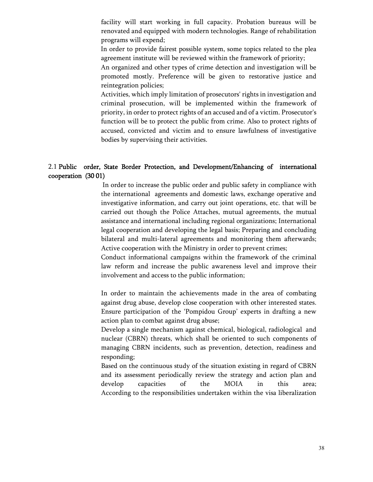facility will start working in full capacity. Probation bureaus will be renovated and equipped with modern technologies. Range of rehabilitation programs will expend;

In order to provide fairest possible system, some topics related to the plea agreement institute will be reviewed within the framework of priority;

An organized and other types of crime detection and investigation will be promoted mostly. Preference will be given to restorative justice and reintegration policies;

Activities, which imply limitation of prosecutors' rights in investigation and criminal prosecution, will be implemented within the framework of priority, in order to protect rights of an accused and of a victim. Prosecutor's function will be to protect the public from crime. Also to protect rights of accused, convicted and victim and to ensure lawfulness of investigative bodies by supervising their activities.

## 2.1 Public order, State Border Protection, and Development/Enhancing of international cooperation (30 01)

In order to increase the public order and public safety in compliance with the international agreements and domestic laws, exchange operative and investigative information, and carry out joint operations, etc. that will be carried out though the Police Attaches, mutual agreements, the mutual assistance and international including regional organizations; International legal cooperation and developing the legal basis; Preparing and concluding bilateral and multi-lateral agreements and monitoring them afterwards; Active cooperation with the Ministry in order to prevent crimes;

Conduct informational campaigns within the framework of the criminal law reform and increase the public awareness level and improve their involvement and access to the public information;

In order to maintain the achievements made in the area of combating against drug abuse, develop close cooperation with other interested states. Ensure participation of the 'Pompidou Group' experts in drafting a new action plan to combat against drug abuse;

Develop a single mechanism against chemical, biological, radiological and nuclear (CBRN) threats, which shall be oriented to such components of managing CBRN incidents, such as prevention, detection, readiness and responding;

Based on the continuous study of the situation existing in regard of CBRN and its assessment periodically review the strategy and action plan and develop capacities of the MOIA in this area; According to the responsibilities undertaken within the visa liberalization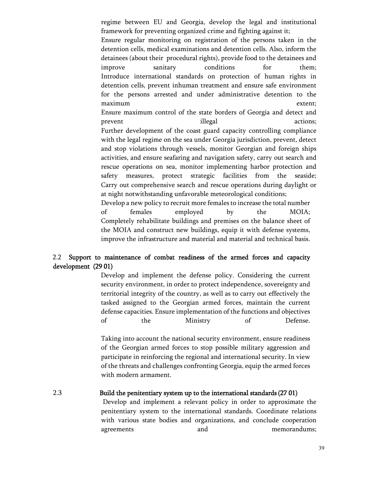regime between EU and Georgia, develop the legal and institutional framework for preventing organized crime and fighting against it;

Ensure regular monitoring on registration of the persons taken in the detention cells, medical examinations and detention cells. Also, inform the detainees (about their procedural rights), provide food to the detainees and improve sanitary conditions for them; Introduce international standards on protection of human rights in detention cells, prevent inhuman treatment and ensure safe environment for the persons arrested and under administrative detention to the maximum extent; Ensure maximum control of the state borders of Georgia and detect and prevent illegal actions; Further development of the coast guard capacity controlling compliance with the legal regime on the sea under Georgia jurisdiction, prevent, detect and stop violations through vessels, monitor Georgian and foreign ships activities, and ensure seafaring and navigation safety, carry out search and rescue operations on sea, monitor implementing harbor protection and safety measures, protect strategic facilities from the seaside; Carry out comprehensive search and rescue operations during daylight or at night notwithstanding unfavorable meteorological conditions;

Develop a new policy to recruit more females to increase the total number of females employed by the MOIA; Completely rehabilitate buildings and premises on the balance sheet of the MOIA and construct new buildings, equip it with defense systems, improve the infrastructure and material and material and technical basis.

## 2.2 Support to maintenance of combat readiness of the armed forces and capacity development (29 01)

Develop and implement the defense policy. Considering the current security environment, in order to protect independence, sovereignty and territorial integrity of the country, as well as to carry out effectively the tasked assigned to the Georgian armed forces, maintain the current defense capacities. Ensure implementation of the functions and objectives of the Ministry of Defense.

Taking into account the national security environment, ensure readiness of the Georgian armed forces to stop possible military aggression and participate in reinforcing the regional and international security. In view of the threats and challenges confronting Georgia, equip the armed forces with modern armament.

2.3 Build the penitentiary system up to the international standards(27 01) Develop and implement a relevant policy in order to approximate the penitentiary system to the international standards. Coordinate relations with various state bodies and organizations, and conclude cooperation agreements and memorandums;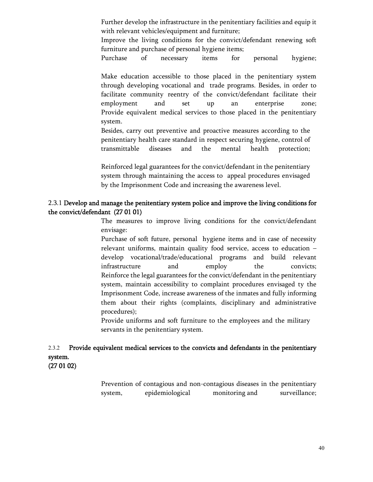Further develop the infrastructure in the penitentiary facilities and equip it with relevant vehicles/equipment and furniture;

Improve the living conditions for the convict/defendant renewing soft furniture and purchase of personal hygiene items;

Purchase of necessary items for personal hygiene;

Make education accessible to those placed in the penitentiary system through developing vocational and trade programs. Besides, in order to facilitate community reentry of the convict/defendant facilitate their employment and set up an enterprise zone; Provide equivalent medical services to those placed in the penitentiary system.

Besides, carry out preventive and proactive measures according to the penitentiary health care standard in respect securing hygiene, control of transmittable diseases and the mental health protection;

Reinforced legal guarantees for the convict/defendant in the penitentiary system through maintaining the access to appeal procedures envisaged by the Imprisonment Code and increasing the awareness level.

### 2.3.1 Develop and manage the penitentiary system police and improve the living conditions for the convict/defendant (27 01 01)

The measures to improve living conditions for the convict/defendant envisage:

Purchase of soft future, personal hygiene items and in case of necessity relevant uniforms, maintain quality food service, access to education – develop vocational/trade/educational programs and build relevant infrastructure and employ the convicts; Reinforce the legal guarantees for the convict/defendant in the penitentiary system, maintain accessibility to complaint procedures envisaged ty the Imprisonment Code, increase awareness of the inmates and fully informing them about their rights (complaints, disciplinary and administrative procedures);

Provide uniforms and soft furniture to the employees and the military servants in the penitentiary system.

## 2.3.2 Provide equivalent medical services to the convicts and defendants in the penitentiary system.

(27 01 02)

Prevention of contagious and non-contagious diseases in the penitentiary system, epidemiological monitoring and surveillance;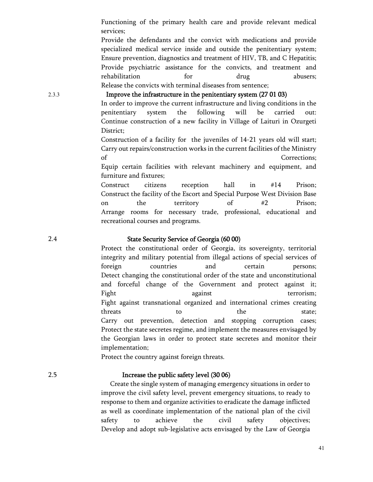Functioning of the primary health care and provide relevant medical services;

Provide the defendants and the convict with medications and provide specialized medical service inside and outside the penitentiary system; Ensure prevention, diagnostics and treatment of HIV, TB, and C Hepatitis; Provide psychiatric assistance for the convicts, and treatment and rehabilitation for drug abusers; Release the convicts with terminal diseases from sentence;

2.3.3 Improve the infrastructure in the penitentiary system (27 01 03)

In order to improve the current infrastructure and living conditions in the penitentiary system the following will be carried out: Continue construction of a new facility in Village of Laituri in Ozurgeti District;

Construction of a facility for the juveniles of 14-21 years old will start; Carry out repairs/construction works in the current facilities of the Ministry of Corrections;

Equip certain facilities with relevant machinery and equipment, and furniture and fixtures;

Construct citizens reception hall in #14 Prison; Construct the facility of the Escort and Special Purpose West Division Base on the territory of #2 Prison; Arrange rooms for necessary trade, professional, educational and recreational courses and programs.

#### 2.4 State Security Service of Georgia (60 00)

Protect the constitutional order of Georgia, its sovereignty, territorial integrity and military potential from illegal actions of special services of foreign countries and certain persons; Detect changing the constitutional order of the state and unconstitutional and forceful change of the Government and protect against it; Fight against terrorism; Fight against transnational organized and international crimes creating threats to the state; Carry out prevention, detection and stopping corruption cases; Protect the state secretes regime, and implement the measures envisaged by the Georgian laws in order to protect state secretes and monitor their implementation;

Protect the country against foreign threats.

#### 2.5 Increase the public safety level (30 06)

 Create the single system of managing emergency situations in order to improve the civil safety level, prevent emergency situations, to ready to response to them and organize activities to eradicate the damage inflicted as well as coordinate implementation of the national plan of the civil safety to achieve the civil safety objectives; Develop and adopt sub-legislative acts envisaged by the Law of Georgia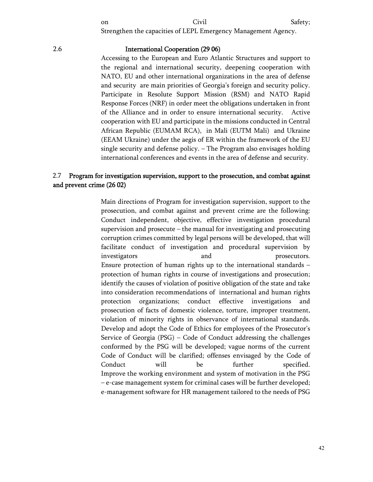Strengthen the capacities of LEPL Emergency Management Agency.

#### 2.6 International Cooperation (29 06)

Accessing to the European and Euro Atlantic Structures and support to the regional and international security, deepening cooperation with NATO, EU and other international organizations in the area of defense and security are main priorities of Georgia's foreign and security policy. Participate in Resolute Support Mission (RSM) and NATO Rapid Response Forces (NRF) in order meet the obligations undertaken in front of the Alliance and in order to ensure international security. Active cooperation with EU and participate in the missions conducted in Central African Republic (EUMAM RCA), in Mali (EUTM Mali) and Ukraine (EEAM Ukraine) under the aegis of ER within the framework of the EU single security and defense policy. – The Program also envisages holding international conferences and events in the area of defense and security.

## 2.7 Program for investigation supervision, support to the prosecution, and combat against and prevent crime (26 02)

Main directions of Program for investigation supervision, support to the prosecution, and combat against and prevent crime are the following: Conduct independent, objective, effective investigation procedural supervision and prosecute – the manual for investigating and prosecuting corruption crimes committed by legal persons will be developed, that will facilitate conduct of investigation and procedural supervision by investigators and prosecutors. Ensure protection of human rights up to the international standards – protection of human rights in course of investigations and prosecution; identify the causes of violation of positive obligation of the state and take into consideration recommendations of international and human rights protection organizations; conduct effective investigations and prosecution of facts of domestic violence, torture, improper treatment, violation of minority rights in observance of international standards. Develop and adopt the Code of Ethics for employees of the Prosecutor's Service of Georgia (PSG) – Code of Conduct addressing the challenges conformed by the PSG will be developed; vague norms of the current Code of Conduct will be clarified; offenses envisaged by the Code of Conduct will be further specified. Improve the working environment and system of motivation in the PSG – e-case management system for criminal cases will be further developed; e-management software for HR management tailored to the needs of PSG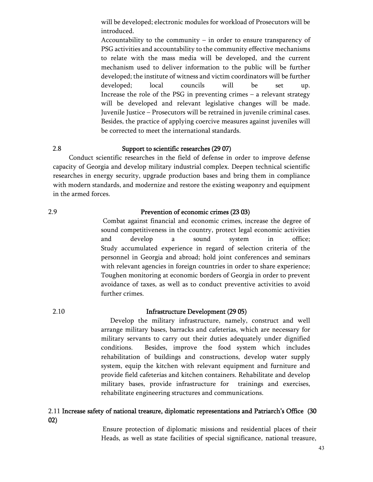will be developed; electronic modules for workload of Prosecutors will be introduced.

Accountability to the community – in order to ensure transparency of PSG activities and accountability to the community effective mechanisms to relate with the mass media will be developed, and the current mechanism used to deliver information to the public will be further developed; the institute of witness and victim coordinators will be further developed; local councils will be set up. Increase the role of the PSG in preventing crimes – a relevant strategy will be developed and relevant legislative changes will be made. Juvenile Justice – Prosecutors will be retrained in juvenile criminal cases. Besides, the practice of applying coercive measures against juveniles will be corrected to meet the international standards.

### 2.8 Support to scientific researches (29 07)

 Conduct scientific researches in the field of defense in order to improve defense capacity of Georgia and develop military industrial complex. Deepen technical scientific researches in energy security, upgrade production bases and bring them in compliance with modern standards, and modernize and restore the existing weaponry and equipment in the armed forces.

## 2.9 Prevention of economic crimes (23 03)

Combat against financial and economic crimes, increase the degree of sound competitiveness in the country, protect legal economic activities and develop a sound system in office; Study accumulated experience in regard of selection criteria of the personnel in Georgia and abroad; hold joint conferences and seminars with relevant agencies in foreign countries in order to share experience; Toughen monitoring at economic borders of Georgia in order to prevent avoidance of taxes, as well as to conduct preventive activities to avoid further crimes.

### 2.10 Infrastructure Development (29 05)

Develop the military infrastructure, namely, construct and well arrange military bases, barracks and cafeterias, which are necessary for military servants to carry out their duties adequately under dignified conditions. Besides, improve the food system which includes rehabilitation of buildings and constructions, develop water supply system, equip the kitchen with relevant equipment and furniture and provide field cafeterias and kitchen containers. Rehabilitate and develop military bases, provide infrastructure for trainings and exercises, rehabilitate engineering structures and communications.

## 2.11 Increase safety of national treasure, diplomatic representations and Patriarch's Office (30 02)

Ensure protection of diplomatic missions and residential places of their Heads, as well as state facilities of special significance, national treasure,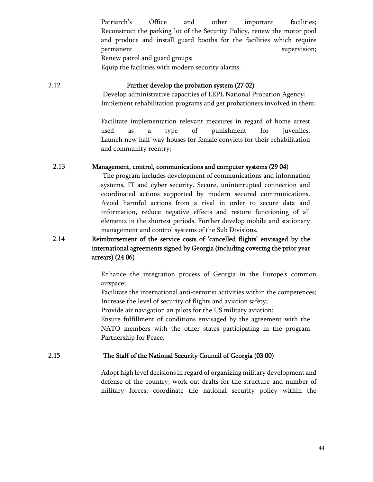Patriarch's Office and other important facilities; Reconstruct the parking lot of the Security Policy, renew the motor pool and produce and install guard booths for the facilities which require permanent supervision; Renew patrol and guard groups;

Equip the facilities with modern security alarms.

## 2.12 Further develop the probation system (27 02)

Develop administrative capacities of LEPL National Probation Agency; Implement rehabilitation programs and get probationers involved in them;

Facilitate implementation relevant measures in regard of home arrest used as a type of punishment for juveniles. Launch new half-way houses for female convicts for their rehabilitation and community reentry;

## 2.13 Management, control, communications and computer systems (29 04)

The program includes development of communications and information systems, IT and cyber security. Secure, uninterrupted connection and coordinated actions supported by modern secured communications. Avoid harmful actions from a rival in order to secure data and information, reduce negative effects and restore functioning of all elements in the shortest periods. Further develop mobile and stationary management and control systems of the Sub Divisions.

## 2.14 Reimbursement of the service costs of 'cancelled flights' envisaged by the international agreements signed by Georgia (including covering the prior year arrears) (24 06)

Enhance the integration process of Georgia in the Europe's common airspace;

Facilitate the international anti-terrorist activities within the competences; Increase the level of security of flights and aviation safety;

Provide air navigation an pilots for the US military aviation;

Ensure fulfillment of conditions envisaged by the agreement with the NATO members with the other states participating in the program Partnership for Peace.

## 2.15 The Staff of the National Security Council of Georgia (03 00)

Adopt high level decisions in regard of organizing military development and defense of the country; work out drafts for the structure and number of military forces; coordinate the national security policy within the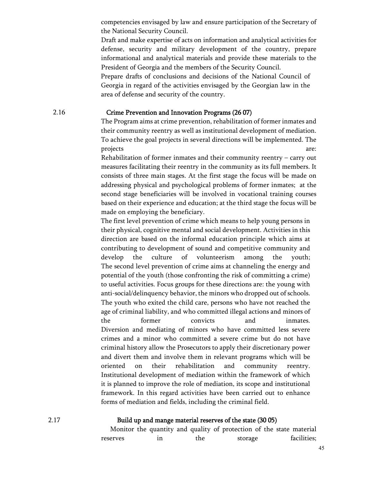competencies envisaged by law and ensure participation of the Secretary of the National Security Council.

Draft and make expertise of acts on information and analytical activities for defense, security and military development of the country, prepare informational and analytical materials and provide these materials to the President of Georgia and the members of the Security Council.

Prepare drafts of conclusions and decisions of the National Council of Georgia in regard of the activities envisaged by the Georgian law in the area of defense and security of the country.

#### 2.16 Crime Prevention and Innovation Programs (26 07)

The Program aims at crime prevention, rehabilitation of former inmates and their community reentry as well as institutional development of mediation. To achieve the goal projects in several directions will be implemented. The projects are:

Rehabilitation of former inmates and their community reentry – carry out measures facilitating their reentry in the community as its full members. It consists of three main stages. At the first stage the focus will be made on addressing physical and psychological problems of former inmates; at the second stage beneficiaries will be involved in vocational training courses based on their experience and education; at the third stage the focus will be made on employing the beneficiary.

The first level prevention of crime which means to help young persons in their physical, cognitive mental and social development. Activities in this direction are based on the informal education principle which aims at contributing to development of sound and competitive community and develop the culture of volunteerism among the youth; The second level prevention of crime aims at channeling the energy and potential of the youth (those confronting the risk of committing a crime) to useful activities. Focus groups for these directions are: the young with anti-social/delinquency behavior, the minors who dropped out of schools. The youth who exited the child care, persons who have not reached the age of criminal liability, and who committed illegal actions and minors of the former convicts and inmates. Diversion and mediating of minors who have committed less severe crimes and a minor who committed a severe crime but do not have criminal history allow the Prosecutors to apply their discretionary power and divert them and involve them in relevant programs which will be oriented on their rehabilitation and community reentry. Institutional development of mediation within the framework of which it is planned to improve the role of mediation, its scope and institutional framework. In this regard activities have been carried out to enhance forms of mediation and fields, including the criminal field.

### 2.17 Build up and mange material reserves of the state (30 05)

|          |    |     |         | Monitor the quantity and quality of protection of the state material |
|----------|----|-----|---------|----------------------------------------------------------------------|
| reserves | ın | the | storage | facilities;                                                          |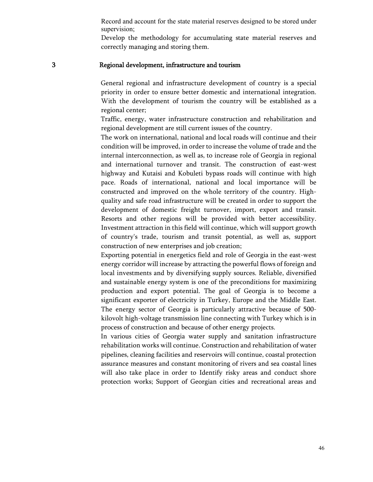Record and account for the state material reserves designed to be stored under supervision;

Develop the methodology for accumulating state material reserves and correctly managing and storing them.

#### 3 Regional development, infrastructure and tourism

General regional and infrastructure development of country is a special priority in order to ensure better domestic and international integration. With the development of tourism the country will be established as a regional center;

Traffic, energy, water infrastructure construction and rehabilitation and regional development are still current issues of the country.

The work on international, national and local roads will continue and their condition will be improved, in order to increase the volume of trade and the internal interconnection, as well as, to increase role of Georgia in regional and international turnover and transit. The construction of east-west highway and Kutaisi and Kobuleti bypass roads will continue with high pace. Roads of international, national and local importance will be constructed and improved on the whole territory of the country. Highquality and safe road infrastructure will be created in order to support the development of domestic freight turnover, import, export and transit. Resorts and other regions will be provided with better accessibility. Investment attraction in this field will continue, which will support growth of country's trade, tourism and transit potential, as well as, support construction of new enterprises and job creation;

Exporting potential in energetics field and role of Georgia in the east-west energy corridor will increase by attracting the powerful flows of foreign and local investments and by diversifying supply sources. Reliable, diversified and sustainable energy system is one of the preconditions for maximizing production and export potential. The goal of Georgia is to become a significant exporter of electricity in Turkey, Europe and the Middle East. The energy sector of Georgia is particularly attractive because of 500 kilovolt high-voltage transmission line connecting with Turkey which is in process of construction and because of other energy projects.

In various cities of Georgia water supply and sanitation infrastructure rehabilitation works will continue. Construction and rehabilitation of water pipelines, cleaning facilities and reservoirs will continue, coastal protection assurance measures and constant monitoring of rivers and sea coastal lines will also take place in order to Identify risky areas and conduct shore protection works; Support of Georgian cities and recreational areas and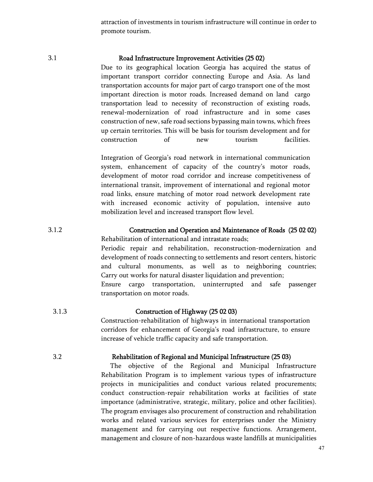attraction of investments in tourism infrastructure will continue in order to promote tourism.

#### 3.1 Road Infrastructure Improvement Activities (25 02)

Due to its geographical location Georgia has acquired the status of important transport corridor connecting Europe and Asia. As land transportation accounts for major part of cargo transport one of the most important direction is motor roads. Increased demand on land cargo transportation lead to necessity of reconstruction of existing roads, renewal-modernization of road infrastructure and in some cases construction of new, safe road sections bypassing main towns, which frees up certain territories. This will be basis for tourism development and for construction of new tourism facilities.

Integration of Georgia's road network in international communication system, enhancement of capacity of the country's motor roads, development of motor road corridor and increase competitiveness of international transit, improvement of international and regional motor road links, ensure matching of motor road network development rate with increased economic activity of population, intensive auto mobilization level and increased transport flow level.

#### 3.1.2 Construction and Operation and Maintenance of Roads (25 02 02)

Rehabilitation of international and intrastate roads;

Periodic repair and rehabilitation, reconstruction-modernization and development of roads connecting to settlements and resort centers, historic and cultural monuments, as well as to neighboring countries; Carry out works for natural disaster liquidation and prevention; Ensure cargo transportation, uninterrupted and safe passenger

transportation on motor roads.

#### 3.1.3 Construction of Highway (25 02 03)

Construction-rehabilitation of highways in international transportation corridors for enhancement of Georgia's road infrastructure, to ensure increase of vehicle traffic capacity and safe transportation.

#### 3.2 Rehabilitation of Regional and Municipal Infrastructure (25 03)

 The objective of the Regional and Municipal Infrastructure Rehabilitation Program is to implement various types of infrastructure projects in municipalities and conduct various related procurements; conduct construction-repair rehabilitation works at facilities of state importance (administrative, strategic, military, police and other facilities). The program envisages also procurement of construction and rehabilitation works and related various services for enterprises under the Ministry management and for carrying out respective functions. Arrangement, management and closure of non-hazardous waste landfills at municipalities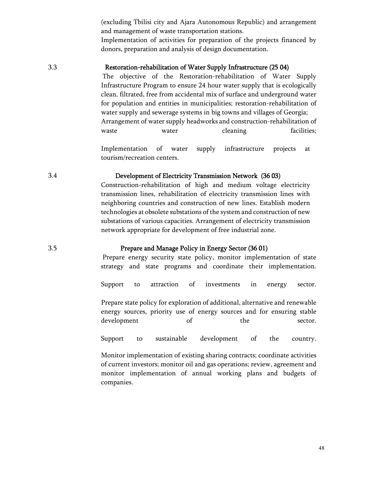(excluding Tbilisi city and Ajara Autonomous Republic) and arrangement and management of waste transportation stations.

Implementation of activities for preparation of the projects financed by donors, preparation and analysis of design documentation.

### 3.3 Restoration-rehabilitation of Water Supply Infrastructure (25 04)

The objective of the Restoration-rehabilitation of Water Supply Infrastructure Program to ensure 24 hour water supply that is ecologically clean, filtrated, free from accidental mix of surface and underground water for population and entities in municipalities; restoration-rehabilitation of water supply and sewerage systems in big towns and villages of Georgia; Arrangement of water supply headworks and construction-rehabilitation of waste water cleaning facilities;

Implementation of water supply infrastructure projects at tourism/recreation centers.

#### 3.4 Development of Electricity Transmission Network (36 03)

Construction-rehabilitation of high and medium voltage electricity transmission lines, rehabilitation of electricity transmission lines with neighboring countries and construction of new lines. Establish modern technologies at obsolete substations of the system and construction of new substations of various capacities. Arrangement of electricity transmission network appropriate for development of free industrial zone.

#### 3.5 Prepare and Manage Policy in Energy Sector (36 01)

Prepare energy security state policy, monitor implementation of state strategy and state programs and coordinate their implementation.

Support to attraction of investments in energy sector.

Prepare state policy for exploration of additional, alternative and renewable energy sources, priority use of energy sources and for ensuring stable development of the sector.

Support to sustainable development of the country.

Monitor implementation of existing sharing contracts; coordinate activities of current investors; monitor oil and gas operations; review, agreement and monitor implementation of annual working plans and budgets of companies.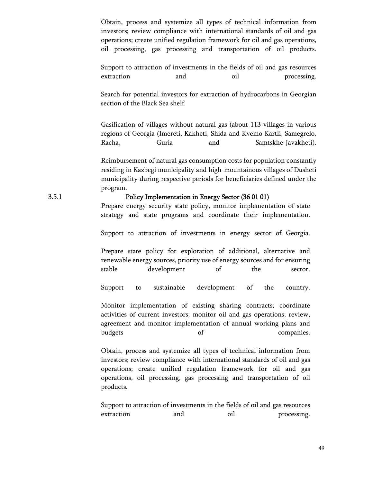Obtain, process and systemize all types of technical information from investors; review compliance with international standards of oil and gas operations; create unified regulation framework for oil and gas operations, oil processing, gas processing and transportation of oil products.

Support to attraction of investments in the fields of oil and gas resources extraction and oil processing.

Search for potential investors for extraction of hydrocarbons in Georgian section of the Black Sea shelf.

Gasification of villages without natural gas (about 113 villages in various regions of Georgia (Imereti, Kakheti, Shida and Kvemo Kartli, Samegrelo, Racha, Guria and Samtskhe-Javakheti).

Reimbursement of natural gas consumption costs for population constantly residing in Kazbegi municipality and high-mountainous villages of Dusheti municipality during respective periods for beneficiaries defined under the program.

#### 3.5.1 Policy Implementation in Energy Sector (36 01 01)

Prepare energy security state policy, monitor implementation of state strategy and state programs and coordinate their implementation.

Support to attraction of investments in energy sector of Georgia.

Prepare state policy for exploration of additional, alternative and renewable energy sources, priority use of energy sources and for ensuring stable development of the sector.

Support to sustainable development of the country.

Monitor implementation of existing sharing contracts; coordinate activities of current investors; monitor oil and gas operations; review, agreement and monitor implementation of annual working plans and budgets of companies.

Obtain, process and systemize all types of technical information from investors; review compliance with international standards of oil and gas operations; create unified regulation framework for oil and gas operations, oil processing, gas processing and transportation of oil products.

Support to attraction of investments in the fields of oil and gas resources extraction and oil processing.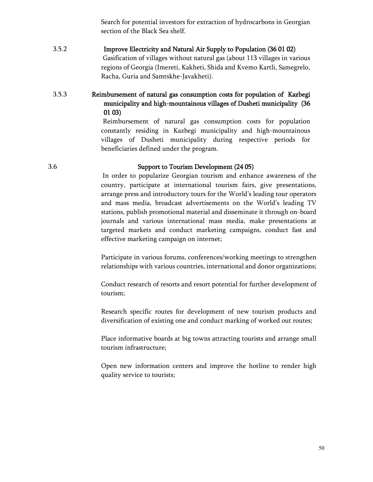Search for potential investors for extraction of hydrocarbons in Georgian section of the Black Sea shelf.

## 3.5.2 Improve Electricity and Natural Air Supply to Population (36 01 02) Gasification of villages without natural gas (about 113 villages in various regions of Georgia (Imereti, Kakheti, Shida and Kvemo Kartli, Samegrelo, Racha, Guria and Samtskhe-Javakheti).

## 3.5.3 Reimbursement of natural gas consumption costs for population of Kazbegi municipality and high-mountainous villages of Dusheti municipality (36 01 03)

Reimbursement of natural gas consumption costs for population constantly residing in Kazbegi municipality and high-mountainous villages of Dusheti municipality during respective periods for beneficiaries defined under the program.

### 3.6 Support to Tourism Development (24 05)

In order to popularize Georgian tourism and enhance awareness of the country, participate at international tourism fairs, give presentations, arrange press and introductory tours for the World's leading tour operators and mass media, broadcast advertisements on the World's leading TV stations, publish promotional material and disseminate it through on-board journals and various international mass media, make presentations at targeted markets and conduct marketing campaigns, conduct fast and effective marketing campaign on internet;

Participate in various forums, conferences/working meetings to strengthen relationships with various countries, international and donor organizations;

Conduct research of resorts and resort potential for further development of tourism;

Research specific routes for development of new tourism products and diversification of existing one and conduct marking of worked out routes;

Place informative boards at big towns attracting tourists and arrange small tourism infrastructure;

Open new information centers and improve the hotline to render high quality service to tourists;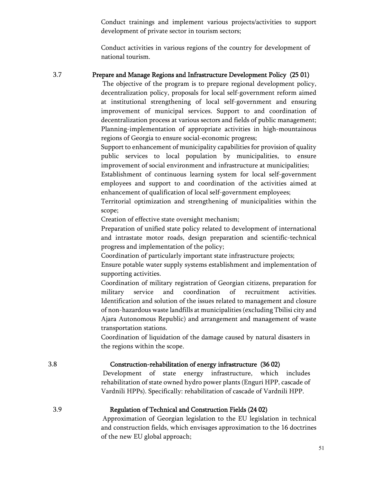Conduct trainings and implement various projects/activities to support development of private sector in tourism sectors;

Conduct activities in various regions of the country for development of national tourism.

## 3.7 Prepare and Manage Regions and Infrastructure Development Policy (25 01)

The objective of the program is to prepare regional development policy, decentralization policy, proposals for local self-government reform aimed at institutional strengthening of local self-government and ensuring improvement of municipal services. Support to and coordination of decentralization process at various sectors and fields of public management; Planning-implementation of appropriate activities in high-mountainous regions of Georgia to ensure social-economic progress;

Support to enhancement of municipality capabilities for provision of quality public services to local population by municipalities, to ensure improvement of social environment and infrastructure at municipalities;

Establishment of continuous learning system for local self-government employees and support to and coordination of the activities aimed at enhancement of qualification of local self-government employees;

Territorial optimization and strengthening of municipalities within the scope;

Creation of effective state oversight mechanism;

Preparation of unified state policy related to development of international and intrastate motor roads, design preparation and scientific-technical progress and implementation of the policy;

Coordination of particularly important state infrastructure projects;

Ensure potable water supply systems establishment and implementation of supporting activities.

Coordination of military registration of Georgian citizens, preparation for military service and coordination of recruitment activities. Identification and solution of the issues related to management and closure of non-hazardous waste landfills at municipalities (excluding Tbilisi city and Ajara Autonomous Republic) and arrangement and management of waste transportation stations.

Coordination of liquidation of the damage caused by natural disasters in the regions within the scope.

#### 3.8 Construction-rehabilitation of energy infrastructure (36 02)

Development of state energy infrastructure, which includes rehabilitation of state owned hydro power plants (Enguri HPP, cascade of Vardnili HPPs). Specifically: rehabilitation of cascade of Vardnili HPP.

## 3.9 Regulation of Technical and Construction Fields (24 02)

Approximation of Georgian legislation to the EU legislation in technical and construction fields, which envisages approximation to the 16 doctrines of the new EU global approach;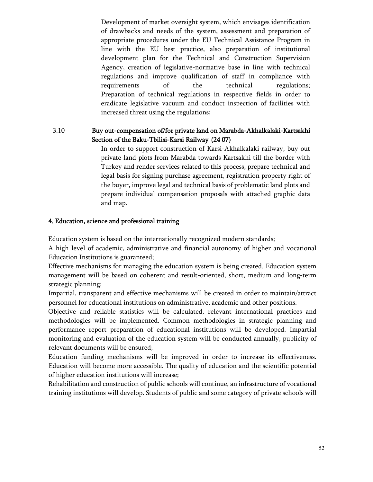Development of market oversight system, which envisages identification of drawbacks and needs of the system, assessment and preparation of appropriate procedures under the EU Technical Assistance Program in line with the EU best practice, also preparation of institutional development plan for the Technical and Construction Supervision Agency, creation of legislative-normative base in line with technical regulations and improve qualification of staff in compliance with requirements of the technical regulations; Preparation of technical regulations in respective fields in order to eradicate legislative vacuum and conduct inspection of facilities with increased threat using the regulations;

## 3.10 Buy out-compensation of/for private land on Marabda-Akhalkalaki-Kartsakhi Section of the Baku-Tbilisi-Karsi Railway (24 07)

In order to support construction of Karsi-Akhalkalaki railway, buy out private land plots from Marabda towards Kartsakhi till the border with Turkey and render services related to this process, prepare technical and legal basis for signing purchase agreement, registration property right of the buyer, improve legal and technical basis of problematic land plots and prepare individual compensation proposals with attached graphic data and map.

## 4. Education, science and professional training

Education system is based on the internationally recognized modern standards;

A high level of academic, administrative and financial autonomy of higher and vocational Education Institutions is guaranteed;

Effective mechanisms for managing the education system is being created. Education system management will be based on coherent and result-oriented, short, medium and long-term strategic planning;

Impartial, transparent and effective mechanisms will be created in order to maintain/attract personnel for educational institutions on administrative, academic and other positions.

Objective and reliable statistics will be calculated, relevant international practices and methodologies will be implemented. Common methodologies in strategic planning and performance report preparation of educational institutions will be developed. Impartial monitoring and evaluation of the education system will be conducted annually, publicity of relevant documents will be ensured;

Education funding mechanisms will be improved in order to increase its effectiveness. Education will become more accessible. The quality of education and the scientific potential of higher education institutions will increase;

Rehabilitation and construction of public schools will continue, an infrastructure of vocational training institutions will develop. Students of public and some category of private schools will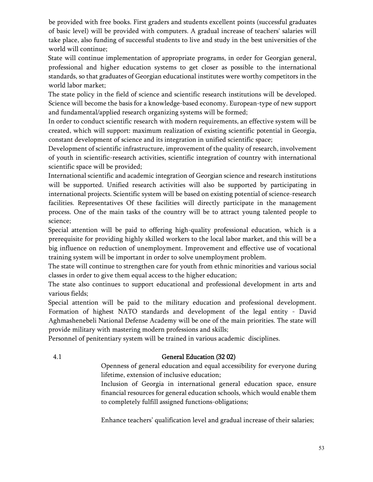be provided with free books. First graders and students excellent points (successful graduates of basic level) will be provided with computers. A gradual increase of teachers' salaries will take place, also funding of successful students to live and study in the best universities of the world will continue;

State will continue implementation of appropriate programs, in order for Georgian general, professional and higher education systems to get closer as possible to the international standards, so that graduates of Georgian educational institutes were worthy competitors in the world labor market;

The state policy in the field of science and scientific research institutions will be developed. Science will become the basis for a knowledge-based economy. European-type of new support and fundamental/applied research organizing systems will be formed;

In order to conduct scientific research with modern requirements, an effective system will be created, which will support: maximum realization of existing scientific potential in Georgia, constant development of science and its integration in unified scientific space;

Development of scientific infrastructure, improvement of the quality of research, involvement of youth in scientific-research activities, scientific integration of country with international scientific space will be provided;

International scientific and academic integration of Georgian science and research institutions will be supported. Unified research activities will also be supported by participating in international projects. Scientific system will be based on existing potential of science-research facilities. Representatives Of these facilities will directly participate in the management process. One of the main tasks of the country will be to attract young talented people to science;

Special attention will be paid to offering high-quality professional education, which is a prerequisite for providing highly skilled workers to the local labor market, and this will be a big influence on reduction of unemployment. Improvement and effective use of vocational training system will be important in order to solve unemployment problem.

The state will continue to strengthen care for youth from ethnic minorities and various social classes in order to give them equal access to the higher education;

The state also continues to support educational and professional development in arts and various fields;

Special attention will be paid to the military education and professional development. Formation of highest NATO standards and development of the legal entity - David Aghmashenebeli National Defense Academy will be one of the main priorities. The state will provide military with mastering modern professions and skills;

Personnel of penitentiary system will be trained in various academic disciplines.

## 4.1 General Education (32 02)

Openness of general education and equal accessibility for everyone during lifetime, extension of inclusive education;

Inclusion of Georgia in international general education space, ensure financial resources for general education schools, which would enable them to completely fulfill assigned functions-obligations;

Enhance teachers' qualification level and gradual increase of their salaries;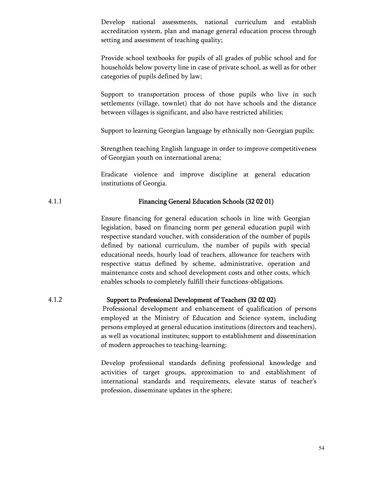Develop national assessments, national curriculum and establish accreditation system, plan and manage general education process through setting and assessment of teaching quality;

Provide school textbooks for pupils of all grades of public school and for households below poverty line in case of private school, as well as for other categories of pupils defined by law;

Support to transportation process of those pupils who live in such settlements (village, townlet) that do not have schools and the distance between villages is significant, and also have restricted abilities;

Support to learning Georgian language by ethnically non-Georgian pupils;

Strengthen teaching English language in order to improve competitiveness of Georgian youth on international arena;

Eradicate violence and improve discipline at general education institutions of Georgia.

## 4.1.1 Financing General Education Schools (32 02 01)

Ensure financing for general education schools in line with Georgian legislation, based on financing norm per general education pupil with respective standard voucher, with consideration of the number of pupils defined by national curriculum, the number of pupils with special educational needs, hourly load of teachers, allowance for teachers with respective status defined by scheme, administrative, operation and maintenance costs and school development costs and other costs, which enables schools to completely fulfill their functions-obligations.

### 4.1.2 Support to Professional Development of Teachers (32 02 02)

Professional development and enhancement of qualification of persons employed at the Ministry of Education and Science system, including persons employed at general education institutions (directors and teachers), as well as vocational institutes; support to establishment and dissemination of modern approaches to teaching-learning;

Develop professional standards defining professional knowledge and activities of target groups, approximation to and establishment of international standards and requirements, elevate status of teacher's profession, disseminate updates in the sphere;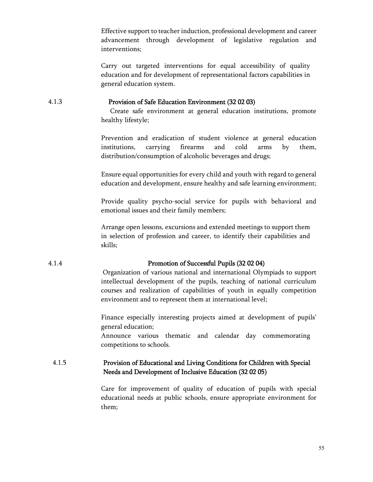Effective support to teacher induction, professional development and career advancement through development of legislative regulation and interventions;

Carry out targeted interventions for equal accessibility of quality education and for development of representational factors capabilities in general education system.

#### 4.1.3 Provision of Safe Education Environment (32 02 03)

 Create safe environment at general education institutions, promote healthy lifestyle;

Prevention and eradication of student violence at general education institutions, carrying firearms and cold arms by them, distribution/consumption of alcoholic beverages and drugs;

Ensure equal opportunities for every child and youth with regard to general education and development, ensure healthy and safe learning environment;

Provide quality psycho-social service for pupils with behavioral and emotional issues and their family members;

Arrange open lessons, excursions and extended meetings to support them in selection of profession and career, to identify their capabilities and skills;

### 4.1.4 Promotion of Successful Pupils (32 02 04)

Organization of various national and international Olympiads to support intellectual development of the pupils, teaching of national curriculum courses and realization of capabilities of youth in equally competition environment and to represent them at international level;

Finance especially interesting projects aimed at development of pupils' general education;

Announce various thematic and calendar day commemorating competitions to schools.

## 4.1.5 Provision of Educational and Living Conditions for Children with Special Needs and Development of Inclusive Education (32 02 05)

Care for improvement of quality of education of pupils with special educational needs at public schools, ensure appropriate environment for them;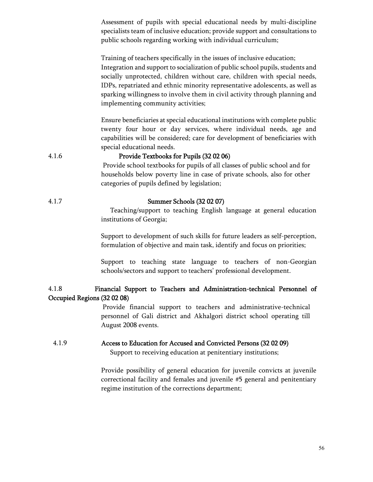Assessment of pupils with special educational needs by multi-discipline specialists team of inclusive education; provide support and consultations to public schools regarding working with individual curriculum;

Training of teachers specifically in the issues of inclusive education; Integration and support to socialization of public school pupils, students and socially unprotected, children without care, children with special needs, IDPs, repatriated and ethnic minority representative adolescents, as well as sparking willingness to involve them in civil activity through planning and implementing community activities;

Ensure beneficiaries at special educational institutions with complete public twenty four hour or day services, where individual needs, age and capabilities will be considered; care for development of beneficiaries with special educational needs.

#### 4.1.6 Provide Textbooks for Pupils (32 02 06)

Provide school textbooks for pupils of all classes of public school and for households below poverty line in case of private schools, also for other categories of pupils defined by legislation;

### 4.1.7 Summer Schools (32 02 07)

 Teaching/support to teaching English language at general education institutions of Georgia;

Support to development of such skills for future leaders as self-perception, formulation of objective and main task, identify and focus on priorities;

Support to teaching state language to teachers of non-Georgian schools/sectors and support to teachers' professional development.

## 4.1.8 Financial Support to Teachers and Administration-technical Personnel of Occupied Regions (32 02 08)

Provide financial support to teachers and administrative-technical personnel of Gali district and Akhalgori district school operating till August 2008 events.

# 4.1.9 Access to Education for Accused and Convicted Persons (32 02 09)

Support to receiving education at penitentiary institutions;

Provide possibility of general education for juvenile convicts at juvenile correctional facility and females and juvenile #5 general and penitentiary regime institution of the corrections department;

56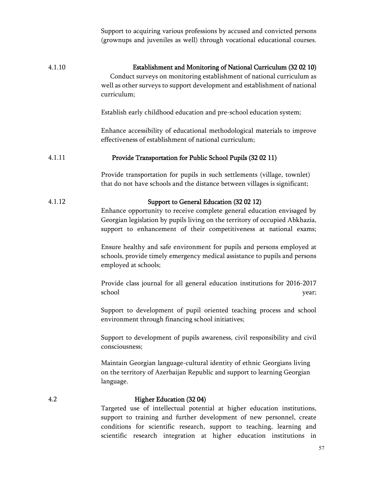|        | Support to acquiring various professions by accused and convicted persons<br>(grownups and juveniles as well) through vocational educational courses.                                                                                                                   |
|--------|-------------------------------------------------------------------------------------------------------------------------------------------------------------------------------------------------------------------------------------------------------------------------|
| 4.1.10 | Establishment and Monitoring of National Curriculum (32 02 10)<br>Conduct surveys on monitoring establishment of national curriculum as<br>well as other surveys to support development and establishment of national<br>curriculum;                                    |
|        | Establish early childhood education and pre-school education system;                                                                                                                                                                                                    |
|        | Enhance accessibility of educational methodological materials to improve<br>effectiveness of establishment of national curriculum;                                                                                                                                      |
| 4.1.11 | Provide Transportation for Public School Pupils (32 02 11)                                                                                                                                                                                                              |
|        | Provide transportation for pupils in such settlements (village, townlet)<br>that do not have schools and the distance between villages is significant;                                                                                                                  |
| 4.1.12 | Support to General Education (32 02 12)<br>Enhance opportunity to receive complete general education envisaged by<br>Georgian legislation by pupils living on the territory of occupied Abkhazia,<br>support to enhancement of their competitiveness at national exams; |
|        | Ensure healthy and safe environment for pupils and persons employed at<br>schools, provide timely emergency medical assistance to pupils and persons<br>employed at schools;                                                                                            |
|        | Provide class journal for all general education institutions for 2016-2017<br>school<br>year;                                                                                                                                                                           |
|        | Support to development of pupil oriented teaching process and school<br>environment through financing school initiatives;                                                                                                                                               |
|        | Support to development of pupils awareness, civil responsibility and civil<br>consciousness;                                                                                                                                                                            |
|        | Maintain Georgian language-cultural identity of ethnic Georgians living<br>on the territory of Azerbaijan Republic and support to learning Georgian<br>language.                                                                                                        |
| 4.2    | <b>Higher Education (3204)</b><br>Targeted use of intellectual potential at higher education institutions,<br>support to training and further development of new personnel, create<br>conditions for scientific research, support to teaching, learning and             |

scientific research integration at higher education institutions in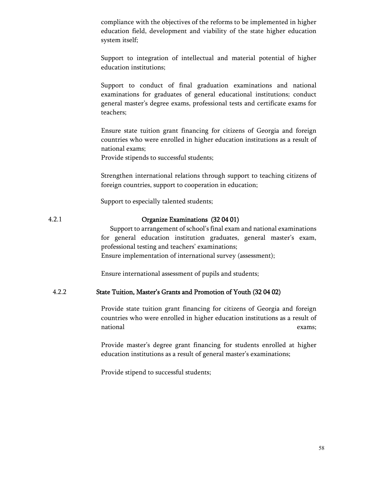compliance with the objectives of the reforms to be implemented in higher education field, development and viability of the state higher education system itself;

Support to integration of intellectual and material potential of higher education institutions;

Support to conduct of final graduation examinations and national examinations for graduates of general educational institutions; conduct general master's degree exams, professional tests and certificate exams for teachers;

Ensure state tuition grant financing for citizens of Georgia and foreign countries who were enrolled in higher education institutions as a result of national exams;

Provide stipends to successful students;

Strengthen international relations through support to teaching citizens of foreign countries, support to cooperation in education;

Support to especially talented students;

#### 4.2.1 Organize Examinations (32 04 01)

 Support to arrangement of school's final exam and national examinations for general education institution graduates, general master's exam, professional testing and teachers' examinations; Ensure implementation of international survey (assessment);

Ensure international assessment of pupils and students;

#### 4.2.2 State Tuition, Master's Grants and Promotion of Youth (32 04 02)

Provide state tuition grant financing for citizens of Georgia and foreign countries who were enrolled in higher education institutions as a result of national exams;

Provide master's degree grant financing for students enrolled at higher education institutions as a result of general master's examinations;

Provide stipend to successful students;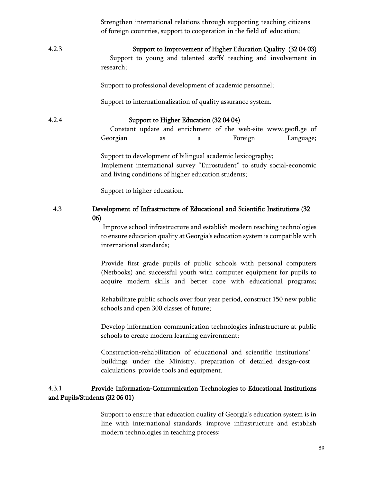|       | Strengthen international relations through supporting teaching citizens<br>of foreign countries, support to cooperation in the field of education;                                                                |
|-------|-------------------------------------------------------------------------------------------------------------------------------------------------------------------------------------------------------------------|
| 4.2.3 | Support to Improvement of Higher Education Quality (32 04 03)<br>Support to young and talented staffs' teaching and involvement in<br>research;                                                                   |
|       | Support to professional development of academic personnel;                                                                                                                                                        |
|       | Support to internationalization of quality assurance system.                                                                                                                                                      |
| 4.2.4 | Support to Higher Education (32 04 04)<br>Constant update and enrichment of the web-site www.geofl.ge of<br>Georgian<br>Foreign<br>Language;<br>as<br>a                                                           |
|       | Support to development of bilingual academic lexicography;<br>Implement international survey "Eurostudent" to study social-economic<br>and living conditions of higher education students;                        |
|       | Support to higher education.                                                                                                                                                                                      |
| 4.3   | Development of Infrastructure of Educational and Scientific Institutions (32<br>06)                                                                                                                               |
|       | Improve school infrastructure and establish modern teaching technologies<br>to ensure education quality at Georgia's education system is compatible with<br>international standards;                              |
|       | Provide first grade pupils of public schools with personal computers<br>(Netbooks) and successful youth with computer equipment for pupils to<br>acquire modern skills and better cope with educational programs; |
|       | Rehabilitate public schools over four year period, construct 150 new public<br>schools and open 300 classes of future;                                                                                            |
|       | Develop information-communication technologies infrastructure at public<br>schools to create modern learning environment;                                                                                         |
|       | Construction-rehabilitation of educational and scientific institutions'<br>buildings under the Ministry, preparation of detailed design-cost<br>calculations, provide tools and equipment.                        |
| 4.3.1 | Provide Information-Communication Technologies to Educational Institutions<br>and Pupils/Students (32 06 01)                                                                                                      |
|       | Support to ensure that education quality of Georgia's education system is in<br>line with international standards, improve infrastructure and establish<br>modern technologies in teaching process;               |

## 59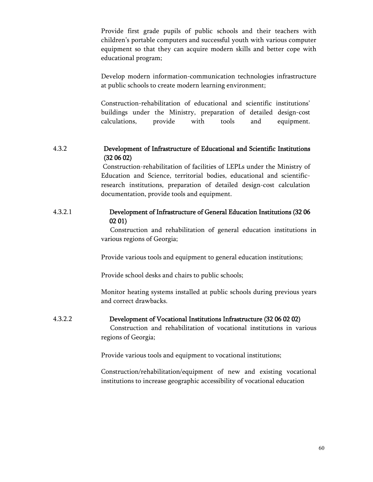Provide first grade pupils of public schools and their teachers with children's portable computers and successful youth with various computer equipment so that they can acquire modern skills and better cope with educational program;

Develop modern information-communication technologies infrastructure at public schools to create modern learning environment;

Construction-rehabilitation of educational and scientific institutions' buildings under the Ministry, preparation of detailed design-cost calculations, provide with tools and equipment.

## 4.3.2 Development of Infrastructure of Educational and Scientific Institutions (32 06 02)

Construction-rehabilitation of facilities of LEPLs under the Ministry of Education and Science, territorial bodies, educational and scientificresearch institutions, preparation of detailed design-cost calculation documentation, provide tools and equipment.

## 4.3.2.1 Development of Infrastructure of General Education Institutions (32 06 02 01)

 Construction and rehabilitation of general education institutions in various regions of Georgia;

Provide various tools and equipment to general education institutions;

Provide school desks and chairs to public schools;

Monitor heating systems installed at public schools during previous years and correct drawbacks.

# 4.3.2.2 Development of Vocational Institutions Infrastructure (32 06 02 02)

 Construction and rehabilitation of vocational institutions in various regions of Georgia;

Provide various tools and equipment to vocational institutions;

Construction/rehabilitation/equipment of new and existing vocational institutions to increase geographic accessibility of vocational education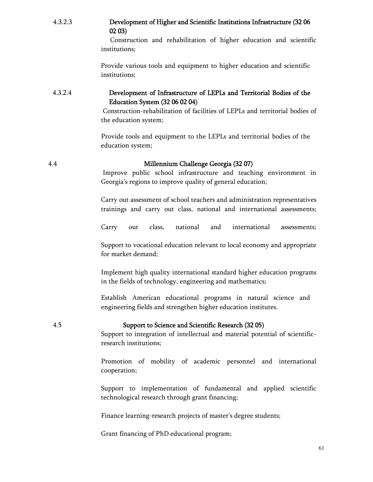| 4.3.2.3 | Development of Higher and Scientific Institutions Infrastructure (32 06 |
|---------|-------------------------------------------------------------------------|
|         | 0203                                                                    |

 Construction and rehabilitation of higher education and scientific institutions;

Provide various tools and equipment to higher education and scientific institutions;

## 4.3.2.4 Development of Infrastructure of LEPLs and Territorial Bodies of the Education System (32 06 02 04)

Construction-rehabilitation of facilities of LEPLs and territorial bodies of the education system;

Provide tools and equipment to the LEPLs and territorial bodies of the education system;

## 4.4 Millennium Challenge Georgia (32 07)

Improve public school infrastructure and teaching environment in Georgia's regions to improve quality of general education;

Carry out assessment of school teachers and administration representatives trainings and carry out class, national and international assessments;

Carry out class, national and international assessments;

Support to vocational education relevant to local economy and appropriate for market demand;

Implement high quality international standard higher education programs in the fields of technology, engineering and mathematics;

Establish American educational programs in natural science and engineering fields and strengthen higher education institutes.

4.5 Support to Science and Scientific Research (32 05)

Support to integration of intellectual and material potential of scientificresearch institutions;

Promotion of mobility of academic personnel and international cooperation;

Support to implementation of fundamental and applied scientific technological research through grant financing;

Finance learning-research projects of master's degree students;

Grant financing of PhD educational program;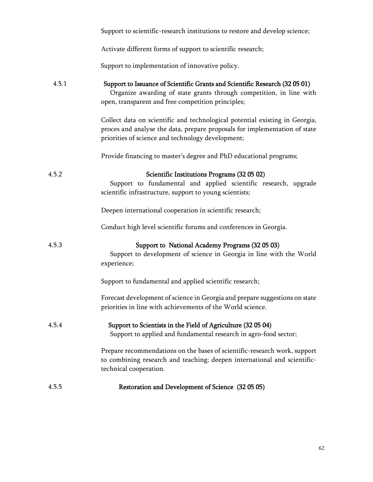|       | Support to scientific-research institutions to restore and develop science;                                                                                                                                    |
|-------|----------------------------------------------------------------------------------------------------------------------------------------------------------------------------------------------------------------|
|       | Activate different forms of support to scientific research;                                                                                                                                                    |
|       | Support to implementation of innovative policy.                                                                                                                                                                |
| 4.5.1 | Support to Issuance of Scientific Grants and Scientific Research (32 05 01)<br>Organize awarding of state grants through competition, in line with<br>open, transparent and free competition principles;       |
|       | Collect data on scientific and technological potential existing in Georgia,<br>proces and analyse the data, prepare proposals for implementation of state<br>priorities of science and technology development; |
|       | Provide financing to master's degree and PhD educational programs;                                                                                                                                             |
| 4.5.2 | Scientific Institutions Programs (32 05 02)<br>Support to fundamental and applied scientific research, upgrade<br>scientific infrastructure, support to young scientists;                                      |
|       | Deepen international cooperation in scientific research;                                                                                                                                                       |
|       | Conduct high level scientific forums and conferences in Georgia.                                                                                                                                               |
| 4.5.3 | Support to National Academy Programs (32 05 03)<br>Support to development of science in Georgia in line with the World<br>experience;                                                                          |
|       | Support to fundamental and applied scientific research;                                                                                                                                                        |
|       | Forecast development of science in Georgia and prepare suggestions on state<br>priorities in line with achievements of the World science.                                                                      |
| 4.5.4 | Support to Scientists in the Field of Agriculture (32 05 04)<br>Support to applied and fundamental research in agro-food sector;                                                                               |
|       | Prepare recommendations on the bases of scientific-research work, support<br>to combining research and teaching; deepen international and scientific-<br>technical cooperation.                                |
| 4.5.5 | Restoration and Development of Science (32 05 05)                                                                                                                                                              |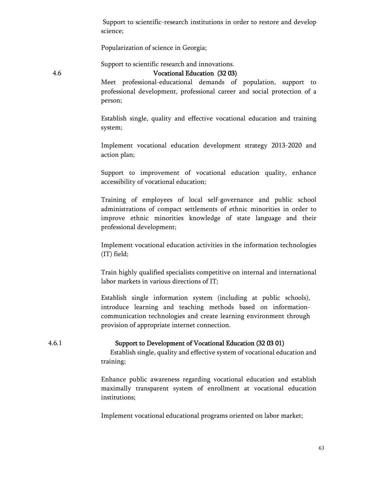Support to scientific-research institutions in order to restore and develop science;

Popularization of science in Georgia;

Support to scientific research and innovations.

## 4.6 Vocational Education (32 03)

Meet professional-educational demands of population, support to professional development, professional career and social protection of a person;

Establish single, quality and effective vocational education and training system;

Implement vocational education development strategy 2013-2020 and action plan;

Support to improvement of vocational education quality, enhance accessibility of vocational education;

Training of employees of local self-governance and public school administrations of compact settlements of ethnic minorities in order to improve ethnic minorities knowledge of state language and their professional development;

Implement vocational education activities in the information technologies (IT) field;

Train highly qualified specialists competitive on internal and international labor markets in various directions of IT;

Establish single information system (including at public schools), introduce learning and teaching methods based on informationcommunication technologies and create learning environment through provision of appropriate internet connection.

## 4.6.1 Support to Development of Vocational Education (32 03 01)

 Establish single, quality and effective system of vocational education and training;

Enhance public awareness regarding vocational education and establish maximally transparent system of enrollment at vocational education institutions;

Implement vocational educational programs oriented on labor market;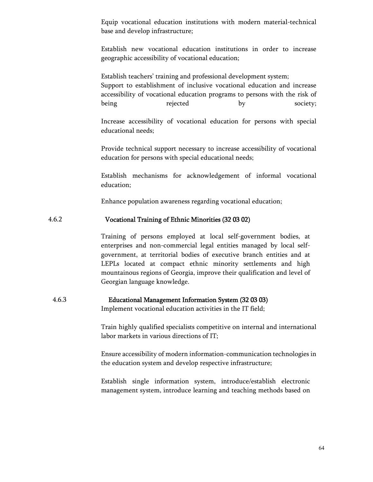Equip vocational education institutions with modern material-technical base and develop infrastructure;

Establish new vocational education institutions in order to increase geographic accessibility of vocational education;

Establish teachers' training and professional development system; Support to establishment of inclusive vocational education and increase accessibility of vocational education programs to persons with the risk of being **belocial** rejected by society;

Increase accessibility of vocational education for persons with special educational needs;

Provide technical support necessary to increase accessibility of vocational education for persons with special educational needs;

Establish mechanisms for acknowledgement of informal vocational education;

Enhance population awareness regarding vocational education;

#### 4.6.2 Vocational Training of Ethnic Minorities (32 03 02)

Training of persons employed at local self-government bodies, at enterprises and non-commercial legal entities managed by local selfgovernment, at territorial bodies of executive branch entities and at LEPLs located at compact ethnic minority settlements and high mountainous regions of Georgia, improve their qualification and level of Georgian language knowledge.

# 4.6.3 Educational Management Information System (32 03 03)

Implement vocational education activities in the IT field;

Train highly qualified specialists competitive on internal and international labor markets in various directions of IT;

Ensure accessibility of modern information-communication technologies in the education system and develop respective infrastructure;

Establish single information system, introduce/establish electronic management system, introduce learning and teaching methods based on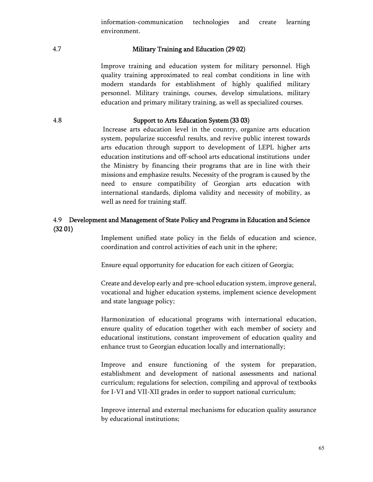information-communication technologies and create learning environment.

## 4.7 Military Training and Education (29 02)

Improve training and education system for military personnel. High quality training approximated to real combat conditions in line with modern standards for establishment of highly qualified military personnel. Military trainings, courses, develop simulations, military education and primary military training, as well as specialized courses.

### 4.8 Support to Arts Education System (33 03)

Increase arts education level in the country, organize arts education system, popularize successful results, and revive public interest towards arts education through support to development of LEPL higher arts education institutions and off-school arts educational institutions under the Ministry by financing their programs that are in line with their missions and emphasize results. Necessity of the program is caused by the need to ensure compatibility of Georgian arts education with international standards, diploma validity and necessity of mobility, as well as need for training staff.

# 4.9 Development and Management of State Policy and Programs in Education and Science (32 01)

Implement unified state policy in the fields of education and science, coordination and control activities of each unit in the sphere;

Ensure equal opportunity for education for each citizen of Georgia;

Create and develop early and pre-school education system, improve general, vocational and higher education systems, implement science development and state language policy;

Harmonization of educational programs with international education, ensure quality of education together with each member of society and educational institutions, constant improvement of education quality and enhance trust to Georgian education locally and internationally;

Improve and ensure functioning of the system for preparation, establishment and development of national assessments and national curriculum; regulations for selection, compiling and approval of textbooks for I-VI and VII-XII grades in order to support national curriculum;

Improve internal and external mechanisms for education quality assurance by educational institutions;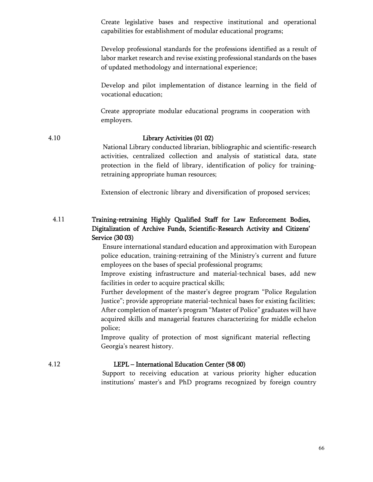Create legislative bases and respective institutional and operational capabilities for establishment of modular educational programs;

Develop professional standards for the professions identified as a result of labor market research and revise existing professional standards on the bases of updated methodology and international experience;

Develop and pilot implementation of distance learning in the field of vocational education;

Create appropriate modular educational programs in cooperation with employers.

## 4.10 Library Activities (01 02)

National Library conducted librarian, bibliographic and scientific-research activities, centralized collection and analysis of statistical data, state protection in the field of library, identification of policy for trainingretraining appropriate human resources;

Extension of electronic library and diversification of proposed services;

# 4.11 Training-retraining Highly Qualified Staff for Law Enforcement Bodies, Digitalization of Archive Funds, Scientific-Research Activity and Citizens' Service (30 03)

Ensure international standard education and approximation with European police education, training-retraining of the Ministry's current and future employees on the bases of special professional programs;

Improve existing infrastructure and material-technical bases, add new facilities in order to acquire practical skills;

Further development of the master's degree program "Police Regulation Justice"; provide appropriate material-technical bases for existing facilities; After completion of master's program "Master of Police" graduates will have acquired skills and managerial features characterizing for middle echelon police;

Improve quality of protection of most significant material reflecting Georgia's nearest history.

### 4.12 LEPL – International Education Center (58 00)

Support to receiving education at various priority higher education institutions' master's and PhD programs recognized by foreign country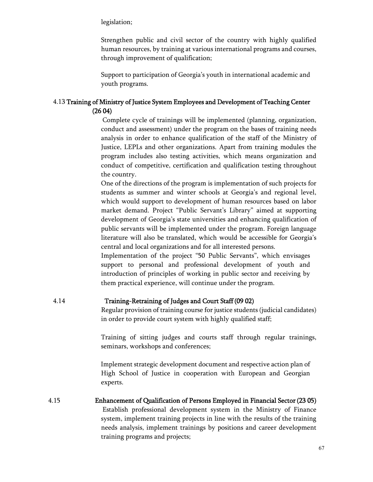legislation;

Strengthen public and civil sector of the country with highly qualified human resources, by training at various international programs and courses, through improvement of qualification;

Support to participation of Georgia's youth in international academic and youth programs.

# 4.13 Training of Ministry of Justice System Employees and Development of Teaching Center (26 04)

Complete cycle of trainings will be implemented (planning, organization, conduct and assessment) under the program on the bases of training needs analysis in order to enhance qualification of the staff of the Ministry of Justice, LEPLs and other organizations. Apart from training modules the program includes also testing activities, which means organization and conduct of competitive, certification and qualification testing throughout the country.

One of the directions of the program is implementation of such projects for students as summer and winter schools at Georgia's and regional level, which would support to development of human resources based on labor market demand. Project "Public Servant's Library" aimed at supporting development of Georgia's state universities and enhancing qualification of public servants will be implemented under the program. Foreign language literature will also be translated, which would be accessible for Georgia's central and local organizations and for all interested persons.

Implementation of the project "50 Public Servants", which envisages support to personal and professional development of youth and introduction of principles of working in public sector and receiving by them practical experience, will continue under the program.

# 4.14 Training-Retraining of Judges and Court Staff (09 02)

Regular provision of training course for justice students (judicial candidates) in order to provide court system with highly qualified staff;

Training of sitting judges and courts staff through regular trainings, seminars, workshops and conferences;

Implement strategic development document and respective action plan of High School of Justice in cooperation with European and Georgian experts.

4.15 Enhancement of Qualification of Persons Employed in Financial Sector(23 05) Establish professional development system in the Ministry of Finance system, implement training projects in line with the results of the training needs analysis, implement trainings by positions and career development training programs and projects;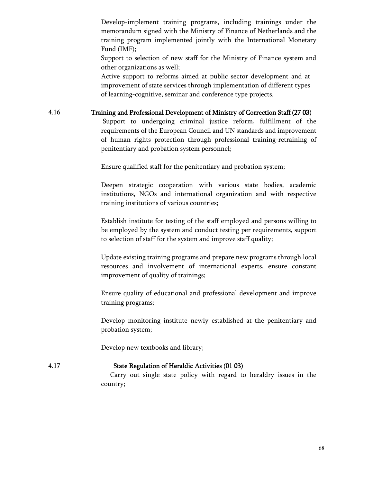Develop-implement training programs, including trainings under the memorandum signed with the Ministry of Finance of Netherlands and the training program implemented jointly with the International Monetary Fund (IMF);

Support to selection of new staff for the Ministry of Finance system and other organizations as well;

Active support to reforms aimed at public sector development and at improvement of state services through implementation of different types of learning-cognitive, seminar and conference type projects.

# 4.16 Training and Professional Development of Ministry of Correction Staff (27 03)

Support to undergoing criminal justice reform, fulfillment of the requirements of the European Council and UN standards and improvement of human rights protection through professional training-retraining of penitentiary and probation system personnel;

Ensure qualified staff for the penitentiary and probation system;

Deepen strategic cooperation with various state bodies, academic institutions, NGOs and international organization and with respective training institutions of various countries;

Establish institute for testing of the staff employed and persons willing to be employed by the system and conduct testing per requirements, support to selection of staff for the system and improve staff quality;

Update existing training programs and prepare new programs through local resources and involvement of international experts, ensure constant improvement of quality of trainings;

Ensure quality of educational and professional development and improve training programs;

Develop monitoring institute newly established at the penitentiary and probation system;

Develop new textbooks and library;

## 4.17 State Regulation of Heraldic Activities (01 03)

 Carry out single state policy with regard to heraldry issues in the country;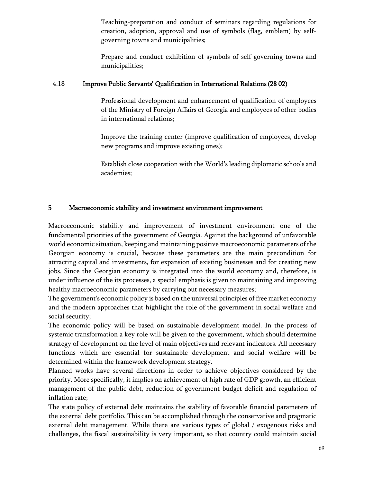Teaching-preparation and conduct of seminars regarding regulations for creation, adoption, approval and use of symbols (flag, emblem) by selfgoverning towns and municipalities;

Prepare and conduct exhibition of symbols of self-governing towns and municipalities;

# 4.18 Improve Public Servants' Qualification in International Relations(28 02)

Professional development and enhancement of qualification of employees of the Ministry of Foreign Affairs of Georgia and employees of other bodies in international relations;

Improve the training center (improve qualification of employees, develop new programs and improve existing ones);

Establish close cooperation with the World's leading diplomatic schools and academies;

# 5Macroeconomic stability and investment environment improvement

Macroeconomic stability and improvement of investment environment one of the fundamental priorities of the government of Georgia. Against the background of unfavorable world economic situation, keeping and maintaining positive macroeconomic parameters of the Georgian economy is crucial, because these parameters are the main precondition for attracting capital and investments, for expansion of existing businesses and for creating new jobs. Since the Georgian economy is integrated into the world economy and, therefore, is under influence of the its processes, a special emphasis is given to maintaining and improving healthy macroeconomic parameters by carrying out necessary measures;

The government's economic policy is based on the universal principles of free market economy and the modern approaches that highlight the role of the government in social welfare and social security;

The economic policy will be based on sustainable development model. In the process of systemic transformation a key role will be given to the government, which should determine strategy of development on the level of main objectives and relevant indicators. All necessary functions which are essential for sustainable development and social welfare will be determined within the framework development strategy.

Planned works have several directions in order to achieve objectives considered by the priority. More specifically, it implies on achievement of high rate of GDP growth, an efficient management of the public debt, reduction of government budget deficit and regulation of inflation rate;

The state policy of external debt maintains the stability of favorable financial parameters of the external debt portfolio. This can be accomplished through the conservative and pragmatic external debt management. While there are various types of global / exogenous risks and challenges, the fiscal sustainability is very important, so that country could maintain social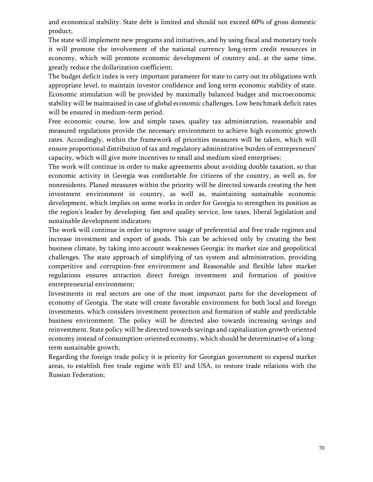and economical stability. State debt is limited and should not exceed 60% of gross domestic product;

The state will implement new programs and initiatives, and by using fiscal and monetary tools it will promote the involvement of the national currency long-term credit resources in economy, which will promote economic development of country and, at the same time, greatly reduce the dollarization coefficient;

The budget deficit index is very important parameter for state to carry out its obligations with appropriate level, to maintain investor confidence and long term economic stability of state. Economic stimulation will be provided by maximally balanced budget and microeconomic stability will be maintained in case of global economic challenges. Low benchmark deficit rates will be ensured in medium-term period.

Free economic course, low and simple taxes, quality tax administration, reasonable and measured regulations provide the necessary environment to achieve high economic growth rates. Accordingly, within the framework of priorities measures will be taken, which will ensure proportional distribution of tax and regulatory administrative burden of entrepreneurs' capacity, which will give more incentives to small and medium sized enterprises;

The work will continue in order to make agreements about avoiding double taxation, so that economic activity in Georgia was comfortable for citizens of the country, as well as, for nonresidents. Planed measures within the priority will be directed towards creating the best investment environment in country, as well as, maintaining sustainable economic development, which implies on some works in order for Georgia to strengthen its position as the region's leader by developing fast and quality service, low taxes, liberal legislation and sustainable development indicators;

The work will continue in order to improve usage of preferential and free trade regimes and increase investment and export of goods. This can be achieved only by creating the best business climate, by taking into account weaknesses Georgia: its market size and geopolitical challenges. The state approach of simplifying of tax system and administration, providing competitive and corruption-free environment and Reasonable and flexible labor market regulations ensures attraction direct foreign investment and formation of positive entrepreneurial environment;

Investments in real sectors are one of the most important parts for the development of economy of Georgia. The state will create favorable environment for both local and foreign investments, which considers investment protection and formation of stable and predictable business environment. The policy will be directed also towards increasing savings and reinvestment. State policy will be directed towards savings and capitalization growth-oriented economy instead of consumption-oriented economy, which should be determinative of a longterm sustainable growth;

Regarding the foreign trade policy it is priority for Georgian government to expend market areas, to establish free trade regime with EU and USA, to restore trade relations with the Russian Federation;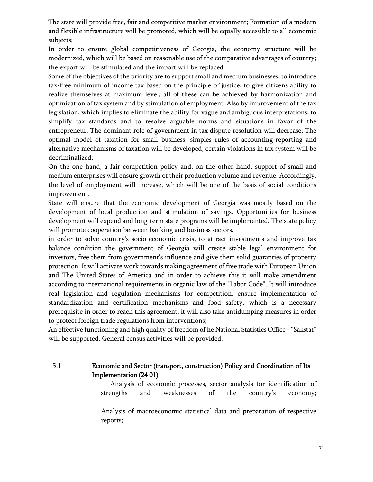The state will provide free, fair and competitive market environment; Formation of a modern and flexible infrastructure will be promoted, which will be equally accessible to all economic subjects;

In order to ensure global competitiveness of Georgia, the economy structure will be modernized, which will be based on reasonable use of the comparative advantages of country; the export will be stimulated and the import will be replaced.

Some of the objectives of the priority are to support small and medium businesses, to introduce tax-free minimum of income tax based on the principle of justice, to give citizens ability to realize themselves at maximum level, all of these can be achieved by harmonization and optimization of tax system and by stimulation of employment. Also by improvement of the tax legislation, which implies to eliminate the ability for vague and ambiguous interpretations, to simplify tax standards and to resolve arguable norms and situations in favor of the entrepreneur. The dominant role of government in tax dispute resolution will decrease; The optimal model of taxation for small business, simples rules of accounting-reporting and alternative mechanisms of taxation will be developed; certain violations in tax system will be decriminalized;

On the one hand, a fair competition policy and, on the other hand, support of small and medium enterprises will ensure growth of their production volume and revenue. Accordingly, the level of employment will increase, which will be one of the basis of social conditions improvement.

State will ensure that the economic development of Georgia was mostly based on the development of local production and stimulation of savings. Opportunities for business development will expend and long-term state programs will be implemented. The state policy will promote cooperation between banking and business sectors.

in order to solve country's socio-economic crisis, to attract investments and improve tax balance condition the government of Georgia will create stable legal environment for investors, free them from government's influence and give them solid guaranties of property protection. It will activate work towards making agreement of free trade with European Union and The United States of America and in order to achieve this it will make amendment according to international requirements in organic law of the "Labor Code". It will introduce real legislation and regulation mechanisms for competition, ensure implementation of standardization and certification mechanisms and food safety, which is a necessary prerequisite in order to reach this agreement, it will also take antidumping measures in order to protect foreign trade regulations from interventions;

An effective functioning and high quality of freedom of he National Statistics Office - "Sakstat" will be supported. General census activities will be provided.

# 5.1 Economic and Sector (transport, construction) Policy and Coordination of Its Implementation (24 01)

 Analysis of economic processes, sector analysis for identification of strengths and weaknesses of the country's economy;

Analysis of macroeconomic statistical data and preparation of respective reports;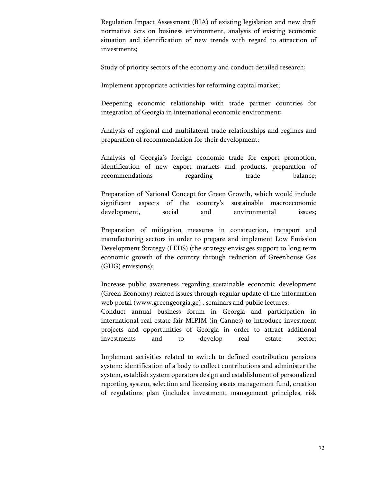Regulation Impact Assessment (RIA) of existing legislation and new draft normative acts on business environment, analysis of existing economic situation and identification of new trends with regard to attraction of investments;

Study of priority sectors of the economy and conduct detailed research;

Implement appropriate activities for reforming capital market;

Deepening economic relationship with trade partner countries for integration of Georgia in international economic environment;

Analysis of regional and multilateral trade relationships and regimes and preparation of recommendation for their development;

Analysis of Georgia's foreign economic trade for export promotion, identification of new export markets and products, preparation of recommendations regarding trade balance;

Preparation of National Concept for Green Growth, which would include significant aspects of the country's sustainable macroeconomic development, social and environmental issues;

Preparation of mitigation measures in construction, transport and manufacturing sectors in order to prepare and implement Low Emission Development Strategy (LEDS) (the strategy envisages support to long term economic growth of the country through reduction of Greenhouse Gas (GHG) emissions);

Increase public awareness regarding sustainable economic development (Green Economy) related issues through regular update of the information web portal (www.greengeorgia.ge) , seminars and public lectures;

Conduct annual business forum in Georgia and participation in international real estate fair MIPIM (in Cannes) to introduce investment projects and opportunities of Georgia in order to attract additional investments and to develop real estate sector;

Implement activities related to switch to defined contribution pensions system: identification of a body to collect contributions and administer the system, establish system operators design and establishment of personalized reporting system, selection and licensing assets management fund, creation of regulations plan (includes investment, management principles, risk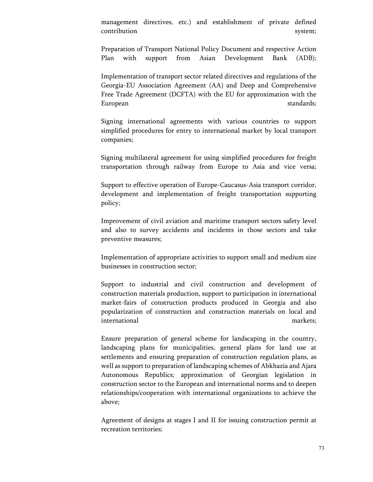management directives, etc.) and establishment of private defined contribution system;

Preparation of Transport National Policy Document and respective Action Plan with support from Asian Development Bank (ADB);

Implementation of transport sector related directives and regulations of the Georgia-EU Association Agreement (AA) and Deep and Comprehensive Free Trade Agreement (DCFTA) with the EU for approximation with the European standards;

Signing international agreements with various countries to support simplified procedures for entry to international market by local transport companies;

Signing multilateral agreement for using simplified procedures for freight transportation through railway from Europe to Asia and vice versa;

Support to effective operation of Europe-Caucasus-Asia transport corridor, development and implementation of freight transportation supporting policy;

Improvement of civil aviation and maritime transport sectors safety level and also to survey accidents and incidents in those sectors and take preventive measures;

Implementation of appropriate activities to support small and medium size businesses in construction sector;

Support to industrial and civil construction and development of construction materials production, support to participation in international market-fairs of construction products produced in Georgia and also popularization of construction and construction materials on local and international markets;

Ensure preparation of general scheme for landscaping in the country, landscaping plans for municipalities, general plans for land use at settlements and ensuring preparation of construction regulation plans, as well as support to preparation of landscaping schemes of Abkhazia and Ajara Autonomous Republics; approximation of Georgian legislation in construction sector to the European and international norms and to deepen relationships/cooperation with international organizations to achieve the above;

Agreement of designs at stages I and II for issuing construction permit at recreation territories;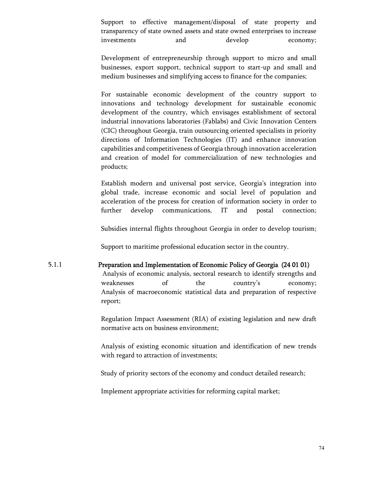Support to effective management/disposal of state property and transparency of state owned assets and state owned enterprises to increase investments and develop economy;

Development of entrepreneurship through support to micro and small businesses, export support, technical support to start-up and small and medium businesses and simplifying access to finance for the companies;

For sustainable economic development of the country support to innovations and technology development for sustainable economic development of the country, which envisages establishment of sectoral industrial innovations laboratories (Fablabs) and Civic Innovation Centers (CIC) throughout Georgia, train outsourcing oriented specialists in priority directions of Information Technologies (IT) and enhance innovation capabilities and competitiveness of Georgia through innovation acceleration and creation of model for commercialization of new technologies and products;

Establish modern and universal post service, Georgia's integration into global trade, increase economic and social level of population and acceleration of the process for creation of information society in order to further develop communications, IT and postal connection;

Subsidies internal flights throughout Georgia in order to develop tourism;

Support to maritime professional education sector in the country.

#### 5.1.1 Preparation and Implementation of Economic Policy of Georgia (24 01 01)

Analysis of economic analysis, sectoral research to identify strengths and weaknesses of the country's economy; Analysis of macroeconomic statistical data and preparation of respective report;

Regulation Impact Assessment (RIA) of existing legislation and new draft normative acts on business environment;

Analysis of existing economic situation and identification of new trends with regard to attraction of investments;

Study of priority sectors of the economy and conduct detailed research;

Implement appropriate activities for reforming capital market;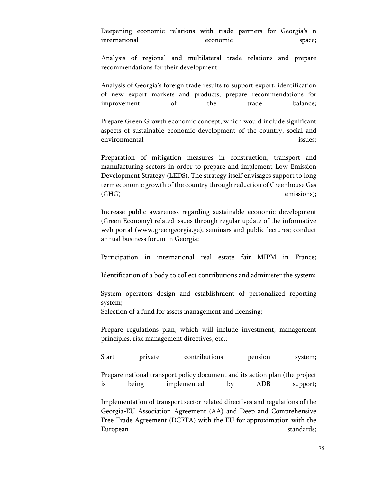Deepening economic relations with trade partners for Georgia's n international economic space;

Analysis of regional and multilateral trade relations and prepare recommendations for their development:

Analysis of Georgia's foreign trade results to support export, identification of new export markets and products, prepare recommendations for improvement of the trade balance;

Prepare Green Growth economic concept, which would include significant aspects of sustainable economic development of the country, social and environmental issues;

Preparation of mitigation measures in construction, transport and manufacturing sectors in order to prepare and implement Low Emission Development Strategy (LEDS). The strategy itself envisages support to long term economic growth of the country through reduction of Greenhouse Gas (GHG) emissions);

Increase public awareness regarding sustainable economic development (Green Economy) related issues through regular update of the informative web portal (www.greengeorgia.ge), seminars and public lectures; conduct annual business forum in Georgia;

Participation in international real estate fair MIPM in France;

Identification of a body to collect contributions and administer the system;

System operators design and establishment of personalized reporting system;

Selection of a fund for assets management and licensing;

Prepare regulations plan, which will include investment, management principles, risk management directives, etc.;

Start private contributions pension system;

Prepare national transport policy document and its action plan (the project is being implemented by ADB support;

Implementation of transport sector related directives and regulations of the Georgia-EU Association Agreement (AA) and Deep and Comprehensive Free Trade Agreement (DCFTA) with the EU for approximation with the European standards; etc. and the standards; etc. and the standards; etc. and the standards; etc. and the standards; etc. and the standards; etc. and the standards; etc. and the standards; etc. and the standards; etc. and t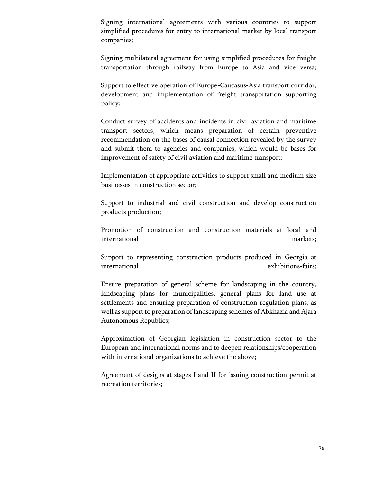Signing international agreements with various countries to support simplified procedures for entry to international market by local transport companies;

Signing multilateral agreement for using simplified procedures for freight transportation through railway from Europe to Asia and vice versa;

Support to effective operation of Europe-Caucasus-Asia transport corridor, development and implementation of freight transportation supporting policy;

Conduct survey of accidents and incidents in civil aviation and maritime transport sectors, which means preparation of certain preventive recommendation on the bases of causal connection revealed by the survey and submit them to agencies and companies, which would be bases for improvement of safety of civil aviation and maritime transport;

Implementation of appropriate activities to support small and medium size businesses in construction sector;

Support to industrial and civil construction and develop construction products production;

Promotion of construction and construction materials at local and international markets;

Support to representing construction products produced in Georgia at international exhibitions-fairs;

Ensure preparation of general scheme for landscaping in the country, landscaping plans for municipalities, general plans for land use at settlements and ensuring preparation of construction regulation plans, as well as support to preparation of landscaping schemes of Abkhazia and Ajara Autonomous Republics;

Approximation of Georgian legislation in construction sector to the European and international norms and to deepen relationships/cooperation with international organizations to achieve the above;

Agreement of designs at stages I and II for issuing construction permit at recreation territories;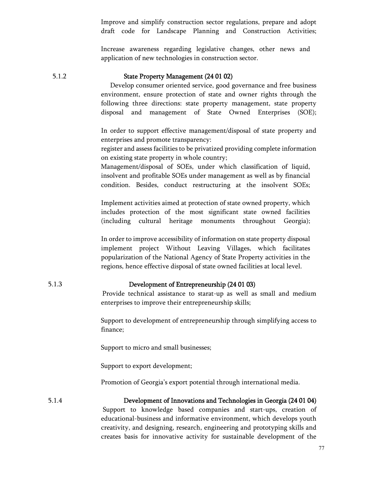Improve and simplify construction sector regulations, prepare and adopt draft code for Landscape Planning and Construction Activities;

Increase awareness regarding legislative changes, other news and application of new technologies in construction sector.

#### 5.1.2 State Property Management (24 01 02)

 Develop consumer oriented service, good governance and free business environment, ensure protection of state and owner rights through the following three directions: state property management, state property disposal and management of State Owned Enterprises (SOE);

In order to support effective management/disposal of state property and enterprises and promote transparency:

register and assess facilities to be privatized providing complete information on existing state property in whole country;

Management/disposal of SOEs, under which classification of liquid, insolvent and profitable SOEs under management as well as by financial condition. Besides, conduct restructuring at the insolvent SOEs;

Implement activities aimed at protection of state owned property, which includes protection of the most significant state owned facilities (including cultural heritage monuments throughout Georgia);

In order to improve accessibility of information on state property disposal implement project Without Leaving Villages, which facilitates popularization of the National Agency of State Property activities in the regions, hence effective disposal of state owned facilities at local level.

## 5.1.3 Development of Entrepreneurship (24 01 03)

Provide technical assistance to starat-up as well as small and medium enterprises to improve their entrepreneurship skills;

Support to development of entrepreneurship through simplifying access to finance;

Support to micro and small businesses;

Support to export development;

Promotion of Georgia's export potential through international media.

## 5.1.4 Development of Innovations and Technologies in Georgia (24 01 04)

Support to knowledge based companies and start-ups, creation of educational-business and informative environment, which develops youth creativity, and designing, research, engineering and prototyping skills and creates basis for innovative activity for sustainable development of the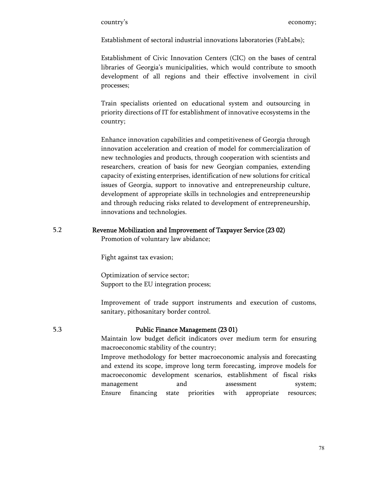Establishment of sectoral industrial innovations laboratories (FabLabs);

Establishment of Civic Innovation Centers (CIC) on the bases of central libraries of Georgia's municipalities, which would contribute to smooth development of all regions and their effective involvement in civil processes;

Train specialists oriented on educational system and outsourcing in priority directions of IT for establishment of innovative ecosystems in the country;

Enhance innovation capabilities and competitiveness of Georgia through innovation acceleration and creation of model for commercialization of new technologies and products, through cooperation with scientists and researchers, creation of basis for new Georgian companies, extending capacity of existing enterprises, identification of new solutions for critical issues of Georgia, support to innovative and entrepreneurship culture, development of appropriate skills in technologies and entrepreneurship and through reducing risks related to development of entrepreneurship, innovations and technologies.

# 5.2 Revenue Mobilization and Improvement of Taxpayer Service (23 02)

Promotion of voluntary law abidance;

Fight against tax evasion;

Optimization of service sector; Support to the EU integration process;

Improvement of trade support instruments and execution of customs, sanitary, pithosanitary border control.

### 5.3 Public Finance Management (23 01)

Maintain low budget deficit indicators over medium term for ensuring macroeconomic stability of the country;

Improve methodology for better macroeconomic analysis and forecasting and extend its scope, improve long term forecasting, improve models for macroeconomic development scenarios, establishment of fiscal risks management and assessment system; Ensure financing state priorities with appropriate resources;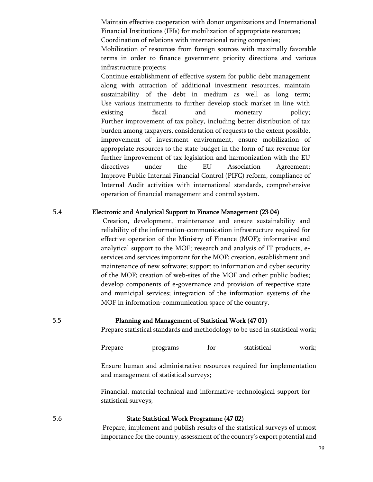Maintain effective cooperation with donor organizations and International Financial Institutions (IFIs) for mobilization of appropriate resources; Coordination of relations with international rating companies;

Mobilization of resources from foreign sources with maximally favorable terms in order to finance government priority directions and various infrastructure projects;

Continue establishment of effective system for public debt management along with attraction of additional investment resources, maintain sustainability of the debt in medium as well as long term; Use various instruments to further develop stock market in line with existing fiscal and monetary policy; Further improvement of tax policy, including better distribution of tax burden among taxpayers, consideration of requests to the extent possible, improvement of investment environment, ensure mobilization of appropriate resources to the state budget in the form of tax revenue for further improvement of tax legislation and harmonization with the EU directives under the EU Association Agreement; Improve Public Internal Financial Control (PIFC) reform, compliance of Internal Audit activities with international standards, comprehensive operation of financial management and control system.

### 5.4 Electronic and Analytical Support to Finance Management (23 04)

Creation, development, maintenance and ensure sustainability and reliability of the information-communication infrastructure required for effective operation of the Ministry of Finance (MOF); informative and analytical support to the MOF; research and analysis of IT products, eservices and services important for the MOF; creation, establishment and maintenance of new software; support to information and cyber security of the MOF; creation of web-sites of the MOF and other public bodies; develop components of e-governance and provision of respective state and municipal services; integration of the information systems of the MOF in information-communication space of the country.

### 5.5 Planning and Management of Statistical Work (47 01)

Prepare statistical standards and methodology to be used in statistical work;

Prepare programs for statistical work;

Ensure human and administrative resources required for implementation and management of statistical surveys;

Financial, material-technical and informative-technological support for statistical surveys;

# 5.6 State Statistical Work Programme (47 02)

Prepare, implement and publish results of the statistical surveys of utmost importance for the country, assessment of the country's export potential and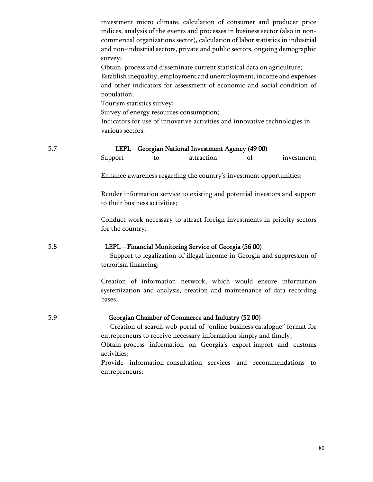investment micro climate, calculation of consumer and producer price indices, analysis of the events and processes in business sector (also in noncommercial organizations sector), calculation of labor statistics in industrial and non-industrial sectors, private and public sectors, ongoing demographic survey;

Obtain, process and disseminate current statistical data on agriculture; Establish inequality, employment and unemployment, income and expenses and other indicators for assessment of economic and social condition of population;

Tourism statistics survey;

activities;

Survey of energy resources consumption;

Indicators for use of innovative activities and innovative technologies in various sectors.

| 5.7 |                               | LEPL - Georgian National Investment Agency (49 00) |                                                                                                                                                                                                                                                                        |    |             |  |
|-----|-------------------------------|----------------------------------------------------|------------------------------------------------------------------------------------------------------------------------------------------------------------------------------------------------------------------------------------------------------------------------|----|-------------|--|
|     | Support                       | to                                                 | attraction                                                                                                                                                                                                                                                             | of | investment; |  |
|     |                               |                                                    | Enhance awareness regarding the country's investment opportunities;                                                                                                                                                                                                    |    |             |  |
|     | to their business activities; |                                                    | Render information service to existing and potential investors and support                                                                                                                                                                                             |    |             |  |
|     | for the country.              |                                                    | Conduct work necessary to attract foreign investments in priority sectors                                                                                                                                                                                              |    |             |  |
| 5.8 | terrorism financing;          |                                                    | LEPL - Financial Monitoring Service of Georgia (56 00)<br>Support to legalization of illegal income in Georgia and suppression of                                                                                                                                      |    |             |  |
|     | bases.                        |                                                    | Creation of information network, which would ensure information<br>systemization and analysis, creation and maintenance of data recording                                                                                                                              |    |             |  |
| 5.9 |                               |                                                    | Georgian Chamber of Commerce and Industry (52 00)<br>Creation of search web-portal of "online business catalogue" format for<br>entrepreneurs to receive necessary information simply and timely;<br>Obtain-process information on Georgia's export-import and customs |    |             |  |

Provide information-consultation services and recommendations to entrepreneurs;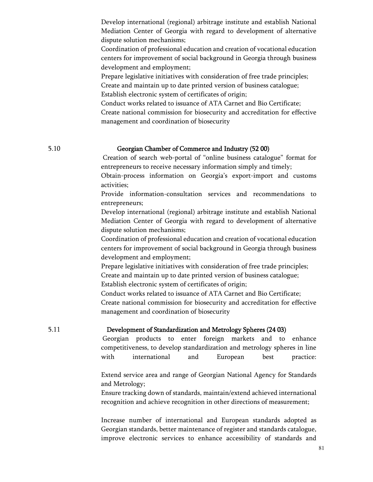Develop international (regional) arbitrage institute and establish National Mediation Center of Georgia with regard to development of alternative dispute solution mechanisms;

Coordination of professional education and creation of vocational education centers for improvement of social background in Georgia through business development and employment;

Prepare legislative initiatives with consideration of free trade principles; Create and maintain up to date printed version of business catalogue;

Establish electronic system of certificates of origin;

Conduct works related to issuance of ATA Carnet and Bio Certificate; Create national commission for biosecurity and accreditation for effective management and coordination of biosecurity

### 5.10 Georgian Chamber of Commerce and Industry (52 00)

 Creation of search web-portal of "online business catalogue" format for entrepreneurs to receive necessary information simply and timely;

Obtain-process information on Georgia's export-import and customs activities;

Provide information-consultation services and recommendations to entrepreneurs;

Develop international (regional) arbitrage institute and establish National Mediation Center of Georgia with regard to development of alternative dispute solution mechanisms;

Coordination of professional education and creation of vocational education centers for improvement of social background in Georgia through business development and employment;

Prepare legislative initiatives with consideration of free trade principles; Create and maintain up to date printed version of business catalogue; Establish electronic system of certificates of origin;

Conduct works related to issuance of ATA Carnet and Bio Certificate;

Create national commission for biosecurity and accreditation for effective management and coordination of biosecurity

### 5.11 Development of Standardization and Metrology Spheres (24 03)

Georgian products to enter foreign markets and to enhance competitiveness, to develop standardization and metrology spheres in line with international and European best practice:

Extend service area and range of Georgian National Agency for Standards and Metrology;

Ensure tracking down of standards, maintain/extend achieved international recognition and achieve recognition in other directions of measurement;

Increase number of international and European standards adopted as Georgian standards, better maintenance of register and standards catalogue, improve electronic services to enhance accessibility of standards and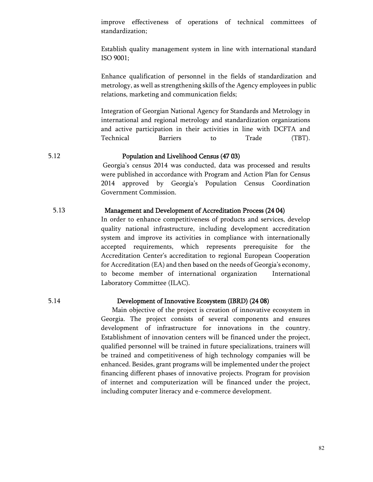improve effectiveness of operations of technical committees of standardization;

Establish quality management system in line with international standard ISO 9001;

Enhance qualification of personnel in the fields of standardization and metrology, as well as strengthening skills of the Agency employees in public relations, marketing and communication fields;

Integration of Georgian National Agency for Standards and Metrology in international and regional metrology and standardization organizations and active participation in their activities in line with DCFTA and Technical Barriers to Trade (TBT).

## 5.12 Population and Livelihood Census (47 03)

Georgia's census 2014 was conducted, data was processed and results were published in accordance with Program and Action Plan for Census 2014 approved by Georgia's Population Census Coordination Government Commission.

## 5.13 Management and Development of Accreditation Process (24 04)

In order to enhance competitiveness of products and services, develop quality national infrastructure, including development accreditation system and improve its activities in compliance with internationally accepted requirements, which represents prerequisite for the Accreditation Center's accreditation to regional European Cooperation for Accreditation (EA) and then based on the needs of Georgia's economy, to become member of international organization International Laboratory Committee (ILAC).

### 5.14 Development of Innovative Ecosystem (IBRD) (24 08)

Main objective of the project is creation of innovative ecosystem in Georgia. The project consists of several components and ensures development of infrastructure for innovations in the country. Establishment of innovation centers will be financed under the project, qualified personnel will be trained in future specializations, trainers will be trained and competitiveness of high technology companies will be enhanced. Besides, grant programs will be implemented under the project financing different phases of innovative projects. Program for provision of internet and computerization will be financed under the project, including computer literacy and e-commerce development.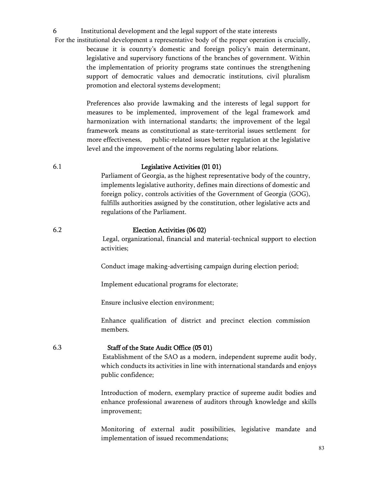6 Institutional development and the legal support of the state interests

 For the institutional development a representative body of the proper operation is crucially, because it is counrty's domestic and foreign policy's main determinant, legislative and supervisory functions of the branches of government. Within the implementation of priority programs state continues the strengthening support of democratic values and democratic institutions, civil pluralism promotion and electoral systems development;

> Preferences also provide lawmaking and the interests of legal support for measures to be implemented, improvement of the legal framework amd harmonization with international standarts; the improvement of the legal framework means as constitutional as state-territorial issues settlement for more effectiveness, public-related issues better regulation at the legislative level and the improvement of the norms regulating labor relations.

### 6.1 Legislative Activities (01 01)

Parliament of Georgia, as the highest representative body of the country, implements legislative authority, defines main directions of domestic and foreign policy, controls activities of the Government of Georgia (GOG), fulfills authorities assigned by the constitution, other legislative acts and regulations of the Parliament.

## 6.2 Election Activities (06 02)

Legal, organizational, financial and material-technical support to election activities;

Conduct image making-advertising campaign during election period;

Implement educational programs for electorate;

Ensure inclusive election environment;

Enhance qualification of district and precinct election commission members.

### 6.3 Staff of the State Audit Office (05 01)

Establishment of the SAO as a modern, independent supreme audit body, which conducts its activities in line with international standards and enjoys public confidence;

Introduction of modern, exemplary practice of supreme audit bodies and enhance professional awareness of auditors through knowledge and skills improvement;

Monitoring of external audit possibilities, legislative mandate and implementation of issued recommendations;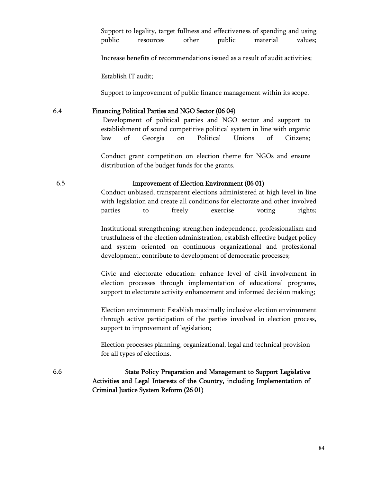Support to legality, target fullness and effectiveness of spending and using public resources other public material values;

Increase benefits of recommendations issued as a result of audit activities;

Establish IT audit;

Support to improvement of public finance management within its scope.

## 6.4 Financing Political Parties and NGO Sector (06 04)

Development of political parties and NGO sector and support to establishment of sound competitive political system in line with organic law of Georgia on Political Unions of Citizens;

Conduct grant competition on election theme for NGOs and ensure distribution of the budget funds for the grants.

### 6.5 Improvement of Election Environment (06 01)

Conduct unbiased, transparent elections administered at high level in line with legislation and create all conditions for electorate and other involved parties to freely exercise voting rights;

Institutional strengthening: strengthen independence, professionalism and trustfulness of the election administration, establish effective budget policy and system oriented on continuous organizational and professional development, contribute to development of democratic processes;

Civic and electorate education: enhance level of civil involvement in election processes through implementation of educational programs, support to electorate activity enhancement and informed decision making;

Election environment: Establish maximally inclusive election environment through active participation of the parties involved in election process, support to improvement of legislation;

Election processes planning, organizational, legal and technical provision for all types of elections.

6.6 State Policy Preparation and Management to Support Legislative Activities and Legal Interests of the Country, including Implementation of Criminal Justice System Reform (26 01)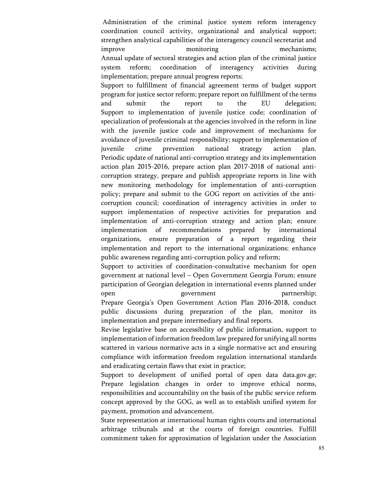Administration of the criminal justice system reform interagency coordination council activity, organizational and analytical support; strengthen analytical capabilities of the interagency council secretariat and improve monitoring mechanisms; Annual update of sectoral strategies and action plan of the criminal justice system reform; coordination of interagency activities during implementation; prepare annual progress reports;

Support to fulfillment of financial agreement terms of budget support program for justice sector reform; prepare report on fulfillment of the terms and submit the report to the EU delegation; Support to implementation of juvenile justice code; coordination of specialization of professionals at the agencies involved in the reform in line with the juvenile justice code and improvement of mechanisms for avoidance of juvenile criminal responsibility; support to implementation of juvenile crime prevention national strategy action plan. Periodic update of national anti-corruption strategy and its implementation action plan 2015-2016, prepare action plan 2017-2018 of national anticorruption strategy, prepare and publish appropriate reports in line with new monitoring methodology for implementation of anti-corruption policy; prepare and submit to the GOG report on activities of the anticorruption council; coordination of interagency activities in order to support implementation of respective activities for preparation and implementation of anti-corruption strategy and action plan; ensure implementation of recommendations prepared by international organizations, ensure preparation of a report regarding their implementation and report to the international organizations; enhance public awareness regarding anti-corruption policy and reform;

Support to activities of coordination-consultative mechanism for open government at national level – Open Government Georgia Forum; ensure participation of Georgian delegation in international events planned under open government partnership; Prepare Georgia's Open Government Action Plan 2016-2018, conduct public discussions during preparation of the plan, monitor its implementation and prepare intermediary and final reports.

Revise legislative base on accessibility of public information, support to implementation of information freedom law prepared for unifying all norms scattered in various normative acts in a single normative act and ensuring compliance with information freedom regulation international standards and eradicating certain flaws that exist in practice;

Support to development of unified portal of open data data.gov.ge; Prepare legislation changes in order to improve ethical norms, responsibilities and accountability on the basis of the public service reform concept approved by the GOG, as well as to establish unified system for payment, promotion and advancement.

State representation at international human rights courts and international arbitrage tribunals and at the courts of foreign countries. Fulfill commitment taken for approximation of legislation under the Association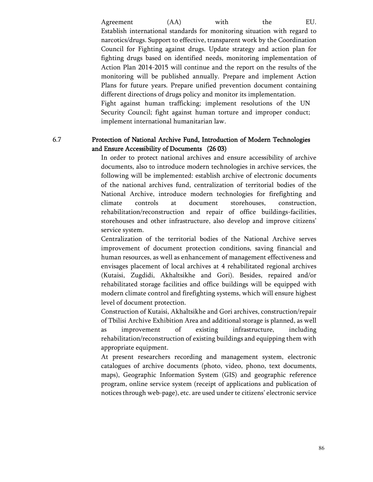Agreement (AA) with the EU. Establish international standards for monitoring situation with regard to narcotics/drugs. Support to effective, transparent work by the Coordination Council for Fighting against drugs. Update strategy and action plan for fighting drugs based on identified needs, monitoring implementation of Action Plan 2014-2015 will continue and the report on the results of the monitoring will be published annually. Prepare and implement Action Plans for future years. Prepare unified prevention document containing different directions of drugs policy and monitor its implementation. Fight against human trafficking; implement resolutions of the UN Security Council; fight against human torture and improper conduct; implement international humanitarian law.

# 6.7 Protection of National Archive Fund, Introduction of Modern Technologies and Ensure Accessibility of Documents (26 03)

In order to protect national archives and ensure accessibility of archive documents, also to introduce modern technologies in archive services, the following will be implemented: establish archive of electronic documents of the national archives fund, centralization of territorial bodies of the National Archive, introduce modern technologies for firefighting and climate controls at document storehouses, construction, rehabilitation/reconstruction and repair of office buildings-facilities, storehouses and other infrastructure, also develop and improve citizens' service system.

Centralization of the territorial bodies of the National Archive serves improvement of document protection conditions, saving financial and human resources, as well as enhancement of management effectiveness and envisages placement of local archives at 4 rehabilitated regional archives (Kutaisi, Zugdidi, Akhaltsikhe and Gori). Besides, repaired and/or rehabilitated storage facilities and office buildings will be equipped with modern climate control and firefighting systems, which will ensure highest level of document protection.

Construction of Kutaisi, Akhaltsikhe and Gori archives, construction/repair of Tbilisi Archive Exhibition Area and additional storage is planned, as well as improvement of existing infrastructure, including rehabilitation/reconstruction of existing buildings and equipping them with appropriate equipment.

At present researchers recording and management system, electronic catalogues of archive documents (photo, video, phono, text documents, maps), Geographic Information System (GIS) and geographic reference program, online service system (receipt of applications and publication of notices through web-page), etc. are used under te citizens' electronic service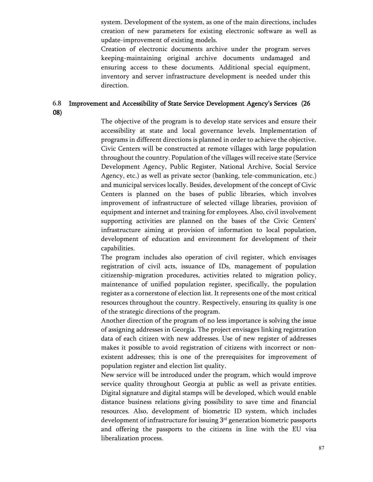system. Development of the system, as one of the main directions, includes creation of new parameters for existing electronic software as well as update-improvement of existing models.

Creation of electronic documents archive under the program serves keeping-maintaining original archive documents undamaged and ensuring access to these documents. Additional special equipment, inventory and server infrastructure development is needed under this direction.

## 6.8 Improvement and Accessibility of State Service Development Agency's Services (26 08)

The objective of the program is to develop state services and ensure their accessibility at state and local governance levels. Implementation of programs in different directions is planned in order to achieve the objective. Civic Centers will be constructed at remote villages with large population throughout the country. Population of the villages will receive state (Service Development Agency, Public Register, National Archive, Social Service Agency, etc.) as well as private sector (banking, tele-communication, etc.) and municipal services locally. Besides, development of the concept of Civic Centers is planned on the bases of public libraries, which involves improvement of infrastructure of selected village libraries, provision of equipment and internet and training for employees. Also, civil involvement supporting activities are planned on the bases of the Civic Centers' infrastructure aiming at provision of information to local population, development of education and environment for development of their capabilities.

The program includes also operation of civil register, which envisages registration of civil acts, issuance of IDs, management of population citizenship-migration procedures, activities related to migration policy, maintenance of unified population register, specifically, the population register as a cornerstone of election list. It represents one of the most critical resources throughout the country. Respectively, ensuring its quality is one of the strategic directions of the program.

Another direction of the program of no less importance is solving the issue of assigning addresses in Georgia. The project envisages linking registration data of each citizen with new addresses. Use of new register of addresses makes it possible to avoid registration of citizens with incorrect or nonexistent addresses; this is one of the prerequisites for improvement of population register and election list quality.

New service will be introduced under the program, which would improve service quality throughout Georgia at public as well as private entities. Digital signature and digital stamps will be developed, which would enable distance business relations giving possibility to save time and financial resources. Also, development of biometric ID system, which includes development of infrastructure for issuing  $3<sup>rd</sup>$  generation biometric passports and offering the passports to the citizens in line with the EU visa liberalization process.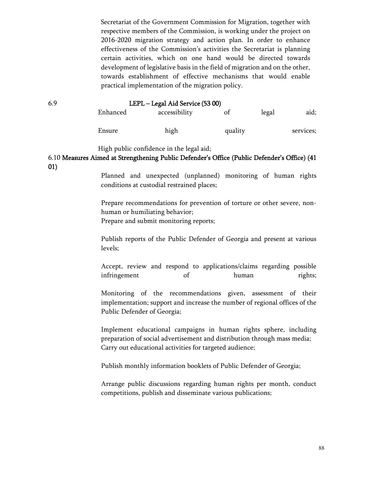Secretariat of the Government Commission for Migration, together with respective members of the Commission, is working under the project on 2016-2020 migration strategy and action plan. In order to enhance effectiveness of the Commission's activities the Secretariat is planning certain activities, which on one hand would be directed towards development of legislative basis in the field of migration and on the other, towards establishment of effective mechanisms that would enable practical implementation of the migration policy.

### 6.9 LEPL – Legal Aid Service (53 00)

| Enhanced | accessibility | ot      | legal | aid;      |
|----------|---------------|---------|-------|-----------|
| Ensure   | high          | quality |       | services; |

High public confidence in the legal aid;

# 6.10 Measures Aimed at Strengthening Public Defender's Office (Public Defender's Office) (41 01)

Planned and unexpected (unplanned) monitoring of human rights conditions at custodial restrained places;

Prepare recommendations for prevention of torture or other severe, nonhuman or humiliating behavior; Prepare and submit monitoring reports;

Publish reports of the Public Defender of Georgia and present at various levels;

Accept, review and respond to applications/claims regarding possible infringement of human rights;

Monitoring of the recommendations given, assessment of their implementation; support and increase the number of regional offices of the Public Defender of Georgia;

Implement educational campaigns in human rights sphere, including preparation of social advertisement and distribution through mass media; Carry out educational activities for targeted audience;

Publish monthly information booklets of Public Defender of Georgia;

Arrange public discussions regarding human rights per month, conduct competitions, publish and disseminate various publications;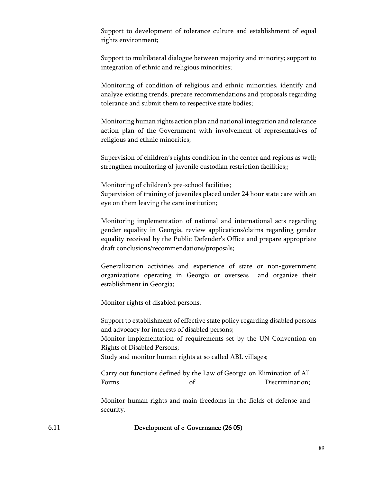Support to development of tolerance culture and establishment of equal rights environment;

Support to multilateral dialogue between majority and minority; support to integration of ethnic and religious minorities;

Monitoring of condition of religious and ethnic minorities, identify and analyze existing trends, prepare recommendations and proposals regarding tolerance and submit them to respective state bodies;

Monitoring human rights action plan and national integration and tolerance action plan of the Government with involvement of representatives of religious and ethnic minorities;

Supervision of children's rights condition in the center and regions as well; strengthen monitoring of juvenile custodian restriction facilities;;

Monitoring of children's pre-school facilities;

Supervision of training of juveniles placed under 24 hour state care with an eye on them leaving the care institution;

Monitoring implementation of national and international acts regarding gender equality in Georgia, review applications/claims regarding gender equality received by the Public Defender's Office and prepare appropriate draft conclusions/recommendations/proposals;

Generalization activities and experience of state or non-government organizations operating in Georgia or overseas and organize their establishment in Georgia;

Monitor rights of disabled persons;

Support to establishment of effective state policy regarding disabled persons and advocacy for interests of disabled persons; Monitor implementation of requirements set by the UN Convention on Rights of Disabled Persons;

Study and monitor human rights at so called ABL villages;

Carry out functions defined by the Law of Georgia on Elimination of All Forms of Discrimination;

Monitor human rights and main freedoms in the fields of defense and security.

6.11 Development of e-Governance (26 05)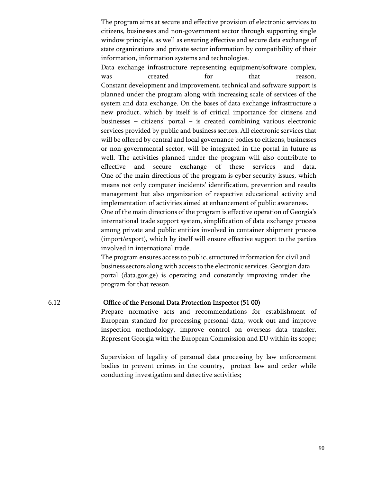The program aims at secure and effective provision of electronic services to citizens, businesses and non-government sector through supporting single window principle, as well as ensuring effective and secure data exchange of state organizations and private sector information by compatibility of their information, information systems and technologies.

Data exchange infrastructure representing equipment/software complex, was created for that reason. Constant development and improvement, technical and software support is planned under the program along with increasing scale of services of the system and data exchange. On the bases of data exchange infrastructure a new product, which by itself is of critical importance for citizens and businesses – citizens' portal – is created combining various electronic services provided by public and business sectors. All electronic services that will be offered by central and local governance bodies to citizens, businesses or non-governmental sector, will be integrated in the portal in future as well. The activities planned under the program will also contribute to effective and secure exchange of these services and data. One of the main directions of the program is cyber security issues, which means not only computer incidents' identification, prevention and results management but also organization of respective educational activity and implementation of activities aimed at enhancement of public awareness.

One of the main directions of the program is effective operation of Georgia's international trade support system, simplification of data exchange process among private and public entities involved in container shipment process (import/export), which by itself will ensure effective support to the parties involved in international trade.

The program ensures access to public, structured information for civil and business sectors along with access to the electronic services. Georgian data portal (data.gov.ge) is operating and constantly improving under the program for that reason.

### 6.12 Office of the Personal Data Protection Inspector(51 00)

Prepare normative acts and recommendations for establishment of European standard for processing personal data, work out and improve inspection methodology, improve control on overseas data transfer. Represent Georgia with the European Commission and EU within its scope;

Supervision of legality of personal data processing by law enforcement bodies to prevent crimes in the country, protect law and order while conducting investigation and detective activities;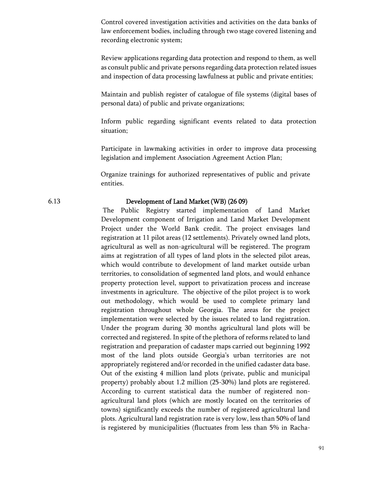Control covered investigation activities and activities on the data banks of law enforcement bodies, including through two stage covered listening and recording electronic system;

Review applications regarding data protection and respond to them, as well as consult public and private persons regarding data protection related issues and inspection of data processing lawfulness at public and private entities;

Maintain and publish register of catalogue of file systems (digital bases of personal data) of public and private organizations;

Inform public regarding significant events related to data protection situation;

Participate in lawmaking activities in order to improve data processing legislation and implement Association Agreement Action Plan;

Organize trainings for authorized representatives of public and private entities.

## 6.13 Development of Land Market (WB) (26 09)

The Public Registry started implementation of Land Market Development component of Irrigation and Land Market Development Project under the World Bank credit. The project envisages land registration at 11 pilot areas (12 settlements). Privately owned land plots, agricultural as well as non-agricultural will be registered. The program aims at registration of all types of land plots in the selected pilot areas, which would contribute to development of land market outside urban territories, to consolidation of segmented land plots, and would enhance property protection level, support to privatization process and increase investments in agriculture. The objective of the pilot project is to work out methodology, which would be used to complete primary land registration throughout whole Georgia. The areas for the project implementation were selected by the issues related to land registration. Under the program during 30 months agricultural land plots will be corrected and registered. In spite of the plethora of reforms related to land registration and preparation of cadaster maps carried out beginning 1992 most of the land plots outside Georgia's urban territories are not appropriately registered and/or recorded in the unified cadaster data base. Out of the existing 4 million land plots (private, public and municipal property) probably about 1.2 million (25-30%) land plots are registered. According to current statistical data the number of registered nonagricultural land plots (which are mostly located on the territories of towns) significantly exceeds the number of registered agricultural land plots. Agricultural land registration rate is very low, less than 50% of land is registered by municipalities (fluctuates from less than 5% in Racha-

91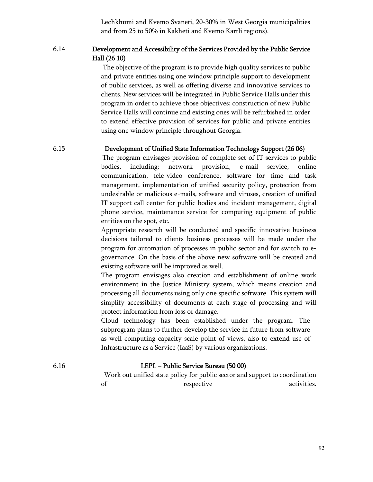Lechkhumi and Kvemo Svaneti, 20-30% in West Georgia municipalities and from 25 to 50% in Kakheti and Kvemo Kartli regions).

# 6.14 Development and Accessibility of the Services Provided by the Public Service Hall (26 10)

The objective of the program is to provide high quality services to public and private entities using one window principle support to development of public services, as well as offering diverse and innovative services to clients. New services will be integrated in Public Service Halls under this program in order to achieve those objectives; construction of new Public Service Halls will continue and existing ones will be refurbished in order to extend effective provision of services for public and private entities using one window principle throughout Georgia.

# 6.15 Development of Unified State Information Technology Support (26 06)

The program envisages provision of complete set of IT services to public bodies, including: network provision, e-mail service, online communication, tele-video conference, software for time and task management, implementation of unified security policy, protection from undesirable or malicious e-mails, software and viruses, creation of unified IT support call center for public bodies and incident management, digital phone service, maintenance service for computing equipment of public entities on the spot, etc.

Appropriate research will be conducted and specific innovative business decisions tailored to clients business processes will be made under the program for automation of processes in public sector and for switch to egovernance. On the basis of the above new software will be created and existing software will be improved as well.

The program envisages also creation and establishment of online work environment in the Justice Ministry system, which means creation and processing all documents using only one specific software. This system will simplify accessibility of documents at each stage of processing and will protect information from loss or damage.

Cloud technology has been established under the program. The subprogram plans to further develop the service in future from software as well computing capacity scale point of views, also to extend use of Infrastructure as a Service (IaaS) by various organizations.

# 6.16 LEPL – Public Service Bureau (50 00)

 Work out unified state policy for public sector and support to coordination of respective activities.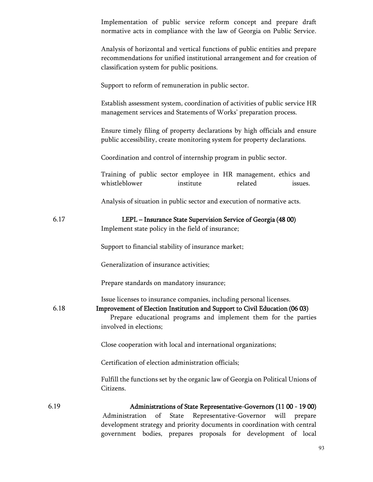|      | Implementation of public service reform concept and prepare draft<br>normative acts in compliance with the law of Georgia on Public Service.                                                                                                   |
|------|------------------------------------------------------------------------------------------------------------------------------------------------------------------------------------------------------------------------------------------------|
|      | Analysis of horizontal and vertical functions of public entities and prepare<br>recommendations for unified institutional arrangement and for creation of<br>classification system for public positions.                                       |
|      | Support to reform of remuneration in public sector.                                                                                                                                                                                            |
|      | Establish assessment system, coordination of activities of public service HR<br>management services and Statements of Works' preparation process.                                                                                              |
|      | Ensure timely filing of property declarations by high officials and ensure<br>public accessibility, create monitoring system for property declarations.                                                                                        |
|      | Coordination and control of internship program in public sector.                                                                                                                                                                               |
|      | Training of public sector employee in HR management, ethics and<br>whistleblower<br>institute<br>related<br>issues.                                                                                                                            |
|      | Analysis of situation in public sector and execution of normative acts.                                                                                                                                                                        |
| 6.17 | LEPL - Insurance State Supervision Service of Georgia (48 00)<br>Implement state policy in the field of insurance;                                                                                                                             |
|      | Support to financial stability of insurance market;                                                                                                                                                                                            |
|      | Generalization of insurance activities;                                                                                                                                                                                                        |
|      | Prepare standards on mandatory insurance;                                                                                                                                                                                                      |
| 6.18 | Issue licenses to insurance companies, including personal licenses.<br>Improvement of Election Institution and Support to Civil Education (06 03)<br>Prepare educational programs and implement them for the parties<br>involved in elections; |
|      | Close cooperation with local and international organizations;                                                                                                                                                                                  |
|      | Certification of election administration officials;                                                                                                                                                                                            |
|      | Fulfill the functions set by the organic law of Georgia on Political Unions of<br>Citizens.                                                                                                                                                    |
| 6.19 | Administrations of State Representative-Governors (11 00 - 19 00)                                                                                                                                                                              |
|      | Representative-Governor will prepare<br>of<br>State<br>Administration<br>development strategy and priority documents in coordination with central<br>bodies, prepares proposals for development of local<br>government                         |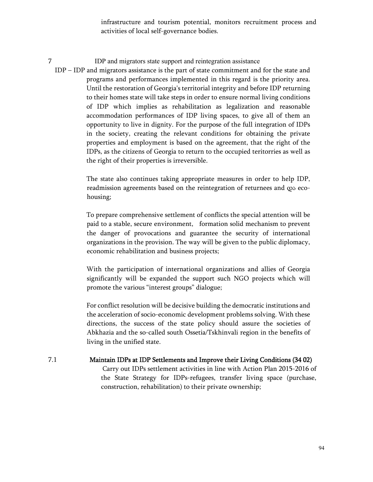infrastructure and tourism potential, monitors recruitment process and activities of local self-governance bodies.

7 IDP and migrators state support and reintegration assistance

IDP – IDP and migrators assistance is the part of state commitment and for the state and programs and performances implemented in this regard is the priority area. Until the restoration of Georgia's territorial integrity and before IDP returning to their homes state will take steps in order to ensure normal living conditions of IDP which implies as rehabilitation as legalization and reasonable accommodation performances of IDP living spaces, to give all of them an opportunity to live in dignity. For the purpose of the full integration of IDPs in the society, creating the relevant conditions for obtaining the private properties and employment is based on the agreement, that the right of the IDPs, as the citizens of Georgia to return to the occupied teritorries as well as the right of their properties is irreversible.

> The state also continues taking appropriate measures in order to help IDP, readmission agreements based on the reintegration of returnees and და ecohousing;

> To prepare comprehensive settlement of conflicts the special attention will be paid to a stable, secure environment, formation solid mechanism to prevent the danger of provocations and guarantee the security of international organizations in the provision. The way will be given to the public diplomacy, economic rehabilitation and business projects;

> With the participation of international organizations and allies of Georgia significantly will be expanded the support such NGO projects which will promote the various "interest groups" dialogue;

> For conflict resolution will be decisive building the democratic institutions and the acceleration of socio-economic development problems solving. With these directions, the success of the state policy should assure the societies of Abkhazia and the so-called south Ossetia/Tskhinvali region in the benefits of living in the unified state.

7.1 Maintain IDPs at IDP Settlements and Improve their Living Conditions (34 02) Carry out IDPs settlement activities in line with Action Plan 2015-2016 of the State Strategy for IDPs-refugees, transfer living space (purchase, construction, rehabilitation) to their private ownership;

94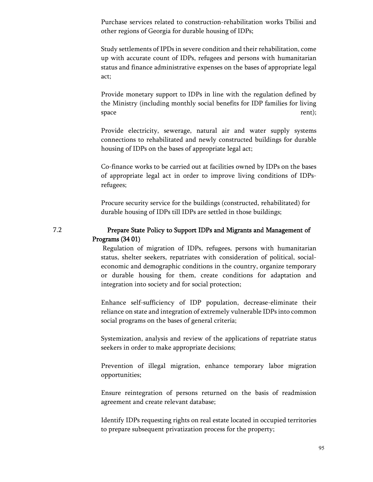Purchase services related to construction-rehabilitation works Tbilisi and other regions of Georgia for durable housing of IDPs;

Study settlements of IPDs in severe condition and their rehabilitation, come up with accurate count of IDPs, refugees and persons with humanitarian status and finance administrative expenses on the bases of appropriate legal act;

Provide monetary support to IDPs in line with the regulation defined by the Ministry (including monthly social benefits for IDP families for living space rent);

Provide electricity, sewerage, natural air and water supply systems connections to rehabilitated and newly constructed buildings for durable housing of IDPs on the bases of appropriate legal act;

Co-finance works to be carried out at facilities owned by IDPs on the bases of appropriate legal act in order to improve living conditions of IDPsrefugees;

Procure security service for the buildings (constructed, rehabilitated) for durable housing of IDPs till IDPs are settled in those buildings;

## 7.2 Prepare State Policy to Support IDPs and Migrants and Management of Programs (34 01)

Regulation of migration of IDPs, refugees, persons with humanitarian status, shelter seekers, repatriates with consideration of political, socialeconomic and demographic conditions in the country, organize temporary or durable housing for them, create conditions for adaptation and integration into society and for social protection;

Enhance self-sufficiency of IDP population, decrease-eliminate their reliance on state and integration of extremely vulnerable IDPs into common social programs on the bases of general criteria;

Systemization, analysis and review of the applications of repatriate status seekers in order to make appropriate decisions;

Prevention of illegal migration, enhance temporary labor migration opportunities;

Ensure reintegration of persons returned on the basis of readmission agreement and create relevant database;

Identify IDPs requesting rights on real estate located in occupied territories to prepare subsequent privatization process for the property;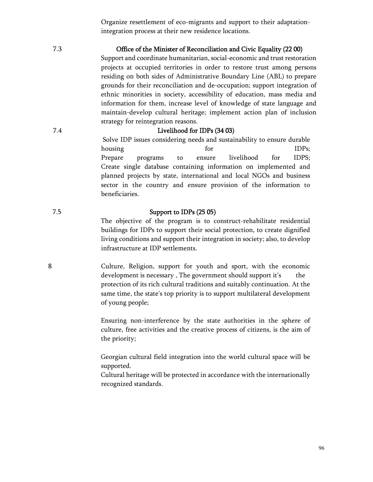Organize resettlement of eco-migrants and support to their adaptationintegration process at their new residence locations.

## 7.3 Office of the Minister of Reconciliation and Civic Equality (22 00)

Support and coordinate humanitarian, social-economic and trust restoration projects at occupied territories in order to restore trust among persons residing on both sides of Administrative Boundary Line (ABL) to prepare grounds for their reconciliation and de-occupation; support integration of ethnic minorities in society, accessibility of education, mass media and information for them, increase level of knowledge of state language and maintain-develop cultural heritage; implement action plan of inclusion strategy for reintegration reasons.

# 7.4 Livelihood for IDPs (34 03)

Solve IDP issues considering needs and sustainability to ensure durable housing for for IDPs; Prepare programs to ensure livelihood for IDPS; Create single database containing information on implemented and planned projects by state, international and local NGOs and business sector in the country and ensure provision of the information to beneficiaries.

## 7.5 Support to IDPs (25 05)

The objective of the program is to construct-rehabilitate residential buildings for IDPs to support their social protection, to create dignified living conditions and support their integration in society; also, to develop infrastructure at IDP settlements.

8 Culture, Religion, support for youth and sport, with the economic development is necessary, The government should support it's the protection of its rich cultural traditions and suitably continuation. At the same time, the state's top priority is to support multilateral development of young people;

> Ensuring non-interference by the state authorities in the sphere of culture, free activities and the creative process of citizens, is the aim of the priority;

> Georgian cultural field integration into the world cultural space will be supported.

> Cultural heritage will be protected in accordance with the internationally recognized standards.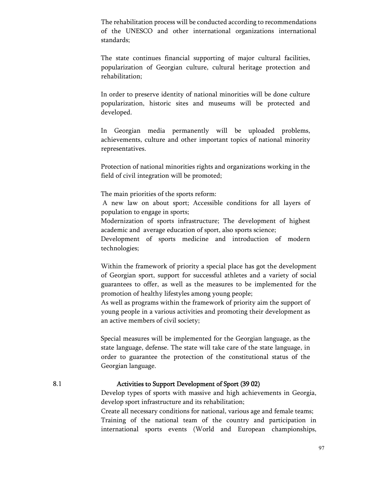The rehabilitation process will be conducted according to recommendations of the UNESCO and other international organizations international standards;

The state continues financial supporting of major cultural facilities, popularization of Georgian culture, cultural heritage protection and rehabilitation;

In order to preserve identity of national minorities will be done culture popularization, historic sites and museums will be protected and developed.

In Georgian media permanently will be uploaded problems, achievements, culture and other important topics of national minority representatives.

Protection of national minorities rights and organizations working in the field of civil integration will be promoted;

The main priorities of the sports reform:

 A new law on about sport; Accessible conditions for all layers of population to engage in sports;

Modernization of sports infrastructure; The development of highest academic and average education of sport, also sports science;

Development of sports medicine and introduction of modern technologies;

Within the framework of priority a special place has got the development of Georgian sport, support for successful athletes and a variety of social guarantees to offer, as well as the measures to be implemented for the promotion of healthy lifestyles among young people;

As well as programs within the framework of priority aim the support of young people in a various activities and promoting their development as an active members of civil society;

Special measures will be implemented for the Georgian language, as the state language, defense. The state will take care of the state language, in order to guarantee the protection of the constitutional status of the Georgian language.

## 8.1 Activities to Support Development of Sport (39 02)

Develop types of sports with massive and high achievements in Georgia, develop sport infrastructure and its rehabilitation;

Create all necessary conditions for national, various age and female teams; Training of the national team of the country and participation in international sports events (World and European championships,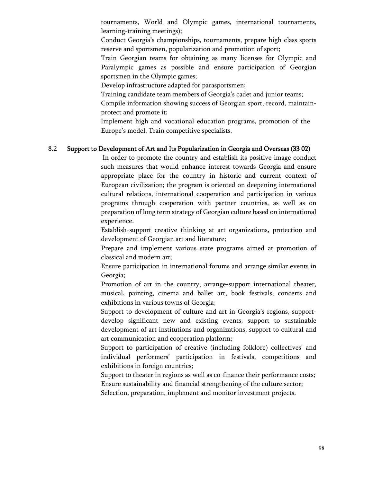tournaments, World and Olympic games, international tournaments, learning-training meetings);

Conduct Georgia's championships, tournaments, prepare high class sports reserve and sportsmen, popularization and promotion of sport;

Train Georgian teams for obtaining as many licenses for Olympic and Paralympic games as possible and ensure participation of Georgian sportsmen in the Olympic games;

Develop infrastructure adapted for parasportsmen;

Training candidate team members of Georgia's cadet and junior teams;

Compile information showing success of Georgian sport, record, maintainprotect and promote it;

Implement high and vocational education programs, promotion of the Europe's model. Train competitive specialists.

## 8.2 Support to Development of Art and Its Popularization in Georgia and Overseas (33 02)

In order to promote the country and establish its positive image conduct such measures that would enhance interest towards Georgia and ensure appropriate place for the country in historic and current context of European civilization; the program is oriented on deepening international cultural relations, international cooperation and participation in various programs through cooperation with partner countries, as well as on preparation of long term strategy of Georgian culture based on international experience.

Establish-support creative thinking at art organizations, protection and development of Georgian art and literature;

Prepare and implement various state programs aimed at promotion of classical and modern art;

Ensure participation in international forums and arrange similar events in Georgia;

Promotion of art in the country, arrange-support international theater, musical, painting, cinema and ballet art, book festivals, concerts and exhibitions in various towns of Georgia;

Support to development of culture and art in Georgia's regions, supportdevelop significant new and existing events; support to sustainable development of art institutions and organizations; support to cultural and art communication and cooperation platform;

Support to participation of creative (including folklore) collectives' and individual performers' participation in festivals, competitions and exhibitions in foreign countries;

Support to theater in regions as well as co-finance their performance costs; Ensure sustainability and financial strengthening of the culture sector;

Selection, preparation, implement and monitor investment projects.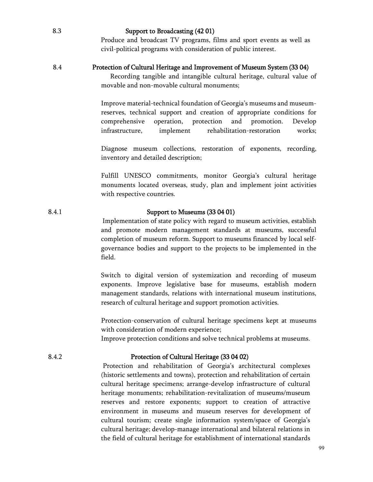8.3 Support to Broadcasting (42 01) Produce and broadcast TV programs, films and sport events as well as civil-political programs with consideration of public interest.

### 8.4 Protection of Cultural Heritage and Improvement of Museum System (33 04)

 Recording tangible and intangible cultural heritage, cultural value of movable and non-movable cultural monuments;

Improve material-technical foundation of Georgia's museums and museumreserves, technical support and creation of appropriate conditions for comprehensive operation, protection and promotion. Develop infrastructure, implement rehabilitation-restoration works;

Diagnose museum collections, restoration of exponents, recording, inventory and detailed description;

Fulfill UNESCO commitments, monitor Georgia's cultural heritage monuments located overseas, study, plan and implement joint activities with respective countries.

# 8.4.1 Support to Museums (33 04 01)

Implementation of state policy with regard to museum activities, establish and promote modern management standards at museums, successful completion of museum reform. Support to museums financed by local selfgovernance bodies and support to the projects to be implemented in the field.

Switch to digital version of systemization and recording of museum exponents. Improve legislative base for museums, establish modern management standards, relations with international museum institutions, research of cultural heritage and support promotion activities.

Protection-conservation of cultural heritage specimens kept at museums with consideration of modern experience;

Improve protection conditions and solve technical problems at museums.

# 8.4.2 Protection of Cultural Heritage (33 04 02)

Protection and rehabilitation of Georgia's architectural complexes (historic settlements and towns), protection and rehabilitation of certain cultural heritage specimens; arrange-develop infrastructure of cultural heritage monuments; rehabilitation-revitalization of museums/museum reserves and restore exponents; support to creation of attractive environment in museums and museum reserves for development of cultural tourism; create single information system/space of Georgia's cultural heritage; develop-manage international and bilateral relations in the field of cultural heritage for establishment of international standards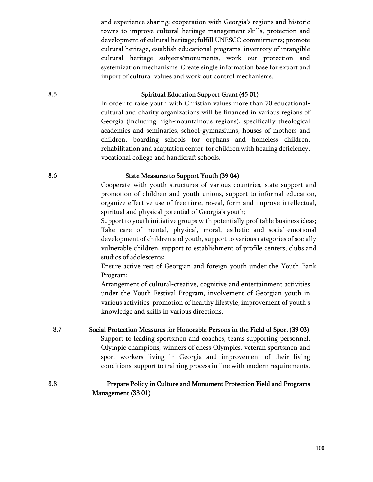and experience sharing; cooperation with Georgia's regions and historic towns to improve cultural heritage management skills, protection and development of cultural heritage; fulfill UNESCO commitments; promote cultural heritage, establish educational programs; inventory of intangible cultural heritage subjects/monuments, work out protection and systemization mechanisms. Create single information base for export and import of cultural values and work out control mechanisms.

## 8.5 Spiritual Education Support Grant (45 01)

In order to raise youth with Christian values more than 70 educationalcultural and charity organizations will be financed in various regions of Georgia (including high-mountainous regions), specifically theological academies and seminaries, school-gymnasiums, houses of mothers and children, boarding schools for orphans and homeless children, rehabilitation and adaptation center for children with hearing deficiency, vocational college and handicraft schools.

# 8.6 State Measures to Support Youth (39 04)

Cooperate with youth structures of various countries, state support and promotion of children and youth unions, support to informal education, organize effective use of free time, reveal, form and improve intellectual, spiritual and physical potential of Georgia's youth;

Support to youth initiative groups with potentially profitable business ideas; Take care of mental, physical, moral, esthetic and social-emotional development of children and youth, support to various categories of socially vulnerable children, support to establishment of profile centers, clubs and studios of adolescents;

Ensure active rest of Georgian and foreign youth under the Youth Bank Program;

Arrangement of cultural-creative, cognitive and entertainment activities under the Youth Festival Program, involvement of Georgian youth in various activities, promotion of healthy lifestyle, improvement of youth's knowledge and skills in various directions.

8.7 Social Protection Measures for Honorable Persons in the Field of Sport(39 03) Support to leading sportsmen and coaches, teams supporting personnel, Olympic champions, winners of chess Olympics, veteran sportsmen and sport workers living in Georgia and improvement of their living conditions, support to training process in line with modern requirements.

# 8.8 Prepare Policy in Culture and Monument Protection Field and Programs Management (33 01)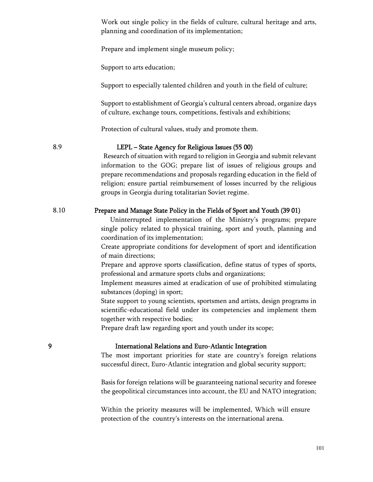Work out single policy in the fields of culture, cultural heritage and arts, planning and coordination of its implementation;

Prepare and implement single museum policy;

Support to arts education;

Support to especially talented children and youth in the field of culture;

Support to establishment of Georgia's cultural centers abroad, organize days of culture, exchange tours, competitions, festivals and exhibitions;

Protection of cultural values, study and promote them.

### 8.9 LEPL – State Agency for Religious Issues (55 00)

Research of situation with regard to religion in Georgia and submit relevant information to the GOG; prepare list of issues of religious groups and prepare recommendations and proposals regarding education in the field of religion; ensure partial reimbursement of losses incurred by the religious groups in Georgia during totalitarian Soviet regime.

#### 8.10 Prepare and Manage State Policy in the Fields of Sport and Youth (39 01)

 Uninterrupted implementation of the Ministry's programs; prepare single policy related to physical training, sport and youth, planning and coordination of its implementation;

Create appropriate conditions for development of sport and identification of main directions;

Prepare and approve sports classification, define status of types of sports, professional and armature sports clubs and organizations;

Implement measures aimed at eradication of use of prohibited stimulating substances (doping) in sport;

State support to young scientists, sportsmen and artists, design programs in scientific-educational field under its competencies and implement them together with respective bodies;

Prepare draft law regarding sport and youth under its scope;

## 9International Relations and Euro-Atlantic Integration

The most important priorities for state are country's foreign relations successful direct, Euro-Atlantic integration and global security support;

Basis for foreign relations will be guaranteeing national security and foresee the geopolitical circumstances into account, the EU and NATO integration;

Within the priority measures will be implemented, Which will ensure protection of the country's interests on the international arena.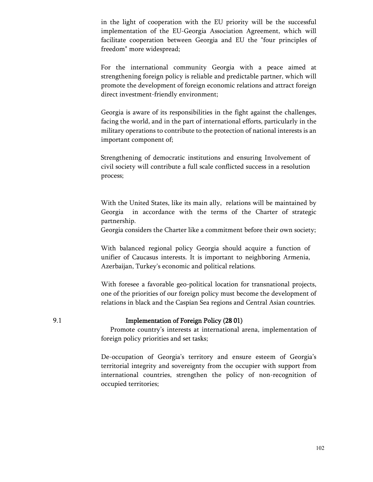in the light of cooperation with the EU priority will be the successful implementation of the EU-Georgia Association Agreement, which will facilitate cooperation between Georgia and EU the "four principles of freedom" more widespread;

For the international community Georgia with a peace aimed at strengthening foreign policy is reliable and predictable partner, which will promote the development of foreign economic relations and attract foreign direct investment-friendly environment;

Georgia is aware of its responsibilities in the fight against the challenges, facing the world, and in the part of international efforts, particularly in the military operations to contribute to the protection of national interests is an important component of;

Strengthening of democratic institutions and ensuring Involvement of civil society will contribute a full scale conflicted success in a resolution process;

With the United States, like its main ally, relations will be maintained by Georgia in accordance with the terms of the Charter of strategic partnership.

Georgia considers the Charter like a commitment before their own society;

With balanced regional policy Georgia should acquire a function of unifier of Caucasus interests. It is important to neighboring Armenia, Azerbaijan, Turkey's economic and political relations.

With foresee a favorable geo-political location for transnational projects, one of the priorities of our foreign policy must become the development of relations in black and the Caspian Sea regions and Central Asian countries.

#### 9.1 Implementation of Foreign Policy (28 01)

 Promote country's interests at international arena, implementation of foreign policy priorities and set tasks;

De-occupation of Georgia's territory and ensure esteem of Georgia's territorial integrity and sovereignty from the occupier with support from international countries, strengthen the policy of non-recognition of occupied territories;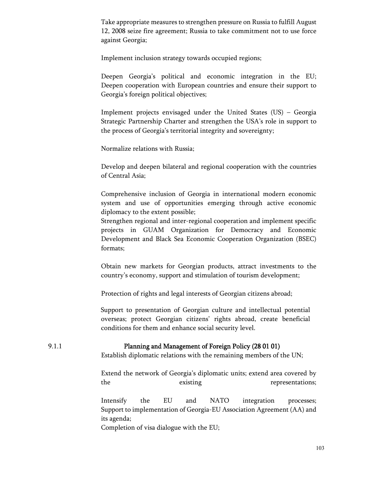Take appropriate measures to strengthen pressure on Russia to fulfill August 12, 2008 seize fire agreement; Russia to take commitment not to use force against Georgia;

Implement inclusion strategy towards occupied regions;

Deepen Georgia's political and economic integration in the EU; Deepen cooperation with European countries and ensure their support to Georgia's foreign political objectives;

Implement projects envisaged under the United States (US) – Georgia Strategic Partnership Charter and strengthen the USA's role in support to the process of Georgia's territorial integrity and sovereignty;

Normalize relations with Russia;

Develop and deepen bilateral and regional cooperation with the countries of Central Asia;

Comprehensive inclusion of Georgia in international modern economic system and use of opportunities emerging through active economic diplomacy to the extent possible;

Strengthen regional and inter-regional cooperation and implement specific projects in GUAM Organization for Democracy and Economic Development and Black Sea Economic Cooperation Organization (BSEC) formats;

Obtain new markets for Georgian products, attract investments to the country's economy, support and stimulation of tourism development;

Protection of rights and legal interests of Georgian citizens abroad;

Support to presentation of Georgian culture and intellectual potential overseas; protect Georgian citizens' rights abroad, create beneficial conditions for them and enhance social security level.

### 9.1.1 Planning and Management of Foreign Policy (28 01 01)

Establish diplomatic relations with the remaining members of the UN;

Extend the network of Georgia's diplomatic units; extend area covered by the existing existing representations;

Intensify the EU and NATO integration processes; Support to implementation of Georgia-EU Association Agreement (AA) and its agenda;

Completion of visa dialogue with the EU;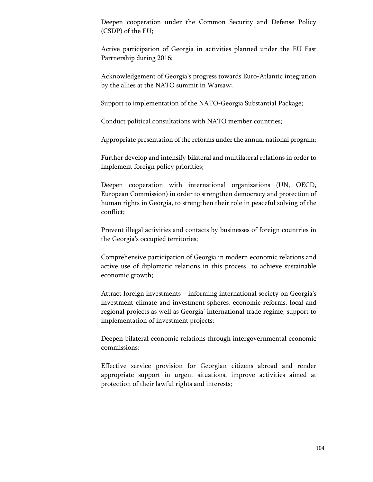Deepen cooperation under the Common Security and Defense Policy (CSDP) of the EU;

Active participation of Georgia in activities planned under the EU East Partnership during 2016;

Acknowledgement of Georgia's progress towards Euro-Atlantic integration by the allies at the NATO summit in Warsaw;

Support to implementation of the NATO-Georgia Substantial Package;

Conduct political consultations with NATO member countries;

Appropriate presentation of the reforms under the annual national program;

Further develop and intensify bilateral and multilateral relations in order to implement foreign policy priorities;

Deepen cooperation with international organizations (UN, OECD, European Commission) in order to strengthen democracy and protection of human rights in Georgia, to strengthen their role in peaceful solving of the conflict;

Prevent illegal activities and contacts by businesses of foreign countries in the Georgia's occupied territories;

Comprehensive participation of Georgia in modern economic relations and active use of diplomatic relations in this process to achieve sustainable economic growth;

Attract foreign investments – informing international society on Georgia's investment climate and investment spheres, economic reforms, local and regional projects as well as Georgia' international trade regime; support to implementation of investment projects;

Deepen bilateral economic relations through intergovernmental economic commissions;

Effective service provision for Georgian citizens abroad and render appropriate support in urgent situations, improve activities aimed at protection of their lawful rights and interests;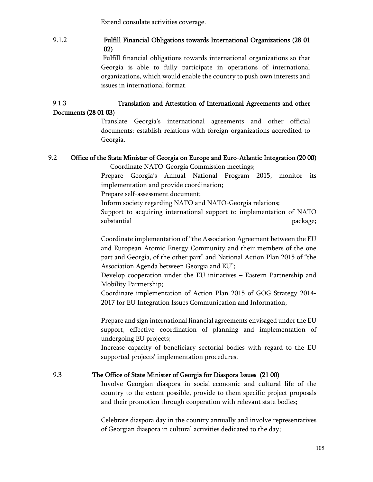Extend consulate activities coverage.

# 9.1.2 Fulfill Financial Obligations towards International Organizations (28 01 02)

Fulfill financial obligations towards international organizations so that Georgia is able to fully participate in operations of international organizations, which would enable the country to push own interests and issues in international format.

# 9.1.3 Translation and Attestation of International Agreements and other Documents (28 01 03)

Translate Georgia's international agreements and other official documents; establish relations with foreign organizations accredited to Georgia.

# 9.2 Office of the State Minister of Georgia on Europe and Euro-Atlantic Integration (20 00)

Coordinate NATO-Georgia Commission meetings;

Prepare Georgia's Annual National Program 2015, monitor its implementation and provide coordination;

Prepare self-assessment document;

Inform society regarding NATO and NATO-Georgia relations;

Support to acquiring international support to implementation of NATO substantial package;

Coordinate implementation of "the Association Agreement between the EU and European Atomic Energy Community and their members of the one part and Georgia, of the other part" and National Action Plan 2015 of "the Association Agenda between Georgia and EU";

Develop cooperation under the EU initiatives – Eastern Partnership and Mobility Partnership;

Coordinate implementation of Action Plan 2015 of GOG Strategy 2014- 2017 for EU Integration Issues Communication and Information;

Prepare and sign international financial agreements envisaged under the EU support, effective coordination of planning and implementation of undergoing EU projects;

Increase capacity of beneficiary sectorial bodies with regard to the EU supported projects' implementation procedures.

# 9.3 The Office of State Minister of Georgia for Diaspora Issues (21 00)

Involve Georgian diaspora in social-economic and cultural life of the country to the extent possible, provide to them specific project proposals and their promotion through cooperation with relevant state bodies;

Celebrate diaspora day in the country annually and involve representatives of Georgian diaspora in cultural activities dedicated to the day;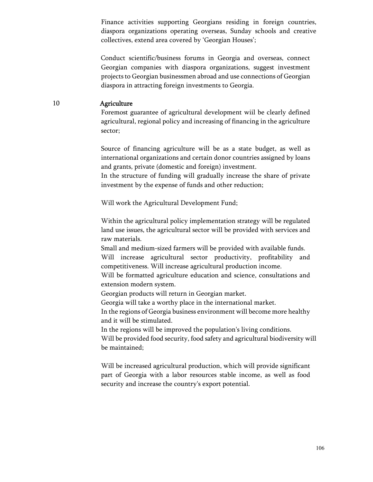Finance activities supporting Georgians residing in foreign countries, diaspora organizations operating overseas, Sunday schools and creative collectives, extend area covered by 'Georgian Houses';

Conduct scientific/business forums in Georgia and overseas, connect Georgian companies with diaspora organizations, suggest investment projects to Georgian businessmen abroad and use connections of Georgian diaspora in attracting foreign investments to Georgia.

#### 10 Agriculture

Foremost guarantee of agricultural development wiil be clearly defined agricultural, regional policy and increasing of financing in the agriculture sector;

Source of financing agriculture will be as a state budget, as well as international organizations and certain donor countries assigned by loans and grants, private (domestic and foreign) investment.

In the structure of funding will gradually increase the share of private investment by the expense of funds and other reduction;

Will work the Agricultural Development Fund;

Within the agricultural policy implementation strategy will be regulated land use issues, the agricultural sector will be provided with services and raw materials.

Small and medium-sized farmers will be provided with available funds. Will increase agricultural sector productivity, profitability and competitiveness. Will increase agricultural production income.

Will be formatted agriculture education and science, consultations and extension modern system.

Georgian products will return in Georgian market.

Georgia will take a worthy place in the international market.

In the regions of Georgia business environment will become more healthy and it will be stimulated.

In the regions will be improved the population's living conditions.

Will be provided food security, food safety and agricultural biodiversity will be maintained;

Will be increased agricultural production, which will provide significant part of Georgia with a labor resources stable income, as well as food security and increase the country's export potential.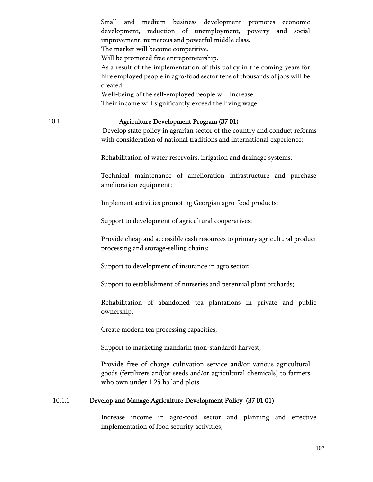|        | Small and medium business development promotes economic<br>development, reduction of unemployment, poverty and<br>social<br>improvement, numerous and powerful middle class.<br>The market will become competitive.<br>Will be promoted free entrepreneurship.<br>As a result of the implementation of this policy in the coming years for<br>hire employed people in agro-food sector tens of thousands of jobs will be<br>created.<br>Well-being of the self-employed people will increase.<br>Their income will significantly exceed the living wage. |
|--------|----------------------------------------------------------------------------------------------------------------------------------------------------------------------------------------------------------------------------------------------------------------------------------------------------------------------------------------------------------------------------------------------------------------------------------------------------------------------------------------------------------------------------------------------------------|
| 10.1   | Agriculture Development Program (37 01)<br>Develop state policy in agrarian sector of the country and conduct reforms<br>with consideration of national traditions and international experience;                                                                                                                                                                                                                                                                                                                                                         |
|        | Rehabilitation of water reservoirs, irrigation and drainage systems;                                                                                                                                                                                                                                                                                                                                                                                                                                                                                     |
|        | Technical maintenance of amelioration infrastructure and purchase<br>amelioration equipment;                                                                                                                                                                                                                                                                                                                                                                                                                                                             |
|        | Implement activities promoting Georgian agro-food products;                                                                                                                                                                                                                                                                                                                                                                                                                                                                                              |
|        | Support to development of agricultural cooperatives;                                                                                                                                                                                                                                                                                                                                                                                                                                                                                                     |
|        | Provide cheap and accessible cash resources to primary agricultural product<br>processing and storage-selling chains;                                                                                                                                                                                                                                                                                                                                                                                                                                    |
|        | Support to development of insurance in agro sector;                                                                                                                                                                                                                                                                                                                                                                                                                                                                                                      |
|        | Support to establishment of nurseries and perennial plant orchards;                                                                                                                                                                                                                                                                                                                                                                                                                                                                                      |
|        | Rehabilitation of abandoned tea plantations in private and public<br>ownership;                                                                                                                                                                                                                                                                                                                                                                                                                                                                          |
|        | Create modern tea processing capacities;                                                                                                                                                                                                                                                                                                                                                                                                                                                                                                                 |
|        | Support to marketing mandarin (non-standard) harvest;                                                                                                                                                                                                                                                                                                                                                                                                                                                                                                    |
|        | Provide free of charge cultivation service and/or various agricultural<br>goods (fertilizers and/or seeds and/or agricultural chemicals) to farmers<br>who own under 1.25 ha land plots.                                                                                                                                                                                                                                                                                                                                                                 |
| 10.1.1 | Develop and Manage Agriculture Development Policy (37 01 01)                                                                                                                                                                                                                                                                                                                                                                                                                                                                                             |
|        |                                                                                                                                                                                                                                                                                                                                                                                                                                                                                                                                                          |

Increase income in agro-food sector and planning and effective implementation of food security activities;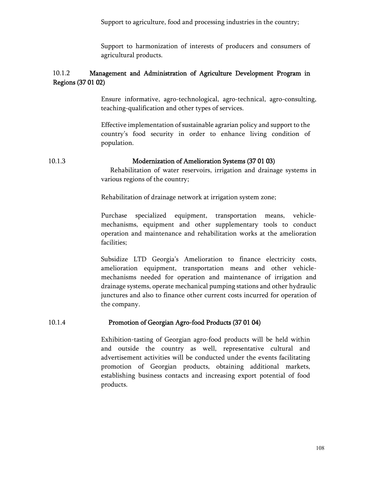Support to agriculture, food and processing industries in the country;

Support to harmonization of interests of producers and consumers of agricultural products.

## 10.1.2 Management and Administration of Agriculture Development Program in Regions (37 01 02)

Ensure informative, agro-technological, agro-technical, agro-consulting, teaching-qualification and other types of services.

Effective implementation of sustainable agrarian policy and support to the country's food security in order to enhance living condition of population.

10.1.3 Modernization of Amelioration Systems (37 01 03)

 Rehabilitation of water reservoirs, irrigation and drainage systems in various regions of the country;

Rehabilitation of drainage network at irrigation system zone;

Purchase specialized equipment, transportation means, vehiclemechanisms, equipment and other supplementary tools to conduct operation and maintenance and rehabilitation works at the amelioration facilities;

Subsidize LTD Georgia's Amelioration to finance electricity costs, amelioration equipment, transportation means and other vehiclemechanisms needed for operation and maintenance of irrigation and drainage systems, operate mechanical pumping stations and other hydraulic junctures and also to finance other current costs incurred for operation of the company.

## 10.1.4 Promotion of Georgian Agro-food Products (37 01 04)

Exhibition-tasting of Georgian agro-food products will be held within and outside the country as well, representative cultural and advertisement activities will be conducted under the events facilitating promotion of Georgian products, obtaining additional markets, establishing business contacts and increasing export potential of food products.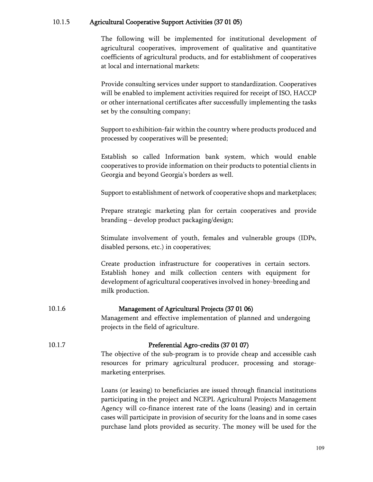## 10.1.5 Agricultural Cooperative Support Activities (37 01 05)

The following will be implemented for institutional development of agricultural cooperatives, improvement of qualitative and quantitative coefficients of agricultural products, and for establishment of cooperatives at local and international markets:

Provide consulting services under support to standardization. Cooperatives will be enabled to implement activities required for receipt of ISO, HACCP or other international certificates after successfully implementing the tasks set by the consulting company;

Support to exhibition-fair within the country where products produced and processed by cooperatives will be presented;

Establish so called Information bank system, which would enable cooperatives to provide information on their products to potential clients in Georgia and beyond Georgia's borders as well.

Support to establishment of network of cooperative shops and marketplaces;

Prepare strategic marketing plan for certain cooperatives and provide branding – develop product packaging/design;

Stimulate involvement of youth, females and vulnerable groups (IDPs, disabled persons, etc.) in cooperatives;

Create production infrastructure for cooperatives in certain sectors. Establish honey and milk collection centers with equipment for development of agricultural cooperatives involved in honey-breeding and milk production.

### 10.1.6 Management of Agricultural Projects (37 01 06)

Management and effective implementation of planned and undergoing projects in the field of agriculture.

### 10.1.7 Preferential Agro-credits (37 01 07)

The objective of the sub-program is to provide cheap and accessible cash resources for primary agricultural producer, processing and storagemarketing enterprises.

Loans (or leasing) to beneficiaries are issued through financial institutions participating in the project and NCEPL Agricultural Projects Management Agency will co-finance interest rate of the loans (leasing) and in certain cases will participate in provision of security for the loans and in some cases purchase land plots provided as security. The money will be used for the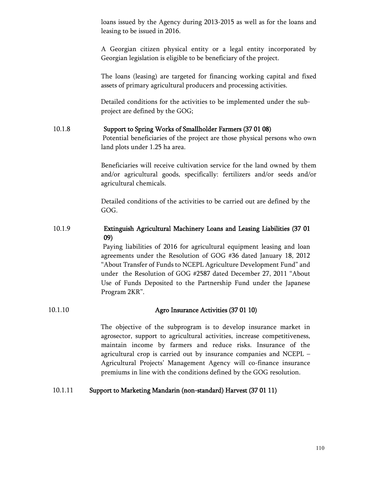loans issued by the Agency during 2013-2015 as well as for the loans and leasing to be issued in 2016.

A Georgian citizen physical entity or a legal entity incorporated by Georgian legislation is eligible to be beneficiary of the project.

The loans (leasing) are targeted for financing working capital and fixed assets of primary agricultural producers and processing activities.

Detailed conditions for the activities to be implemented under the subproject are defined by the GOG;

## 10.1.8 Support to Spring Works of Smallholder Farmers (37 01 08)

Potential beneficiaries of the project are those physical persons who own land plots under 1.25 ha area.

Beneficiaries will receive cultivation service for the land owned by them and/or agricultural goods, specifically: fertilizers and/or seeds and/or agricultural chemicals.

Detailed conditions of the activities to be carried out are defined by the GOG.

# 10.1.9 Extinguish Agricultural Machinery Loans and Leasing Liabilities (37 01 09)

Paying liabilities of 2016 for agricultural equipment leasing and loan agreements under the Resolution of GOG #36 dated January 18, 2012 "About Transfer of Funds to NCEPL Agriculture Development Fund" and under the Resolution of GOG #2587 dated December 27, 2011 "About Use of Funds Deposited to the Partnership Fund under the Japanese Program 2KR".

### 10.1.10 Agro Insurance Activities (37 01 10)

The objective of the subprogram is to develop insurance market in agrosector, support to agricultural activities, increase competitiveness, maintain income by farmers and reduce risks. Insurance of the agricultural crop is carried out by insurance companies and NCEPL – Agricultural Projects' Management Agency will co-finance insurance premiums in line with the conditions defined by the GOG resolution.

# 10.1.11 Support to Marketing Mandarin (non-standard) Harvest (37 01 11)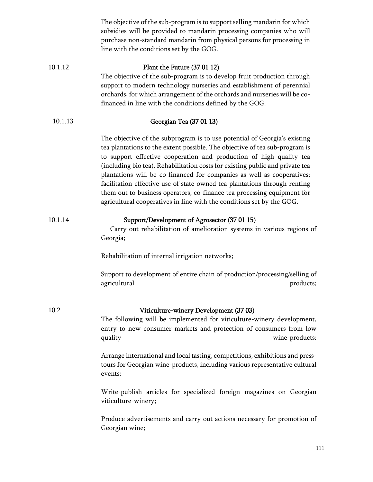|         | The objective of the sub-program is to support selling mandarin for which<br>subsidies will be provided to mandarin processing companies who will<br>purchase non-standard mandarin from physical persons for processing in<br>line with the conditions set by the GOG.                                                                                                                                                                                                                                                                                                                                                     |
|---------|-----------------------------------------------------------------------------------------------------------------------------------------------------------------------------------------------------------------------------------------------------------------------------------------------------------------------------------------------------------------------------------------------------------------------------------------------------------------------------------------------------------------------------------------------------------------------------------------------------------------------------|
| 10.1.12 | Plant the Future (37 01 12)<br>The objective of the sub-program is to develop fruit production through<br>support to modern technology nurseries and establishment of perennial<br>orchards, for which arrangement of the orchards and nurseries will be co-<br>financed in line with the conditions defined by the GOG.                                                                                                                                                                                                                                                                                                    |
| 10.1.13 | Georgian Tea (37 01 13)                                                                                                                                                                                                                                                                                                                                                                                                                                                                                                                                                                                                     |
|         | The objective of the subprogram is to use potential of Georgia's existing<br>tea plantations to the extent possible. The objective of tea sub-program is<br>to support effective cooperation and production of high quality tea<br>(including bio tea). Rehabilitation costs for existing public and private tea<br>plantations will be co-financed for companies as well as cooperatives;<br>facilitation effective use of state owned tea plantations through renting<br>them out to business operators, co-finance tea processing equipment for<br>agricultural cooperatives in line with the conditions set by the GOG. |
| 10.1.14 | Support/Development of Agrosector (37 01 15)<br>Carry out rehabilitation of amelioration systems in various regions of<br>Georgia;                                                                                                                                                                                                                                                                                                                                                                                                                                                                                          |
|         | Rehabilitation of internal irrigation networks;                                                                                                                                                                                                                                                                                                                                                                                                                                                                                                                                                                             |
|         | Support to development of entire chain of production/processing/selling of<br>agricultural<br>products;                                                                                                                                                                                                                                                                                                                                                                                                                                                                                                                     |
| 10.2    | Viticulture-winery Development (37 03)<br>The following will be implemented for viticulture-winery development,<br>entry to new consumer markets and protection of consumers from low<br>wine-products:<br>quality                                                                                                                                                                                                                                                                                                                                                                                                          |
|         | Arrange international and local tasting, competitions, exhibitions and press-<br>tours for Georgian wine-products, including various representative cultural<br>events;                                                                                                                                                                                                                                                                                                                                                                                                                                                     |
|         | Write-publish articles for specialized foreign magazines on Georgian<br>viticulture-winery;                                                                                                                                                                                                                                                                                                                                                                                                                                                                                                                                 |
|         | Produce advertisements and carry out actions necessary for promotion of<br>Georgian wine;                                                                                                                                                                                                                                                                                                                                                                                                                                                                                                                                   |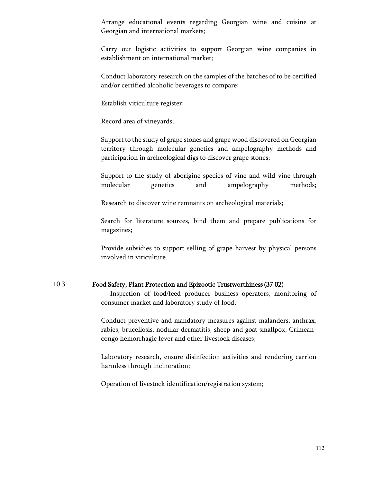Arrange educational events regarding Georgian wine and cuisine at Georgian and international markets;

Carry out logistic activities to support Georgian wine companies in establishment on international market;

Conduct laboratory research on the samples of the batches of to be certified and/or certified alcoholic beverages to compare;

Establish viticulture register;

Record area of vineyards;

Support to the study of grape stones and grape wood discovered on Georgian territory through molecular genetics and ampelography methods and participation in archeological digs to discover grape stones;

Support to the study of aborigine species of vine and wild vine through molecular genetics and ampelography methods;

Research to discover wine remnants on archeological materials;

Search for literature sources, bind them and prepare publications for magazines;

Provide subsidies to support selling of grape harvest by physical persons involved in viticulture.

#### 10.3 Food Safety, Plant Protection and Epizootic Trustworthiness(37 02)

 Inspection of food/feed producer business operators, monitoring of consumer market and laboratory study of food;

Conduct preventive and mandatory measures against malanders, anthrax, rabies, brucellosis, nodular dermatitis, sheep and goat smallpox, Crimeancongo hemorrhagic fever and other livestock diseases;

Laboratory research, ensure disinfection activities and rendering carrion harmless through incineration;

Operation of livestock identification/registration system;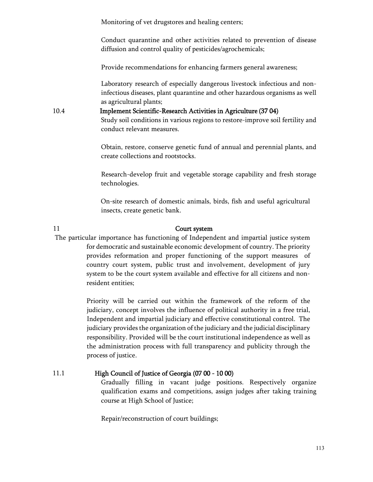Monitoring of vet drugstores and healing centers;

Conduct quarantine and other activities related to prevention of disease diffusion and control quality of pesticides/agrochemicals;

Provide recommendations for enhancing farmers general awareness;

Laboratory research of especially dangerous livestock infectious and noninfectious diseases, plant quarantine and other hazardous organisms as well as agricultural plants;

10.4 Implement Scientific-Research Activities in Agriculture (37 04) Study soil conditions in various regions to restore-improve soil fertility and conduct relevant measures.

> Obtain, restore, conserve genetic fund of annual and perennial plants, and create collections and rootstocks.

> Research-develop fruit and vegetable storage capability and fresh storage technologies.

On-site research of domestic animals, birds, fish and useful agricultural insects, create genetic bank.

#### 11 **Court system**

The particular importance has functioning of Independent and impartial justice system for democratic and sustainable economic development of country. The priority provides reformation and proper functioning of the support measures of country court system, public trust and involvement, development of jury system to be the court system available and effective for all citizens and nonresident entities;

> Priority will be carried out within the framework of the reform of the judiciary, concept involves the influence of political authority in a free trial, Independent and impartial judiciary and effective constitutional control. The judiciary provides the organization of the judiciary and the judicial disciplinary responsibility. Provided will be the court institutional independence as well as the administration process with full transparency and publicity through the process of justice.

#### 11.1 High Council of Justice of Georgia (07 00 - 10 00)

Gradually filling in vacant judge positions. Respectively organize qualification exams and competitions, assign judges after taking training course at High School of Justice;

Repair/reconstruction of court buildings;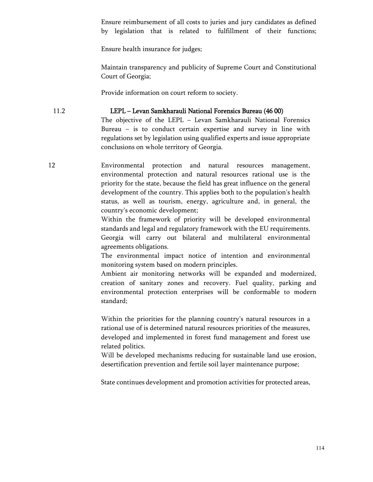Ensure reimbursement of all costs to juries and jury candidates as defined by legislation that is related to fulfillment of their functions;

Ensure health insurance for judges;

Maintain transparency and publicity of Supreme Court and Constitutional Court of Georgia;

Provide information on court reform to society.

## 11.2 LEPL – Levan Samkharauli National Forensics Bureau (46 00)

The objective of the LEPL – Levan Samkharauli National Forensics Bureau – is to conduct certain expertise and survey in line with regulations set by legislation using qualified experts and issue appropriate conclusions on whole territory of Georgia.

12 Environmental protection and natural resources management, environmental protection and natural resources rational use is the priority for the state, because the field has great influence on the general development of the country. This applies both to the population's health status, as well as tourism, energy, agriculture and, in general, the country's economic development;

> Within the framework of priority will be developed environmental standards and legal and regulatory framework with the EU requirements. Georgia will carry out bilateral and multilateral environmental agreements obligations.

> The environmental impact notice of intention and environmental monitoring system based on modern principles.

Ambient air monitoring networks will be expanded and modernized, creation of sanitary zones and recovery. Fuel quality, parking and environmental protection enterprises will be conformable to modern standard;

Within the priorities for the planning country's natural resources in a rational use of is determined natural resources priorities of the measures, developed and implemented in forest fund management and forest use related politics.

Will be developed mechanisms reducing for sustainable land use erosion, desertification prevention and fertile soil layer maintenance purpose;

State continues development and promotion activities for protected areas,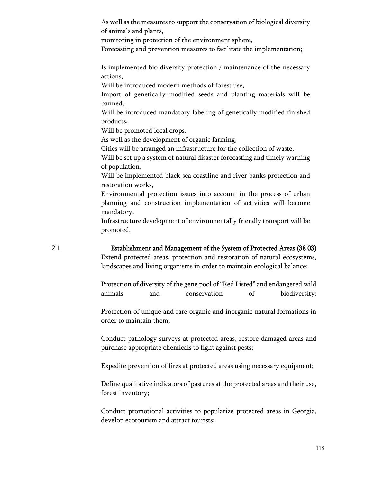|      | As well as the measures to support the conservation of biological diversity<br>of animals and plants,<br>monitoring in protection of the environment sphere,<br>Forecasting and prevention measures to facilitate the implementation;                                                                                                                                                                                                                                                                                                                                                                                                                                                                                                                                                                                                                                                                                             |
|------|-----------------------------------------------------------------------------------------------------------------------------------------------------------------------------------------------------------------------------------------------------------------------------------------------------------------------------------------------------------------------------------------------------------------------------------------------------------------------------------------------------------------------------------------------------------------------------------------------------------------------------------------------------------------------------------------------------------------------------------------------------------------------------------------------------------------------------------------------------------------------------------------------------------------------------------|
|      | Is implemented bio diversity protection / maintenance of the necessary<br>actions,<br>Will be introduced modern methods of forest use,<br>Import of genetically modified seeds and planting materials will be<br>banned,<br>Will be introduced mandatory labeling of genetically modified finished<br>products,<br>Will be promoted local crops,<br>As well as the development of organic farming,<br>Cities will be arranged an infrastructure for the collection of waste,<br>Will be set up a system of natural disaster forecasting and timely warning<br>of population,<br>Will be implemented black sea coastline and river banks protection and<br>restoration works,<br>Environmental protection issues into account in the process of urban<br>planning and construction implementation of activities will become<br>mandatory,<br>Infrastructure development of environmentally friendly transport will be<br>promoted. |
| 12.1 | Establishment and Management of the System of Protected Areas (38 03)<br>Extend protected areas, protection and restoration of natural ecosystems,<br>landscapes and living organisms in order to maintain ecological balance;                                                                                                                                                                                                                                                                                                                                                                                                                                                                                                                                                                                                                                                                                                    |
|      | Protection of diversity of the gene pool of "Red Listed" and endangered wild<br>animals<br>conservation<br>of<br>biodiversity;<br>and                                                                                                                                                                                                                                                                                                                                                                                                                                                                                                                                                                                                                                                                                                                                                                                             |
|      | Protection of unique and rare organic and inorganic natural formations in<br>order to maintain them;                                                                                                                                                                                                                                                                                                                                                                                                                                                                                                                                                                                                                                                                                                                                                                                                                              |
|      | Conduct pathology surveys at protected areas, restore damaged areas and<br>purchase appropriate chemicals to fight against pests;                                                                                                                                                                                                                                                                                                                                                                                                                                                                                                                                                                                                                                                                                                                                                                                                 |
|      | Expedite prevention of fires at protected areas using necessary equipment;                                                                                                                                                                                                                                                                                                                                                                                                                                                                                                                                                                                                                                                                                                                                                                                                                                                        |
|      | Define qualitative indicators of pastures at the protected areas and their use,<br>forest inventory;                                                                                                                                                                                                                                                                                                                                                                                                                                                                                                                                                                                                                                                                                                                                                                                                                              |
|      | Conduct promotional activities to popularize protected areas in Georgia,<br>develop ecotourism and attract tourists;                                                                                                                                                                                                                                                                                                                                                                                                                                                                                                                                                                                                                                                                                                                                                                                                              |
|      |                                                                                                                                                                                                                                                                                                                                                                                                                                                                                                                                                                                                                                                                                                                                                                                                                                                                                                                                   |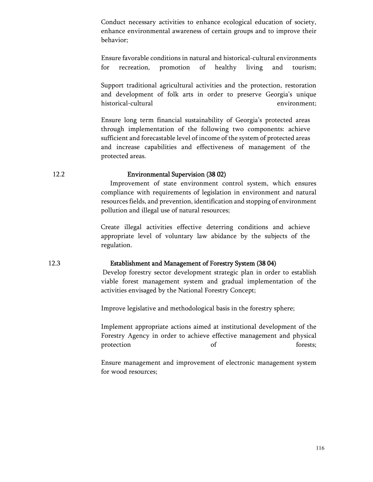Conduct necessary activities to enhance ecological education of society, enhance environmental awareness of certain groups and to improve their behavior;

Ensure favorable conditions in natural and historical-cultural environments for recreation, promotion of healthy living and tourism;

Support traditional agricultural activities and the protection, restoration and development of folk arts in order to preserve Georgia's unique historical-cultural environment;

Ensure long term financial sustainability of Georgia's protected areas through implementation of the following two components: achieve sufficient and forecastable level of income of the system of protected areas and increase capabilities and effectiveness of management of the protected areas.

### 12.2 Environmental Supervision (38 02)

 Improvement of state environment control system, which ensures compliance with requirements of legislation in environment and natural resources fields, and prevention, identification and stopping of environment pollution and illegal use of natural resources;

Create illegal activities effective deterring conditions and achieve appropriate level of voluntary law abidance by the subjects of the regulation.

#### 12.3 Establishment and Management of Forestry System (38 04)

Develop forestry sector development strategic plan in order to establish viable forest management system and gradual implementation of the activities envisaged by the National Forestry Concept;

Improve legislative and methodological basis in the forestry sphere;

Implement appropriate actions aimed at institutional development of the Forestry Agency in order to achieve effective management and physical protection of forests;

Ensure management and improvement of electronic management system for wood resources;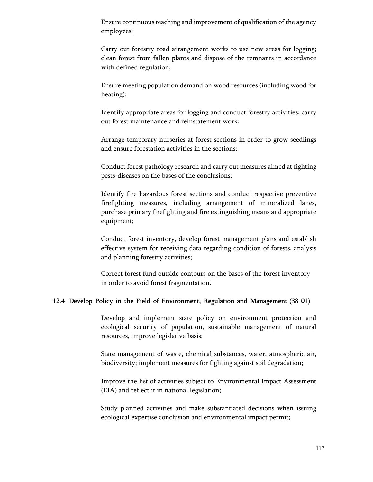Ensure continuous teaching and improvement of qualification of the agency employees;

Carry out forestry road arrangement works to use new areas for logging; clean forest from fallen plants and dispose of the remnants in accordance with defined regulation;

Ensure meeting population demand on wood resources (including wood for heating);

Identify appropriate areas for logging and conduct forestry activities; carry out forest maintenance and reinstatement work;

Arrange temporary nurseries at forest sections in order to grow seedlings and ensure forestation activities in the sections;

Conduct forest pathology research and carry out measures aimed at fighting pests-diseases on the bases of the conclusions;

Identify fire hazardous forest sections and conduct respective preventive firefighting measures, including arrangement of mineralized lanes, purchase primary firefighting and fire extinguishing means and appropriate equipment;

Conduct forest inventory, develop forest management plans and establish effective system for receiving data regarding condition of forests, analysis and planning forestry activities;

Correct forest fund outside contours on the bases of the forest inventory in order to avoid forest fragmentation.

#### 12.4 Develop Policy in the Field of Environment, Regulation and Management (38 01)

Develop and implement state policy on environment protection and ecological security of population, sustainable management of natural resources, improve legislative basis;

State management of waste, chemical substances, water, atmospheric air, biodiversity; implement measures for fighting against soil degradation;

Improve the list of activities subject to Environmental Impact Assessment (EIA) and reflect it in national legislation;

Study planned activities and make substantiated decisions when issuing ecological expertise conclusion and environmental impact permit;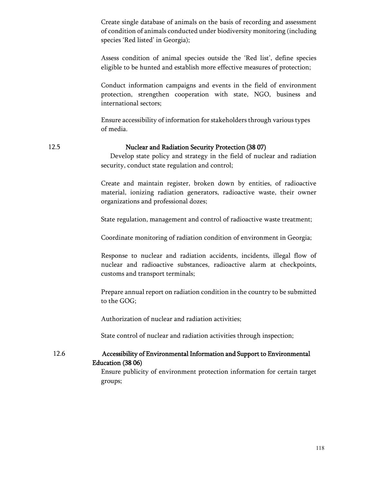Create single database of animals on the basis of recording and assessment of condition of animals conducted under biodiversity monitoring (including species 'Red listed' in Georgia);

Assess condition of animal species outside the 'Red list', define species eligible to be hunted and establish more effective measures of protection;

Conduct information campaigns and events in the field of environment protection, strengthen cooperation with state, NGO, business and international sectors;

Ensure accessibility of information for stakeholders through various types of media.

#### 12.5 Nuclear and Radiation Security Protection (38 07)

 Develop state policy and strategy in the field of nuclear and radiation security, conduct state regulation and control;

Create and maintain register, broken down by entities, of radioactive material, ionizing radiation generators, radioactive waste, their owner organizations and professional dozes;

State regulation, management and control of radioactive waste treatment;

Coordinate monitoring of radiation condition of environment in Georgia;

Response to nuclear and radiation accidents, incidents, illegal flow of nuclear and radioactive substances, radioactive alarm at checkpoints, customs and transport terminals;

Prepare annual report on radiation condition in the country to be submitted to the GOG;

Authorization of nuclear and radiation activities;

State control of nuclear and radiation activities through inspection;

12.6 Accessibility of Environmental Information and Support to Environmental

Education (38 06) Ensure publicity of environment protection information for certain target

groups;